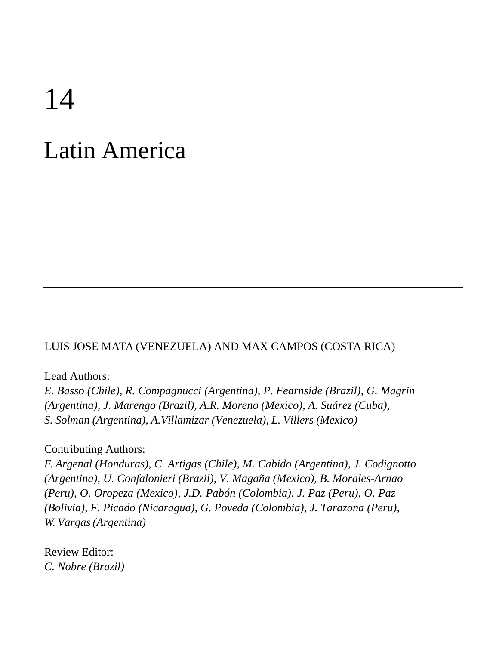# 14

## Latin America

### LUIS JOSE MATA (VENEZUELA) AND MAX CAMPOS (COSTA RICA)

Lead Authors:

*E. Basso (Chile), R. Compagnucci (Argentina), P. Fearnside (Brazil), G. Magrin (Argentina), J. Marengo (Brazil), A.R. Moreno (Mexico), A. Suárez (Cuba), S. Solman (Argentina), A.Villamizar (Venezuela), L. Villers (Mexico)*

Contributing Authors:

*F. Argenal (Honduras), C. Artigas (Chile), M. Cabido (Argentina), J. Codignotto (Argentina), U. Confalonieri (Brazil), V. Magaña (Mexico), B. Morales-Arnao (Peru), O. Oropeza (Mexico), J.D. Pabón (Colombia), J. Paz (Peru), O. Paz (Bolivia), F. Picado (Nicaragua), G. Poveda (Colombia), J. Tarazona (Peru), W. Vargas (Argentina)*

Review Editor: *C. Nobre (Brazil)*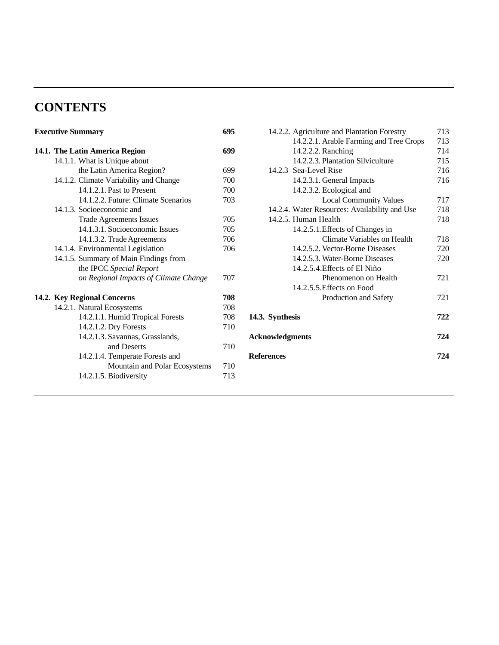## **CONTENTS**

| <b>Executive Summary</b> |                                                                |     |  |  |
|--------------------------|----------------------------------------------------------------|-----|--|--|
|                          | 14.1. The Latin America Region<br>14.1.1. What is Unique about |     |  |  |
|                          |                                                                |     |  |  |
|                          | the Latin America Region?                                      | 699 |  |  |
|                          | 14.1.2. Climate Variability and Change                         | 700 |  |  |
|                          | 14.1.2.1. Past to Present                                      | 700 |  |  |
|                          | 14.1.2.2. Future: Climate Scenarios                            | 703 |  |  |
|                          | 14.1.3. Socioeconomic and                                      |     |  |  |
|                          | <b>Trade Agreements Issues</b>                                 | 705 |  |  |
|                          | 14.1.3.1. Socioeconomic Issues                                 | 705 |  |  |
|                          | 14.1.3.2. Trade Agreements                                     | 706 |  |  |
|                          | 14.1.4. Environmental Legislation                              | 706 |  |  |
|                          | 14.1.5. Summary of Main Findings from                          |     |  |  |
|                          | the IPCC Special Report                                        |     |  |  |
|                          | on Regional Impacts of Climate Change                          | 707 |  |  |
|                          | 14.2. Key Regional Concerns                                    | 708 |  |  |
|                          | 14.2.1. Natural Ecosystems                                     | 708 |  |  |
|                          | 14.2.1.1. Humid Tropical Forests                               | 708 |  |  |
|                          | 14.2.1.2. Dry Forests                                          | 710 |  |  |
|                          | 14.2.1.3. Savannas, Grasslands,                                |     |  |  |
|                          | and Deserts                                                    | 710 |  |  |
|                          | 14.2.1.4. Temperate Forests and                                |     |  |  |
|                          | Mountain and Polar Ecosystems                                  | 710 |  |  |
|                          | 14.2.1.5. Biodiversity                                         | 713 |  |  |

|                   | 14.2.2. Agriculture and Plantation Forestry   | 713 |
|-------------------|-----------------------------------------------|-----|
|                   | 14.2.2.1. Arable Farming and Tree Crops       | 713 |
|                   | 14.2.2.2. Ranching                            | 714 |
|                   | 14.2.2.3. Plantation Silviculture             | 715 |
|                   | 14.2.3 Sea-Level Rise                         | 716 |
|                   | 14.2.3.1. General Impacts                     | 716 |
|                   | 14.2.3.2. Ecological and                      |     |
|                   | <b>Local Community Values</b>                 | 717 |
|                   | 14.2.4. Water Resources: Availability and Use | 718 |
|                   | 14.2.5. Human Health                          | 718 |
|                   | 14.2.5.1. Effects of Changes in               |     |
|                   | Climate Variables on Health                   | 718 |
|                   | 14.2.5.2. Vector-Borne Diseases               | 720 |
|                   | 14.2.5.3. Water-Borne Diseases                | 720 |
|                   | 14.2.5.4. Effects of El Niño                  |     |
|                   | Phenomenon on Health                          | 721 |
|                   | 14.2.5.5. Effects on Food                     |     |
|                   | Production and Safety                         | 721 |
| 14.3. Synthesis   |                                               | 722 |
| Acknowledgments   |                                               | 724 |
| <b>References</b> |                                               | 724 |
|                   |                                               |     |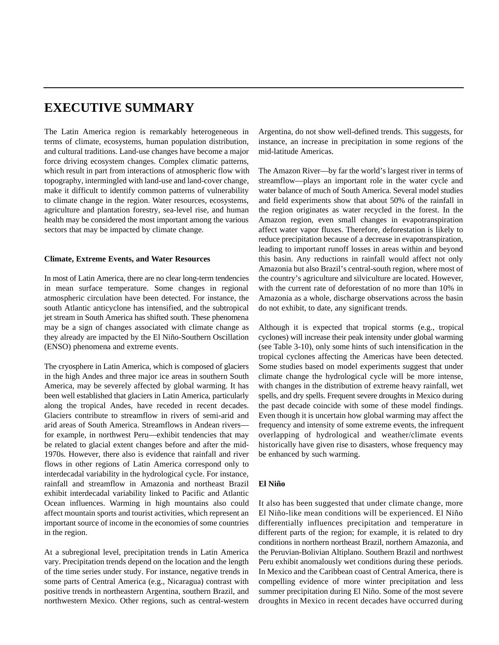## **EXECUTIVE SUMMARY**

The Latin America region is remarkably heterogeneous in terms of climate, ecosystems, human population distribution, and cultural traditions. Land-use changes have become a major force driving ecosystem changes. Complex climatic patterns, which result in part from interactions of atmospheric flow with topography, intermingled with land-use and land-cover change, make it difficult to identify common patterns of vulnerability to climate change in the region. Water resources, ecosystems, agriculture and plantation forestry, sea-level rise, and human health may be considered the most important among the various sectors that may be impacted by climate change.

#### **Climate, Extreme Events, and Water Resources**

In most of Latin America, there are no clear long-term tendencies in mean surface temperature. Some changes in regional atmospheric circulation have been detected. For instance, the south Atlantic anticyclone has intensified, and the subtropical jet stream in South America has shifted south. These phenomena may be a sign of changes associated with climate change as they already are impacted by the El Niño-Southern Oscillation (ENSO) phenomena and extreme events.

The cryosphere in Latin America, which is composed of glaciers in the high Andes and three major ice areas in southern South America, may be severely affected by global warming. It has been well established that glaciers in Latin America, particularly along the tropical Andes, have receded in recent decades. Glaciers contribute to streamflow in rivers of semi-arid and arid areas of South America. Streamflows in Andean rivers for example, in northwest Peru—exhibit tendencies that may be related to glacial extent changes before and after the mid-1970s. However, there also is evidence that rainfall and river flows in other regions of Latin America correspond only to interdecadal variability in the hydrological cycle. For instance, rainfall and streamflow in Amazonia and northeast Brazil exhibit interdecadal variability linked to Pacific and Atlantic Ocean influences. Warming in high mountains also could affect mountain sports and tourist activities, which represent an important source of income in the economies of some countries in the region.

At a subregional level, precipitation trends in Latin America vary. Precipitation trends depend on the location and the length of the time series under study. For instance, negative trends in some parts of Central America (e.g., Nicaragua) contrast with positive trends in northeastern Argentina, southern Brazil, and northwestern Mexico. Other regions, such as central-western

Argentina, do not show well-defined trends. This suggests, for instance, an increase in precipitation in some regions of the mid-latitude Americas.

The Amazon River—by far the world's largest river in terms of streamflow—plays an important role in the water cycle and water balance of much of South America. Several model studies and field experiments show that about 50% of the rainfall in the region originates as water recycled in the forest. In the Amazon region, even small changes in evapotranspiration affect water vapor fluxes. Therefore, deforestation is likely to reduce precipitation because of a decrease in evapotranspiration, leading to important runoff losses in areas within and beyond this basin. Any reductions in rainfall would affect not only Amazonia but also Brazil's central-south region, where most of the country's agriculture and silviculture are located. However, with the current rate of deforestation of no more than 10% in Amazonia as a whole, discharge observations across the basin do not exhibit, to date, any significant trends.

Although it is expected that tropical storms (e.g., tropical cyclones) will increase their peak intensity under global warming (see Table 3-10), only some hints of such intensification in the tropical cyclones affecting the Americas have been detected. Some studies based on model experiments suggest that under climate change the hydrological cycle will be more intense, with changes in the distribution of extreme heavy rainfall, wet spells, and dry spells. Frequent severe droughts in Mexico during the past decade coincide with some of these model findings. Even though it is uncertain how global warming may affect the frequency and intensity of some extreme events, the infrequent overlapping of hydrological and weather/climate events historically have given rise to disasters, whose frequency may be enhanced by such warming.

#### **El Niño**

It also has been suggested that under climate change, more El Niño-like mean conditions will be experienced. El Niño differentially influences precipitation and temperature in different parts of the region; for example, it is related to dry conditions in northern northeast Brazil, northern Amazonia, and the Peruvian-Bolivian Altiplano. Southern Brazil and northwest Peru exhibit anomalously wet conditions during these periods. In Mexico and the Caribbean coast of Central America, there is compelling evidence of more winter precipitation and less summer precipitation during El Niño. Some of the most severe droughts in Mexico in recent decades have occurred during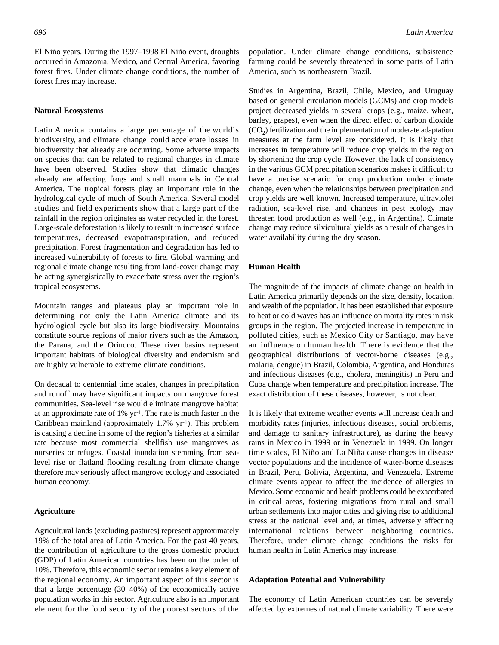El Niño years. During the 1997–1998 El Niño event, droughts occurred in Amazonia, Mexico, and Central America, favoring forest fires. Under climate change conditions, the number of forest fires may increase.

#### **Natural Ecosystems**

Latin America contains a large percentage of the world's biodiversity, and climate change could accelerate losses in biodiversity that already are occurring. Some adverse impacts on species that can be related to regional changes in climate have been observed. Studies show that climatic changes already are affecting frogs and small mammals in Central America. The tropical forests play an important role in the hydrological cycle of much of South America. Several model studies and field experiments show that a large part of the rainfall in the region originates as water recycled in the forest. Large-scale deforestation is likely to result in increased surface temperatures, decreased evapotranspiration, and reduced precipitation. Forest fragmentation and degradation has led to increased vulnerability of forests to fire. Global warming and regional climate change resulting from land-cover change may be acting synergistically to exacerbate stress over the region's tropical ecosystems.

Mountain ranges and plateaus play an important role in determining not only the Latin America climate and its hy drological cycle but also its large biodiversity. Mountains constitute source regions of major rivers such as the Amazon, the Parana, and the Orinoco. These river basins represent important habitats of biological diversity and endemism and are highly vulnerable to extreme climate conditions.

On decadal to centennial time scales, changes in precipitation and runoff may have significant impacts on mangrove forest communities. Sea-level rise would eliminate mangrove habitat at an approximate rate of 1% yr-1. The rate is much faster in the Caribbean mainland (approximately 1.7% yr-1). This problem is causing a decline in some of the region's fisheries at a similar rate because most commercial shellfish use mangroves as nurseries or refuges. Coastal inundation stemming from sealevel rise or flatland flooding resulting from climate change therefore may seriously affect mangrove ecology and associated human economy.

#### **Agriculture**

Agricultural lands (excluding pastures) represent approximately 19% of the total area of Latin America. For the past 40 years, the contribution of agriculture to the gross domestic product (GDP) of Latin American countries has been on the order of 10%. Therefore, this economic sector remains a key element of the regional economy. An important aspect of this sector is that a large percentage (30–40%) of the economically active population works in this sector. Agriculture also is an important element for the food security of the poorest sectors of the population. Under climate change conditions, subsistence farming could be severely threatened in some parts of Latin America, such as northeastern Brazil.

Studies in Argentina, Brazil, Chile, Mexico, and Uruguay based on general circulation models (GCMs) and crop models project decreased yields in several crops (e.g., maize, wheat, barley, grapes), even when the direct effect of carbon dioxide  $(CO<sub>2</sub>)$  fertilization and the implementation of moderate adaptation measures at the farm level are considered. It is likely that increases in temperature will reduce crop yields in the region by shortening the crop cycle. However, the lack of consistency in the various GCM precipitation scenarios makes it difficult to have a precise scenario for crop production under climate change, even when the relationships between precipitation and crop yields are well known. Increased temperature, ultraviolet radiation, sea-level rise, and changes in pest ecology may threaten food production as well (e.g., in Argentina). Climate change may reduce silvicultural yields as a result of changes in water availability during the dry season.

#### **Human Health**

The magnitude of the impacts of climate change on health in Latin America primarily depends on the size, density, location, and wealth of the population. It has been established that exposure to heat or cold waves has an influence on mortality rates in risk groups in the region. The projected increase in temperature in polluted cities, such as Mexico City or Santiago, may have an influence on human health. There is evidence that the geographical distributions of vector-borne diseases (e.g., malaria, dengue) in Brazil, Colombia, Argentina, and Honduras and infectious diseases (e.g., cholera, meningitis) in Peru and Cuba change when temperature and precipitation increase. The exact distribution of these diseases, however, is not clear.

It is likely that extreme weather events will increase death and morbidity rates (injuries, infectious diseases, social problems, and damage to sanitary infrastructure), as during the heavy rains in Mexico in 1999 or in Venezuela in 1999. On longer time scales, El Niño and La Niña cause changes in disease vector populations and the incidence of water-borne diseases in Brazil, Peru, Bolivia, Argentina, and Venezuela. Extreme climate events appear to affect the incidence of allergies in Mexico. Some economic and health problems could be exacerbated in critical areas, fostering migrations from rural and small urban settlements into major cities and giving rise to additional stress at the national level and, at times, adversely affecting international relations between neighboring countries. Therefore, under climate change conditions the risks for human health in Latin America may increase.

#### **Adaptation Potential and Vulnerability**

The economy of Latin American countries can be severely affected by extremes of natural climate variability. There were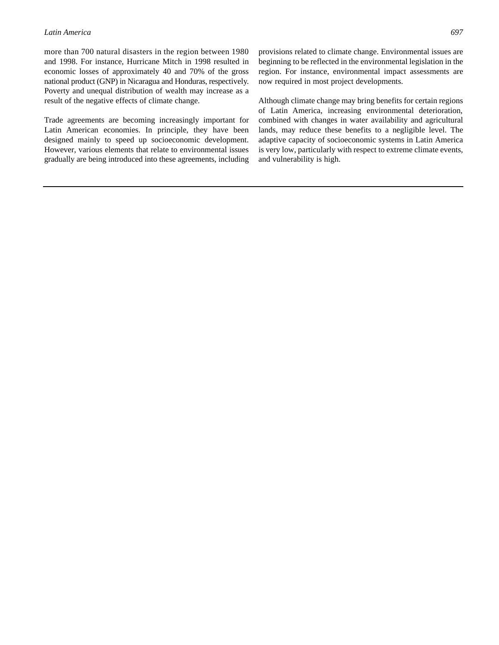more than 700 natural disasters in the region between 1980 and 1998. For instance, Hurricane Mitch in 1998 resulted in economic losses of approximately 40 and 70% of the gross national product (GNP) in Nicaragua and Honduras, respectively. Poverty and unequal distribution of wealth may increase as a result of the negative effects of climate change.

Trade agreements are becoming increasingly important for Latin American economies. In principle, they have been designed mainly to speed up socioeconomic development. However, various elements that relate to environmental issues gradually are being introduced into these agreements, including provisions related to climate change. Environmental issues are beginning to be reflected in the environmental legislation in the region. For instance, environmental impact assessments are now required in most project developments.

Although climate change may bring benefits for certain regions of Latin America, increasing environmental deterioration, combined with changes in water availability and agricultural lands, may reduce these benefits to a negligible level. The adaptive capacity of socioeconomic systems in Latin America is very low, particularly with respect to extreme climate events, and vulnerability is high.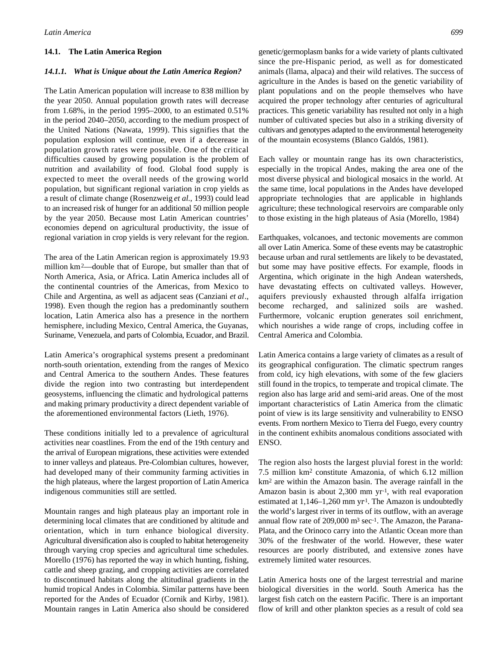#### **14.1. The Latin America Region**

#### *14.1.1. What is Unique about the Latin America Region?*

The Latin American population will increase to 838 million by the year 2050. Annual population growth rates will decrease from 1.68%, in the period 1995–2000, to an estimated 0.51% in the period 2040–2050, according to the medium prospect of the United Nations (Nawata, 1999). This signifies that the population explosion will continue, even if a decerease in population growth rates were possible. One of the critical difficulties caused by growing population is the problem of nutrition and availability of food. Global food supply is expected to meet the overall needs of the growing world population, but significant regional variation in crop yields as a result of climate change (Rosenzweig *et al.*, 1993) could lead to an increased risk of hunger for an additional 50 million people by the year 2050. Because most Latin American countries' economies depend on agricultural productivity, the issue of regional variation in crop yields is very relevant for the region.

The area of the Latin American region is approximately 19.93 million km2—double that of Europe, but smaller than that of North America, Asia, or Africa. Latin America includes all of the continental countries of the Americas, from Mexico to Chile and Argentina, as well as adjacent seas (Canziani *et al*., 1998). Even though the region has a predominantly southern location, Latin America also has a presence in the northern hemisphere, including Mexico, Central America, the Guyanas, Suriname, Venezuela, and parts of Colombia, Ecuador, and Brazil.

Latin America's orographical systems present a predominant north-south orientation, extending from the ranges of Mexico and Central America to the southern Andes. These features divide the region into two contrasting but interdependent geosystems, influencing the climatic and hydrological patterns and making primary productivity a direct dependent variable of the aforementioned environmental factors (Lieth, 1976).

These conditions initially led to a prevalence of agricultural activities near coastlines. From the end of the 19th century and the arrival of European migrations, these activities were extended to inner valleys and plateaus. Pre-Colombian cultures, however, had developed many of their community farming activities in the high plateaus, where the largest proportion of Latin America indigenous communities still are settled.

Mountain ranges and high plateaus play an important role in determining local climates that are conditioned by altitude and orientation, which in turn enhance biological diversity. Agricultural diversification also is coupled to habitat heterogeneity through varying crop species and agricultural time schedules. Morello (1976) has reported the way in which hunting, fishing, cattle and sheep grazing, and cropping activities are correlated to discontinued habitats along the altitudinal gradients in the humid tropical Andes in Colombia. Similar patterns have been reported for the Andes of Ecuador (Cornik and Kirby, 1981). Mountain ranges in Latin America also should be considered

genetic/germoplasm banks for a wide variety of plants cultivated since the pre-Hispanic period, as well as for domesticated animals (llama, alpaca) and their wild relatives. The success of agriculture in the Andes is based on the genetic variability of plant populations and on the people themselves who have acquired the proper technology after centuries of agricultural practices. This genetic variability has resulted not only in a high number of cultivated species but also in a striking diversity of cultivars and genotypes adapted to the environmental heterogeneity of the mountain ecosystems (Blanco Galdós, 1981).

Each valley or mountain range has its own characteristics, especially in the tropical Andes, making the area one of the most diverse physical and biological mosaics in the world. At the same time, local populations in the Andes have developed appropriate technologies that are applicable in highlands agriculture; these technological reservoirs are comparable only to those existing in the high plateaus of Asia (Morello, 1984)

Earthquakes, volcanoes, and tectonic movements are common all over Latin America. Some of these events may be catastrophic because urban and rural settlements are likely to be devastated, but some may have positive effects. For example, floods in Argentina, which originate in the high Andean watersheds, have devastating effects on cultivated valleys. However, aquifers previously exhausted through alfalfa irrigation become recharged, and salinized soils are washed. Furthermore, volcanic eruption generates soil enrichment, which nourishes a wide range of crops, including coffee in Central America and Colombia.

Latin America contains a large variety of climates as a result of its geographical configuration. The climatic spectrum ranges from cold, icy high elevations, with some of the few glaciers still found in the tropics, to temperate and tropical climate. The region also has large arid and semi-arid areas. One of the most important characteristics of Latin America from the climatic point of view is its large sensitivity and vulnerability to ENSO events. From northern Mexico to Tierra del Fuego, every country in the continent exhibits anomalous conditions associated with ENSO.

The region also hosts the largest pluvial forest in the world: 7.5 million km<sup>2</sup> constitute Amazonia, of which 6.12 million km<sup>2</sup> are within the Amazon basin. The average rainfall in the Amazon basin is about 2,300 mm yr-1, with real evaporation estimated at  $1,146-1,260$  mm yr<sup>1</sup>. The Amazon is undoubtedly the world's largest river in terms of its outflow, with an average annual flow rate of 209,000 m<sup>3</sup> sec-1. The Amazon, the Parana-Plata, and the Orinoco carry into the Atlantic Ocean more than 30% of the freshwater of the world. However, these water resources are poorly distributed, and extensive zones have extremely limited water resources.

Latin America hosts one of the largest terrestrial and marine biological diversities in the world. South America has the largest fish catch on the eastern Pacific. There is an important flow of krill and other plankton species as a result of cold sea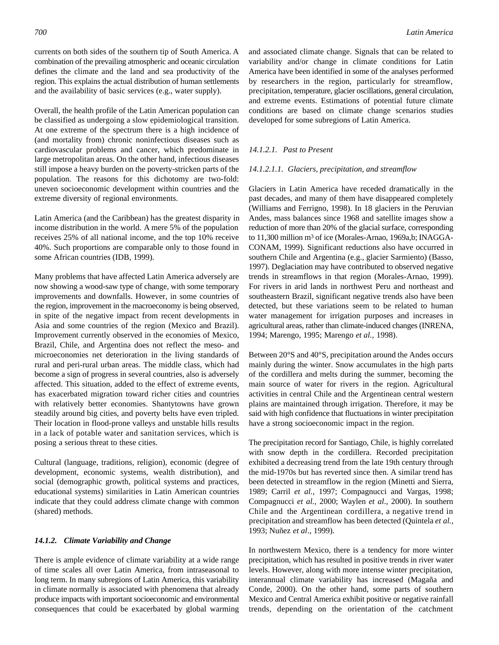currents on both sides of the southern tip of South America. A combination of the prevailing atmospheric and oceanic circulation defines the climate and the land and sea productivity of the region. This explains the actual distribution of human settlements and the availability of basic services (e.g., water supply).

Overall, the health profile of the Latin American population can be classified as undergoing a slow epidemiological transition. At one extreme of the spectrum there is a high incidence of (and mortality from) chronic noninfectious diseases such as cardiovascular problems and cancer, which predominate in large metropolitan areas. On the other hand, infectious diseases still impose a heavy burden on the poverty-stricken parts of the population. The reasons for this dichotomy are two-fold: uneven socioeconomic development within countries and the extreme diversity of regional environments.

Latin America (and the Caribbean) has the greatest disparity in income distribution in the world. A mere 5% of the population receives 25% of all national income, and the top 10% receive 40%. Such proportions are comparable only to those found in some African countries (IDB, 1999).

Many problems that have affected Latin America adversely are now showing a wood-saw type of change, with some temporary improvements and downfalls. However, in some countries of the region, improvement in the macroeconomy is being observed, in spite of the negative impact from recent developments in Asia and some countries of the region (Mexico and Brazil). Improvement currently observed in the economies of Mexico, Brazil, Chile, and Argentina does not reflect the meso- and microeconomies net deterioration in the living standards of rural and peri-rural urban areas. The middle class, which had become a sign of progress in several countries, also is adversely affected. This situation, added to the effect of extreme events, has exacerbated migration toward richer cities and countries with relatively better economies. Shantytowns have grown steadily around big cities, and poverty belts have even tripled. Their location in flood-prone valleys and unstable hills results in a lack of potable water and sanitation services, which is posing a serious threat to these cities.

Cultural (language, traditions, religion), economic (degree of development, economic systems, wealth distribution), and social (demographic growth, political systems and practices, educational systems) similarities in Latin American countries indicate that they could address climate change with common (shared) methods.

#### *14.1.2. Climate Variability and Change*

There is ample evidence of climate variability at a wide range of time scales all over Latin America, from intraseasonal to long term. In many subregions of Latin America, this variability in climate normally is associated with phenomena that already produce impacts with important socioeconomic and environmental consequences that could be exacerbated by global warming

and associated climate change. Signals that can be related to variability and/or change in climate conditions for Latin America have been identified in some of the analyses performed by researchers in the region, particularly for streamflow, precipitation, temperature, glacier oscillations, general circulation, and extreme events. Estimations of potential future climate conditions are based on climate change scenarios studies developed for some subregions of Latin America.

#### *14.1.2.1. Past to Present*

#### *14.1.2.1.1. Glaciers, precipitation, and streamflow*

Glaciers in Latin America have receded dramatically in the past decades, and many of them have disappeared completely (Williams and Ferrigno, 1998). In 18 glaciers in the Peruvian Andes, mass balances since 1968 and satellite images show a reduction of more than 20% of the glacial surface, corresponding to 11,300 million m<sup>3</sup> of ice (Morales-Arnao, 1969a,b; INAGGA-CONAM, 1999). Significant reductions also have occurred in southern Chile and Argentina (e.g., glacier Sarmiento) (Basso, 1997). Deglaciation may have contributed to observed negative trends in streamflows in that region (Morales-Arnao, 1999). For rivers in arid lands in northwest Peru and northeast and southeastern Brazil, significant negative trends also have been detected, but these variations seem to be related to human water management for irrigation purposes and increases in agricultural areas, rather than climate-induced changes (INRENA, 1994; Marengo, 1995; Marengo *et al.,* 1998).

Between 20°S and 40°S, precipitation around the Andes occurs mainly during the winter. Snow accumulates in the high parts of the cordillera and melts during the summer, becoming the main source of water for rivers in the region. Agricultural activities in central Chile and the Argentinean central western plains are maintained through irrigation. Therefore, it may be said with high confidence that fluctuations in winter precipitation have a strong socioeconomic impact in the region.

The precipitation record for Santiago, Chile, is highly correlated with snow depth in the cordillera. Recorded precipitation exhibited a decreasing trend from the late 19th century through the mid-1970s but has reverted since then. A similar trend has been detected in streamflow in the region (Minetti and Sierra, 1989; Carril *et al.,* 1997; Compagnucci and Vargas, 1998; Compagnucci *et al.,* 2000; Waylen *et al*., 2000). In southern Chile and the Argentinean cordillera, a negative trend in precipitation and streamflow has been detected (Quintela *et al.*, 1993; Nuñez *et al*., 1999).

In northwestern Mexico, there is a tendency for more winter precipitation, which has resulted in positive trends in river water levels. However, along with more intense winter precipitation, interannual climate variability has increased (Magaña and Conde, 2000). On the other hand, some parts of southern Mexico and Central America exhibit positive or negative rainfall trends, depending on the orientation of the catchment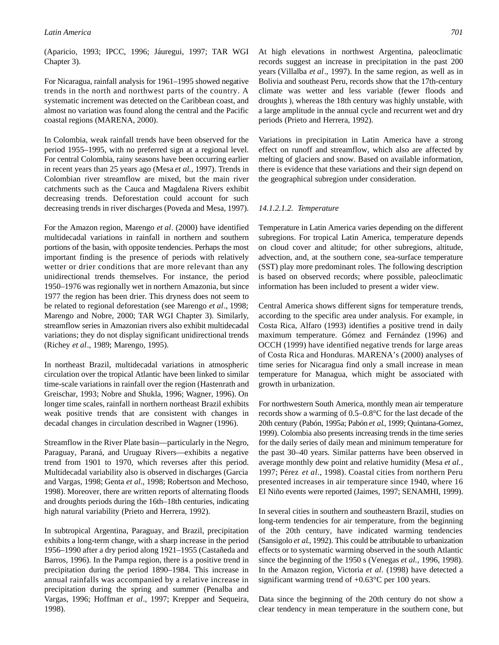(Aparicio, 1993; IPCC, 1996; Jáuregui, 1997; TAR WGI Chapter 3).

For Nicaragua, rainfall analysis for 1961–1995 showed negative trends in the north and northwest parts of the country. A systematic increment was detected on the Caribbean coast, and almost no variation was found along the central and the Pacific coastal regions (MARENA, 2000).

In Colombia, weak rainfall trends have been observed for the period 1955–1995, with no preferred sign at a regional level. For central Colombia, rainy seasons have been occurring earlier in recent years than 25 years ago (Mesa *et al.,* 1997). Trends in Colombian river streamflow are mixed, but the main river catchments such as the Cauca and Magdalena Rivers exhibit decreasing trends. Deforestation could account for such decreasing trends in river discharges (Poveda and Mesa, 1997).

For the Amazon region, Marengo *et al*. (2000) have identified multidecadal variations in rainfall in northern and southern portions of the basin, with opposite tendencies. Perhaps the most important finding is the presence of periods with relatively wetter or drier conditions that are more relevant than any unidirectional trends themselves. For instance, the period 1950–1976 was regionally wet in northern Amazonia, but since 1977 the region has been drier. This dryness does not seem to be related to regional deforestation (see Marengo *et al*., 1998; Marengo and Nobre, 2000; TAR WGI Chapter 3). Similarly, streamflow series in Amazonian rivers also exhibit multidecadal variations; they do not display significant unidirectional trends (Richey *et al*., 1989; Marengo, 1995).

In northeast Brazil, multidecadal variations in atmospheric circulation over the tropical Atlantic have been linked to similar time-scale variations in rainfall over the region (Hastenrath and Greischar, 1993; Nobre and Shukla, 1996; Wagner, 1996). On longer time scales, rainfall in northern northeast Brazil exhibits weak positive trends that are consistent with changes in decadal changes in circulation described in Wagner (1996).

Streamflow in the River Plate basin—particularly in the Negro, Paraguay, Paraná, and Uruguay Rivers—exhibits a negative trend from 1901 to 1970, which reverses after this period. Multidecadal variability also is observed in discharges (Garcia and Vargas, 1998; Genta *et al*., 1998; Robertson and Mechoso, 1998). Moreover, there are written reports of alternating floods and droughts periods during the 16th–18th centuries, indicating high natural variability (Prieto and Herrera, 1992).

In subtropical Argentina, Paraguay, and Brazil, precipitation exhibits a long-term change, with a sharp increase in the period 1956–1990 after a dry period along 1921–1955 (Castañeda and Barros, 1996). In the Pampa region, there is a positive trend in precipitation during the period 1890–1984. This increase in annual rainfalls was accompanied by a relative increase in precipitation during the spring and summer (Penalba and Vargas, 1996; Hoffman *et al*., 1997; Krepper and Sequeira, 1998).

At high elevations in northwest Argentina, paleoclimatic records suggest an increase in precipitation in the past 200 years (Villalba *et al*., 1997). In the same region, as well as in Bolivia and southeast Peru, records show that the 17th-century climate was wetter and less variable (fewer floods and droughts ), whereas the 18th century was highly unstable, with a large amplitude in the annual cycle and recurrent wet and dry periods (Prieto and Herrera, 1992).

Variations in precipitation in Latin America have a strong effect on runoff and streamflow, which also are affected by melting of glaciers and snow. Based on available information, there is evidence that these variations and their sign depend on the geographical subregion under consideration.

#### *14.1.2.1.2. Temperature*

Temperature in Latin America varies depending on the different subregions. For tropical Latin America, temperature depends on cloud cover and altitude; for other subregions, altitude, advection, and, at the southern cone, sea-surface temperature (SST) play more predominant roles. The following description is based on observed records; where possible, paleoclimatic information has been included to present a wider view.

Central America shows different signs for temperature trends, according to the specific area under analysis. For example, in Costa Rica, Alfaro (1993) identifies a positive trend in daily maximum temperature. Gómez and Fernández (1996) and OCCH (1999) have identified negative trends for large areas of Costa Rica and Honduras. MARENA's (2000) analyses of time series for Nicaragua find only a small increase in mean temperature for Managua, which might be associated with growth in urbanization.

For northwestern South America, monthly mean air temperature records show a warming of 0.5–0.8°C for the last decade of the 20th century (Pabón, 1995a; Pabón *et al*., 1999; Quintana-Gomez, 1999). Colombia also presents increasing trends in the time series for the daily series of daily mean and minimum temperature for the past 30–40 years. Similar patterns have been observed in average monthly dew point and relative humidity (Mesa *et al.*, 1997; Pérez *et al*., 1998). Coastal cities from northern Peru presented increases in air temperature since 1940, where 16 El Niño events were reported (Jaimes, 1997; SENAMHI, 1999).

In several cities in southern and southeastern Brazil, studies on long-term tendencies for air temperature, from the beginning of the 20th century, have indicated warming tendencies (Sansigolo *et al*., 1992). This could be attributable to urbanization effects or to systematic warming observed in the south Atlantic since the beginning of the 1950 s (Venegas *et al.,* 1996, 1998). In the Amazon region, Victoria *et al*. (1998) have detected a significant warming trend of +0.63°C per 100 years.

Data since the beginning of the 20th century do not show a clear tendency in mean temperature in the southern cone, but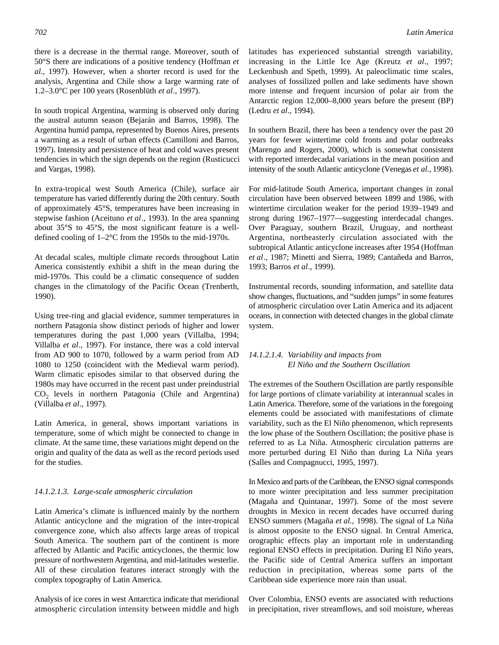there is a decrease in the thermal range. Moreover, south of 50°S there are indications of a positive tendency (Hoffman *et al*., 1997). However, when a shorter record is used for the analysis, Argentina and Chile show a large warming rate of 1.2–3.0°C per 100 years (Rosenblüth *et al*., 1997).

In south tropical Argentina, warming is observed only during the austral autumn season (Bejarán and Barros, 1998). The Argentina humid pampa, represented by Buenos Aires, presents a warming as a result of urban effects (Camilloni and Barros, 1997). Intensity and persistence of heat and cold waves present tendencies in which the sign depends on the region (Rusticucci and Vargas, 1998).

In extra-tropical west South America (Chile), surface air temperature has varied differently during the 20th century. South of approximately 45°S, temperatures have been increasing in stepwise fashion (Aceituno *et al*., 1993). In the area spanning about 35°S to 45°S, the most significant feature is a welldefined cooling of 1–2°C from the 1950s to the mid-1970s.

At decadal scales, multiple climate records throughout Latin America consistently exhibit a shift in the mean during the mid-1970s. This could be a climatic consequence of sudden changes in the climatology of the Pacific Ocean (Trenberth, 1990).

Using tree-ring and glacial evidence, summer temperatures in northern Patagonia show distinct periods of higher and lower temperatures during the past 1,000 years (Villalba, 1994; Villalba *et al*., 1997). For instance, there was a cold interval from AD 900 to 1070, followed by a warm period from AD 1080 to 1250 (coincident with the Medieval warm period). Warm climatic episodes similar to that observed during the 1980s may have occurred in the recent past under preindustrial CO<sub>2</sub> levels in northern Patagonia (Chile and Argentina) (Villalba *et al*., 1997).

Latin America, in general, shows important variations in temperature, some of which might be connected to change in climate. At the same time, these variations might depend on the origin and quality of the data as well as the record periods used for the studies.

#### *14.1.2.1.3. Large-scale atmospheric circulation*

Latin America's climate is influenced mainly by the northern Atlantic anticyclone and the migration of the inter-tropical convergence zone, which also affects large areas of tropical South America. The southern part of the continent is more affected by Atlantic and Pacific anticyclones, the thermic low pressure of northwestern Argentina, and mid-latitudes westerlie. All of these circulation features interact strongly with the complex topography of Latin America.

Analysis of ice cores in west Antarctica indicate that meridional atmospheric circulation intensity between middle and high latitudes has experienced substantial strength variability, increasing in the Little Ice Age (Kreutz *et al*., 1997; Leckenbush and Speth, 1999). At paleoclimatic time scales, analyses of fossilized pollen and lake sediments have shown more intense and frequent incursion of polar air from the Antarctic region 12,000–8,000 years before the present (BP) (Ledru *et al*., 1994).

In southern Brazil, there has been a tendency over the past 20 years for fewer wintertime cold fronts and polar outbreaks (Marengo and Rogers, 2000), which is somewhat consistent with reported interdecadal variations in the mean position and intensity of the south Atlantic anticyclone (Venegas et al., 1998).

For mid-latitude South America, important changes in zonal circulation have been observed between 1899 and 1986, with wintertime circulation weaker for the period 1939–1949 and strong during 1967–1977—suggesting interdecadal changes. Over Paraguay, southern Brazil, Uruguay, and northeast Argentina, northeasterly circulation associated with the subtropical Atlantic anticyclone increases after 1954 (Hoffman *et al*., 1987; Minetti and Sierra, 1989; Cantañeda and Barros, 1993; Barros *et al*., 1999).

Instrumental records, sounding information, and satellite data show changes, fluctuations, and "sudden jumps" in some features of atmospheric circulation over Latin America and its adjacent oceans, in connection with detected changes in the global climate system.

#### *14.1.2.1.4. Variability and impacts from El Niño and the Southern Oscillation*

The extremes of the Southern Oscillation are partly responsible for large portions of climate variability at interannual scales in Latin America. Therefore, some of the variations in the foregoing elements could be associated with manifestations of climate variability, such as the El Niño phenomenon, which represents the low phase of the Southern Oscillation; the positive phase is referred to as La Niña. Atmospheric circulation patterns are more perturbed during El Niño than during La Niña years (Salles and Compagnucci, 1995, 1997).

In Mexico and parts of the Caribbean, the ENSO signal corresponds to more winter precipitation and less summer precipitation (Magaña and Quintanar, 1997). Some of the most severe droughts in Mexico in recent decades have occurred during ENSO summers (Magaña *et al.,* 1998). The signal of La Niña is almost opposite to the ENSO signal. In Central America, orographic effects play an important role in understanding regional ENSO effects in precipitation. During El Niño years, the Pacific side of Central America suffers an important reduction in precipitation, whereas some parts of the Caribbean side experience more rain than usual.

Over Colombia, ENSO events are associated with reductions in precipitation, river streamflows, and soil moisture, whereas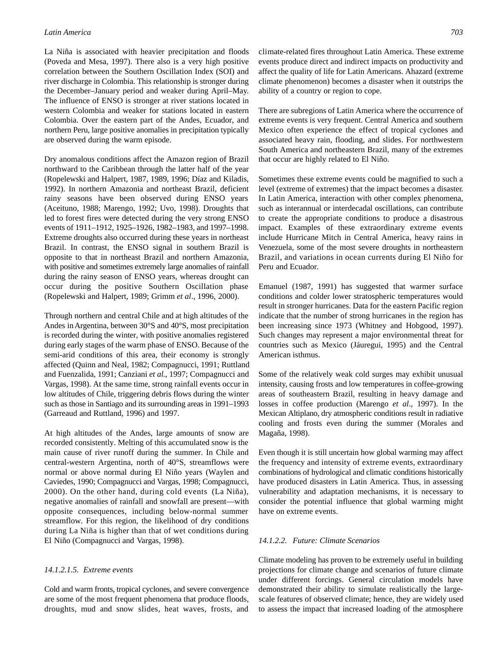La Niña is associated with heavier precipitation and floods (Poveda and Mesa, 1997). There also is a very high positive correlation between the Southern Oscillation Index (SOI) and river discharge in Colombia. This relationship is stronger during the December–January period and weaker during April–May. The influence of ENSO is stronger at river stations located in western Colombia and weaker for stations located in eastern Colombia. Over the eastern part of the Andes, Ecuador, and northern Peru, large positive anomalies in precipitation typically are observed during the warm episode.

Dry anomalous conditions affect the Amazon region of Brazil northward to the Caribbean through the latter half of the year (Ropelewski and Halpert, 1987, 1989, 1996; Díaz and Kiladis, 1992). In northern Amazonia and northeast Brazil, deficient rainy seasons have been observed during ENSO years (Aceituno, 1988; Marengo, 1992; Uvo, 1998). Droughts that led to forest fires were detected during the very strong ENSO events of 1911–1912, 1925–1926, 1982–1983, and 1997–1998. Extreme droughts also occurred during these years in northeast Brazil. In contrast, the ENSO signal in southern Brazil is opposite to that in northeast Brazil and northern Amazonia, with positive and sometimes extremely large anomalies of rainfall during the rainy season of ENSO years, whereas drought can occur during the positive Southern Oscillation phase (Ropelewski and Halpert, 1989; Grimm *et al*., 1996, 2000).

Through northern and central Chile and at high altitudes of the Andes in Argentina, between  $30^{\circ}$ S and  $40^{\circ}$ S, most precipitation is recorded during the winter, with positive anomalies registered during early stages of the warm phase of ENSO. Because of the semi-arid conditions of this area, their economy is strongly affected (Quinn and Neal, 1982; Compagnucci, 1991; Ruttland and Fuenzalida, 1991; Canziani *et al*., 1997; Compagnucci and Vargas, 1998). At the same time, strong rainfall events occur in low altitudes of Chile, triggering debris flows during the winter such as those in Santiago and its surrounding areas in 1991–1993 (Garreaud and Ruttland, 1996) and 1997.

At high altitudes of the Andes, large amounts of snow are recorded consistently. Melting of this accumulated snow is the main cause of river runoff during the summer. In Chile and central-western Argentina, north of 40°S, streamflows were normal or above normal during El Niño years (Waylen and Caviedes, 1990; Compagnucci and Vargas, 1998; Compagnucci, 2000). On the other hand, during cold events (La Niña), negative anomalies of rainfall and snowfall are present—with opposite consequences, including below-normal summer streamflow. For this region, the likelihood of dry conditions during La Niña is higher than that of wet conditions during El Niño (Compagnucci and Vargas, 1998).

#### *14.1.2.1.5. Extreme events*

Cold and warm fronts, tropical cyclones, and severe convergence are some of the most frequent phenomena that produce floods, droughts, mud and snow slides, heat waves, frosts, and

climate-related fires throughout Latin America. These extreme events produce direct and indirect impacts on productivity and a ffect the quality of life for Latin Americans. Ahazard (extreme climate phenomenon) becomes a disaster when it outstrips the ability of a country or region to cope.

There are subregions of Latin America where the occurrence of extreme events is very frequent. Central America and southern Mexico often experience the effect of tropical cyclones and associated heavy rain, flooding, and slides. For northwestern South America and northeastern Brazil, many of the extremes that occur are highly related to El Niño.

Sometimes these extreme events could be magnified to such a level (extreme of extremes) that the impact becomes a disaster. In Latin America, interaction with other complex phenomena, such as interannual or interdecadal oscillations, can contribute to create the appropriate conditions to produce a disastrous impact. Examples of these extraordinary extreme events include Hurricane Mitch in Central America, heavy rains in Venezuela, some of the most severe droughts in northeastern Brazil, and variations in ocean currents during El Niño for Peru and Ecuador.

Emanuel (1987, 1991) has suggested that warmer surface conditions and colder lower stratospheric temperatures would result in stronger hurricanes. Data for the eastern Pacific region indicate that the number of strong hurricanes in the region has been increasing since 1973 (Whitney and Hobgood, 1997). Such changes may represent a major environmental threat for countries such as Mexico (Jáuregui, 1995) and the Central American isthmus.

Some of the relatively weak cold surges may exhibit unusual intensity, causing frosts and low temperatures in coffee-growing areas of southeastern Brazil, resulting in heavy damage and losses in coffee production (Marengo *et al*., 1997). In the Mexican Altiplano, dry atmospheric conditions result in radiative cooling and frosts even during the summer (Morales and Magaña, 1998).

Even though it is still uncertain how global warming may affect the frequency and intensity of extreme events, extraordinary combinations of hydrological and climatic conditions historically have produced disasters in Latin America. Thus, in assessing vulnerability and adaptation mechanisms, it is necessary to consider the potential influence that global warming might have on extreme events.

#### *14.1.2.2. Future: Climate Scenarios*

Climate modeling has proven to be extremely useful in building projections for climate change and scenarios of future climate under different forcings. General circulation models have demonstrated their ability to simulate realistically the largescale features of observed climate; hence, they are widely used to assess the impact that increased loading of the atmosphere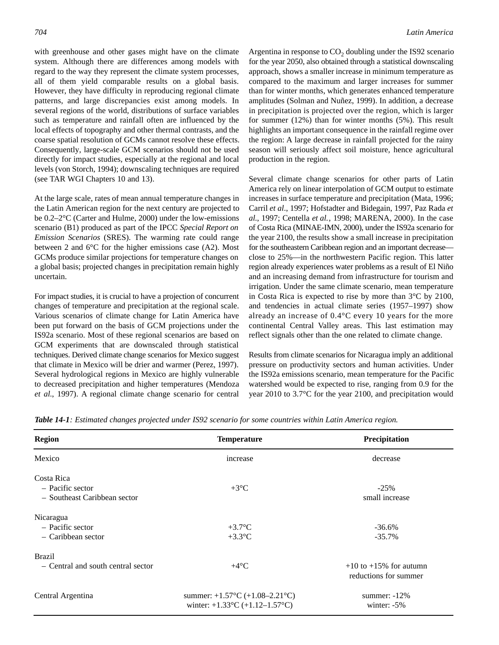with greenhouse and other gases might have on the climate system. Although there are differences among models with regard to the way they represent the climate system processes, all of them yield comparable results on a global basis. However, they have difficulty in reproducing regional climate patterns, and large discrepancies exist among models. In several regions of the world, distributions of surface variables such as temperature and rainfall often are influenced by the local effects of topography and other thermal contrasts, and the coarse spatial resolution of GCMs cannot resolve these effects. Consequently, large-scale GCM scenarios should not be used directly for impact studies, especially at the regional and local levels (von Storch, 1994); downscaling techniques are required (see TAR WGI Chapters 10 and 13).

At the large scale, rates of mean annual temperature changes in the Latin American region for the next century are projected to be 0.2–2°C (Carter and Hulme, 2000) under the low-emissions scenario (B1) produced as part of the IPCC *Special Report on Emission Scenarios* (SRES). The warming rate could range between 2 and 6°C for the higher emissions case (A2). Most GCMs produce similar projections for temperature changes on a global basis; projected changes in precipitation remain highly uncertain.

For impact studies, it is crucial to have a projection of concurrent changes of temperature and precipitation at the regional scale. Various scenarios of climate change for Latin America have been put forward on the basis of GCM projections under the IS92a scenario. Most of these regional scenarios are based on GCM experiments that are downscaled through statistical techniques. Derived climate change scenarios for Mexico suggest that climate in Mexico will be drier and warmer (Perez, 1997). Several hydrological regions in Mexico are highly vulnerable to decreased precipitation and higher temperatures (Mendoza *et al.*, 1997). A regional climate change scenario for central Argentina in response to  $CO<sub>2</sub>$  doubling under the IS92 scenario for the year 2050, also obtained through a statistical downscaling approach, shows a smaller increase in minimum temperature as compared to the maximum and larger increases for summer than for winter months, which generates enhanced temperature amplitudes (Solman and Nuñez, 1999). In addition, a decrease in precipitation is projected over the region, which is larger for summer (12%) than for winter months (5%). This result highlights an important consequence in the rainfall regime over the region: A large decrease in rainfall projected for the rainy season will seriously affect soil moisture, hence agricultural production in the region.

Several climate change scenarios for other parts of Latin America rely on linear interpolation of GCM output to estimate increases in surface temperature and precipitation (Mata, 1996; Carril *et al*., 1997; Hofstadter and Bidegain, 1997, Paz Rada *et al*., 1997; Centella *et al.*, 1998; MARENA, 2000). In the case of Costa Rica (MINAE-IMN, 2000), under the IS92a scenario for the year 2100, the results show a small increase in precipitation for the southeastern Caribbean region and an important decrease close to 25%—in the northwestern Pacific region. This latter region already experiences water problems as a result of El Niño and an increasing demand from infrastructure for tourism and irrigation. Under the same climate scenario, mean temperature in Costa Rica is expected to rise by more than 3°C by 2100, and tendencies in actual climate series (1957–1997) show already an increase of 0.4°C every 10 years for the more continental Central Valley areas. This last estimation may reflect signals other than the one related to climate change.

Results from climate scenarios for Nicaragua imply an additional pressure on productivity sectors and human activities. Under the IS92a emissions scenario, mean temperature for the Pacific watershed would be expected to rise, ranging from 0.9 for the year 2010 to 3.7°C for the year 2100, and precipitation would

*Table 14-1: Estimated changes projected under IS92 scenario for some countries within Latin America region.*

| <b>Region</b>                      | <b>Temperature</b>                                                                                       | Precipitation                                        |  |
|------------------------------------|----------------------------------------------------------------------------------------------------------|------------------------------------------------------|--|
| Mexico                             | increase                                                                                                 | decrease                                             |  |
| Costa Rica                         |                                                                                                          |                                                      |  |
| - Pacific sector                   | $+3$ °C                                                                                                  | $-25%$                                               |  |
| - Southeast Caribbean sector       |                                                                                                          | small increase                                       |  |
| Nicaragua                          |                                                                                                          |                                                      |  |
| - Pacific sector                   | $+3.7$ °C                                                                                                | $-36.6\%$                                            |  |
| - Caribbean sector                 | $+3.3$ °C                                                                                                | $-35.7\%$                                            |  |
| <b>Brazil</b>                      |                                                                                                          |                                                      |  |
| - Central and south central sector | $+4^{\circ}C$                                                                                            | $+10$ to $+15\%$ for autumn<br>reductions for summer |  |
| Central Argentina                  | summer: $+1.57^{\circ}C$ ( $+1.08-2.21^{\circ}C$ )<br>winter: $+1.33^{\circ}C$ ( $+1.12-1.57^{\circ}C$ ) | summer: $-12\%$<br>winter: $-5\%$                    |  |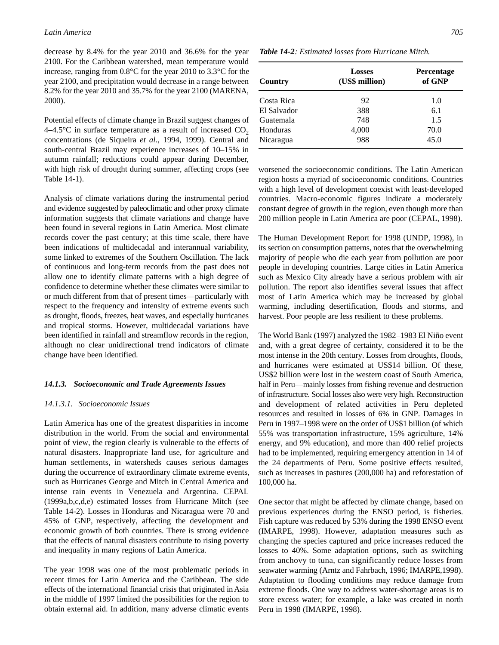decrease by 8.4% for the year 2010 and 36.6% for the year 2100. For the Caribbean watershed, mean temperature would increase, ranging from 0.8°C for the year 2010 to 3.3°C for the year 2100, and precipitation would decrease in a range between 8.2% for the year 2010 and 35.7% for the year 2100 (MARENA, 2000).

Potential effects of climate change in Brazil suggest changes of 4–4.5 $\degree$ C in surface temperature as a result of increased CO<sub>2</sub> concentrations (de Siqueira *et al*., 1994, 1999). Central and south-central Brazil may experience increases of 10–15% in autumn rainfall; reductions could appear during December, with high risk of drought during summer, affecting crops (see Table 14-1).

Analysis of climate variations during the instrumental period and evidence suggested by paleoclimatic and other proxy climate information suggests that climate variations and change have been found in several regions in Latin America. Most climate records cover the past century; at this time scale, there have been indications of multidecadal and interannual variability, some linked to extremes of the Southern Oscillation. The lack of continuous and long-term records from the past does not allow one to identify climate patterns with a high degree of confidence to determine whether these climates were similar to or much different from that of present times—particularly with respect to the frequency and intensity of extreme events such as drought, floods, freezes, heat waves, and especially hurricanes and tropical storms. However, multidecadal variations have been identified in rainfall and streamflow records in the region, although no clear unidirectional trend indicators of climate change have been identified.

#### *14.1.3. Socioeconomic and Trade Agreements Issues*

#### *14.1.3.1. Socioeconomic Issues*

Latin America has one of the greatest disparities in income distribution in the world. From the social and environmental point of view, the region clearly is vulnerable to the effects of natural disasters. Inappropriate land use, for agriculture and human settlements, in watersheds causes serious damages during the occurrence of extraordinary climate extreme events, such as Hurricanes George and Mitch in Central America and intense rain events in Venezuela and Argentina. CEPAL (1999a,b,c,d,e) estimated losses from Hurricane Mitch (see Table 14-2). Losses in Honduras and Nicaragua were 70 and 45% of GNP, respectively, affecting the development and e conomic growth of both countries. There is strong evidence that the effects of natural disasters contribute to rising poverty and inequality in many regions of Latin America.

The year 1998 was one of the most problematic periods in recent times for Latin America and the Caribbean. The side effects of the international financial crisis that originated in Asia in the middle of 1997 limited the possibilities for the region to obtain external aid. In addition, many adverse climatic events

*Table 14-2: Estimated losses from Hurricane Mitch.*

| Country     | <b>Losses</b><br>(US\$ million) | <b>Percentage</b><br>of GNP |
|-------------|---------------------------------|-----------------------------|
| Costa Rica  | 92                              | 1.0                         |
| El Salvador | 388                             | 6.1                         |
| Guatemala   | 748                             | 1.5                         |
| Honduras    | 4,000                           | 70.0                        |
| Nicaragua   | 988                             | 45.0                        |

worsened the socioeconomic conditions. The Latin American region hosts a myriad of socioeconomic conditions. Countries with a high level of development coexist with least-developed countries. Macro-economic figures indicate a moderately constant degree of growth in the region, even though more than 200 million people in Latin America are poor (CEPAL, 1998).

The Human Development Report for 1998 (UNDP, 1998), in its section on consumption patterns, notes that the overwhelming majority of people who die each year from pollution are poor people in developing countries. Large cities in Latin America such as Mexico City already have a serious problem with air pollution. The report also identifies several issues that affect most of Latin America which may be increased by global warming, including desertification, floods and storms, and harvest. Poor people are less resilient to these problems.

The World Bank (1997) analyzed the 1982–1983 El Niño event and, with a great degree of certainty, considered it to be the most intense in the 20th century. Losses from droughts, floods, and hurricanes were estimated at US\$14 billion. Of these, US\$2 billion were lost in the western coast of South America, half in Peru—mainly losses from fishing revenue and destruction of infrastructure. Social losses also were very high. Reconstruction and development of related activities in Peru depleted resources and resulted in losses of 6% in GNP. Damages in Peru in 1997–1998 were on the order of US\$1 billion (of which 55% was transportation infrastructure, 15% agriculture, 14% energy, and 9% education), and more than 400 relief projects had to be implemented, requiring emergency attention in 14 of the 24 departments of Peru. Some positive effects resulted, such as increases in pastures (200,000 ha) and reforestation of 100,000 ha.

One sector that might be affected by climate change, based on previous experiences during the ENSO period, is fisheries. Fish capture was reduced by 53% during the 1998 ENSO event (IMARPE, 1998). However, adaptation measures such as changing the species captured and price increases reduced the losses to 40%. Some adaptation options, such as switching from anchovy to tuna, can significantly reduce losses from seawater warming (Arntz and Fahrbach, 1996; IMARPE, 1998). Adaptation to flooding conditions may reduce damage from extreme floods. One way to address water-shortage areas is to store excess water; for example, a lake was created in north Peru in 1998 (IMARPE, 1998).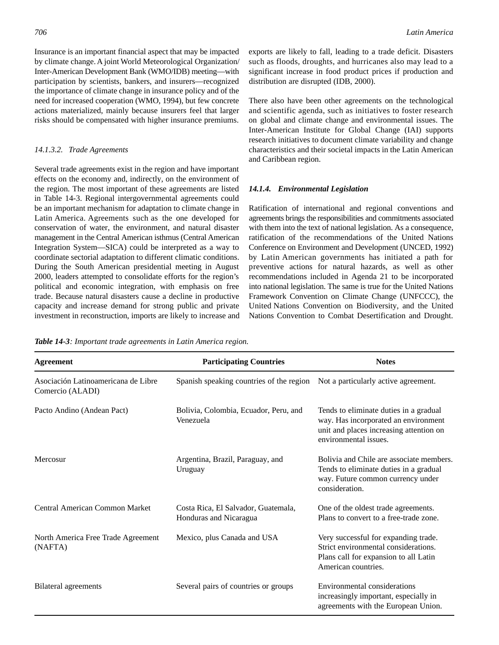Insurance is an important financial aspect that may be impacted by climate change. A joint World Meteorological Organization/ Inter-American Development Bank (WMO/IDB) meeting—with participation by scientists, bankers, and insurers—recognized the importance of climate change in insurance policy and of the need for increased cooperation (WMO, 1994), but few concrete actions materialized, mainly because insurers feel that larger risks should be compensated with higher insurance premiums.

#### *14.1.3.2. Trade Agreements*

Several trade agreements exist in the region and have important effects on the economy and, indirectly, on the environment of the region. The most important of these agreements are listed in Table 14-3. Regional intergovernmental agreements could be an important mechanism for adaptation to climate change in Latin America. Agreements such as the one developed for conservation of water, the environment, and natural disaster management in the Central American isthmus (Central American Integration System—SICA) could be interpreted as a way to coordinate sectorial adaptation to different climatic conditions. During the South American presidential meeting in August 2000, leaders attempted to consolidate efforts for the region's political and economic integration, with emphasis on free trade. Because natural disasters cause a decline in productive capacity and increase demand for strong public and private investment in reconstruction, imports are likely to increase and exports are likely to fall, leading to a trade deficit. Disasters such as floods, droughts, and hurricanes also may lead to a significant increase in food product prices if production and distribution are disrupted (IDB, 2000).

There also have been other agreements on the technological and scientific agenda, such as initiatives to foster research on global and climate change and environmental issues. The Inter-American Institute for Global Change (IAI) supports research initiatives to document climate variability and change characteristics and their societal impacts in the Latin American and Caribbean region.

#### *14.1.4. Environmental Legislation*

Ratification of international and regional conventions and agreements brings the responsibilities and commitments associated with them into the text of national legislation. As a consequence, ratification of the recommendations of the United Nations Conference on Environment and Development (UNCED, 1992) by Latin American governments has initiated a path for preventive actions for natural hazards, as well as other recommendations included in Agenda 21 to be incorporated into national legislation. The same is true for the United Nations Framework Convention on Climate Change (UNFCCC), the United Nations Convention on Biodiversity, and the United Nations Convention to Combat Desertification and Drought.

*Table 14-3: Important trade agreements in Latin America region.*

| <b>Agreement</b>                                        | <b>Participating Countries</b>                                                | <b>Notes</b>                                                                                                                                       |
|---------------------------------------------------------|-------------------------------------------------------------------------------|----------------------------------------------------------------------------------------------------------------------------------------------------|
| Asociación Latinoamericana de Libre<br>Comercio (ALADI) | Spanish speaking countries of the region Not a particularly active agreement. |                                                                                                                                                    |
| Pacto Andino (Andean Pact)                              | Bolivia, Colombia, Ecuador, Peru, and<br>Venezuela                            | Tends to eliminate duties in a gradual<br>way. Has incorporated an environment<br>unit and places increasing attention on<br>environmental issues. |
| Mercosur                                                | Argentina, Brazil, Paraguay, and<br>Uruguay                                   | Bolivia and Chile are associate members.<br>Tends to eliminate duties in a gradual<br>way. Future common currency under<br>consideration.          |
| Central American Common Market                          | Costa Rica, El Salvador, Guatemala,<br>Honduras and Nicaragua                 | One of the oldest trade agreements.<br>Plans to convert to a free-trade zone.                                                                      |
| North America Free Trade Agreement<br>(NAFTA)           | Mexico, plus Canada and USA                                                   | Very successful for expanding trade.<br>Strict environmental considerations.<br>Plans call for expansion to all Latin<br>American countries.       |
| <b>Bilateral agreements</b>                             | Several pairs of countries or groups                                          | Environmental considerations<br>increasingly important, especially in<br>agreements with the European Union.                                       |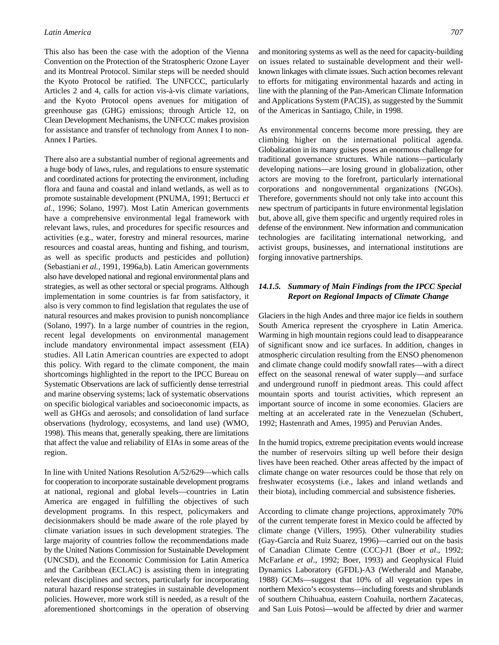This also has been the case with the adoption of the Vienna Convention on the Protection of the Stratospheric Ozone Layer and its Montreal Protocol. Similar steps will be needed should the Kyoto Protocol be ratified. The UNFCCC, particularly Articles 2 and 4, calls for action vis-à-vis climate variations, and the Kyoto Protocol opens avenues for mitigation of greenhouse gas (GHG) emissions; through Article 12, on Clean Development Mechanisms, the UNFCCC makes provision for assistance and transfer of technology from Annex I to non-Annex I Parties.

There also are a substantial number of regional agreements and a huge body of laws, rules, and regulations to ensure systematic and coordinated actions for protecting the environment, including flora and fauna and coastal and inland wetlands, as well as to promote sustainable development (PNUMA, 1991; Bertucci *et al.*, 1996; Solano, 1997). Most Latin American governments have a comprehensive environmental legal framework with relevant laws, rules, and procedures for specific resources and activities (e.g., water, forestry and mineral resources, marine resources and coastal areas, hunting and fishing, and tourism, as well as specific products and pesticides and pollution) (Sebastiani *et al.,* 1991, 1996a,b). Latin American governments also have developed national and regional environmental plans and strategies, as well as other sectoral or special programs. Although implementation in some countries is far from satisfactory, it also is very common to find legislation that regulates the use of natural resources and makes provision to punish noncompliance (Solano, 1997). In a large number of countries in the region, recent legal developments on environmental management include mandatory environmental impact assessment (EIA) studies. All Latin American countries are expected to adopt this policy. With regard to the climate component, the main shortcomings highlighted in the report to the IPCC Bureau on Systematic Observations are lack of sufficiently dense terrestrial and marine observing systems; lack of systematic observations on specific biological variables and socioeconomic impacts, as well as GHGs and aerosols; and consolidation of land surface observations (hydrology, ecosystems, and land use) (WMO, 1998). This means that, generally speaking, there are limitations that affect the value and reliability of EIAs in some areas of the region.

In line with United Nations Resolution A/52/629—which calls for cooperation to incorporate sustainable development programs at national, regional and global levels—countries in Latin America are engaged in fulfilling the objectives of such development programs. In this respect, policymakers and decisionmakers should be made aware of the role played by climate variation issues in such development strategies. The large majority of countries follow the recommendations made by the United Nations Commission for Sustainable Development (UNCSD), and the Economic Commission for Latin America and the Caribbean (ECLAC) is assisting them in integrating relevant disciplines and sectors, particularly for incorporating natural hazard response strategies in sustainable development policies. However, more work still is needed, as a result of the aforementioned shortcomings in the operation of observing

and monitoring systems as well as the need for capacity-building on issues related to sustainable development and their wellknown linkages with climate issues. Such action becomes relevant to efforts for mitigating environmental hazards and acting in line with the planning of the Pan-American Climate Information and Applications System (PACIS), as suggested by the Summit of the Americas in Santiago, Chile, in 1998.

As environmental concerns become more pressing, they are climbing higher on the international political agenda. Globalization in its many guises poses an enormous challenge for traditional governance structures. While nations—particularly developing nations—are losing ground in globalization, other actors are moving to the forefront, particularly international corporations and nongovernmental organizations (NGOs). Therefore, governments should not only take into account this new spectrum of participants in future environmental legislation but, above all, give them specific and urgently required roles in defense of the environment. New information and communication technologies are facilitating international networking, and activist groups, businesses, and international institutions are forging innovative partnerships.

#### *14.1.5. Summary of Main Findings from the IPCC Special Report on Regional Impacts of Climate Change*

Glaciers in the high Andes and three major ice fields in southern South America represent the cryosphere in Latin America. Warming in high mountain regions could lead to disappearance of significant snow and ice surfaces. In addition, changes in atmospheric circulation resulting from the ENSO phenomenon and climate change could modify snowfall rates—with a direct effect on the seasonal renewal of water supply—and surface and underground runoff in piedmont areas. This could affect mountain sports and tourist activities, which represent an important source of income in some economies. Glaciers are melting at an accelerated rate in the Venezuelan (Schubert, 1992; Hastenrath and Ames, 1995) and Peruvian Andes.

In the humid tropics, extreme precipitation events would increase the number of reservoirs silting up well before their design lives have been reached. Other areas affected by the impact of climate change on water resources could be those that rely on freshwater ecosystems (i.e., lakes and inland wetlands and their biota), including commercial and subsistence fisheries.

According to climate change projections, approximately 70% of the current temperate forest in Mexico could be affected by climate change (Villers, 1995). Other vulnerability studies (Gay-García and Ruiz Suarez, 1996)—carried out on the basis of Canadian Climate Centre (CCC)-J1 (Boer *et al*., 1992; McFarlane *et al*., 1992; Boer, 1993) and Geophysical Fluid Dynamics Laboratory (GFDL)-A3 (Wetherald and Manabe, 1988) GCMs—suggest that 10% of all vegetation types in northern Mexico's ecosystems—including forests and shrublands of southern Chihuahua, eastern Coahuila, northern Zacatecas, and San Luis Potosì—would be affected by drier and warmer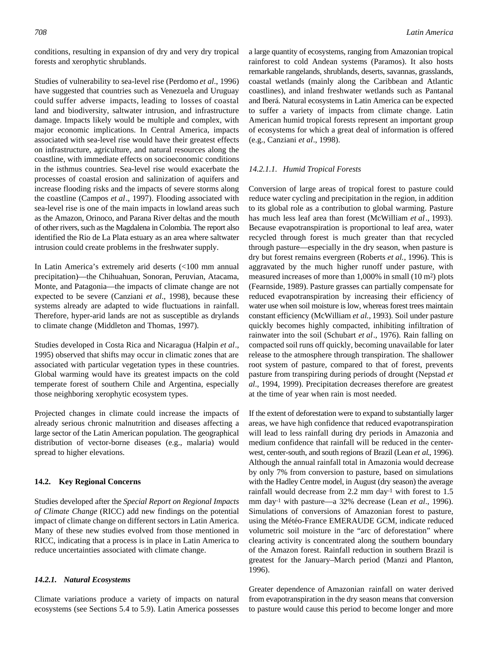Studies of vulnerability to sea-level rise (Perdomo *et al*., 1996) have suggested that countries such as Venezuela and Uruguay could suffer adverse impacts, leading to losses of coastal land and biodiversity, saltwater intrusion, and infrastructure damage. Impacts likely would be multiple and complex, with major economic implications. In Central America, impacts associated with sea-level rise would have their greatest effects on infrastructure, agriculture, and natural resources along the coastline, with immediate effects on socioeconomic conditions in the isthmus countries. Sea-level rise would exacerbate the processes of coastal erosion and salinization of aquifers and increase flooding risks and the impacts of severe storms along the coastline (Campos *et al*., 1997). Flooding associated with sea-level rise is one of the main impacts in lowland areas such as the Amazon, Orinoco, and Parana River deltas and the mouth of other rivers, such as the Magdalena in Colombia. The report also identified the Rio de La Plata estuary as an area where saltwater intrusion could create problems in the freshwater supply.

In Latin America's extremely arid deserts (<100 mm annual precipitation)—the Chihuahuan, Sonoran, Peruvian, Atacama, Monte, and Patagonia—the impacts of climate change are not expected to be severe (Canziani *et al*., 1998), because these systems already are adapted to wide fluctuations in rainfall. Therefore, hyper-arid lands are not as susceptible as drylands to climate change (Middleton and Thomas, 1997).

Studies developed in Costa Rica and Nicaragua (Halpin *et al*., 1995) observed that shifts may occur in climatic zones that are associated with particular vegetation types in these countries. Global warming would have its greatest impacts on the cold temperate forest of southern Chile and Argentina, especially those neighboring xerophytic ecosystem types.

Projected changes in climate could increase the impacts of already serious chronic malnutrition and diseases affecting a large sector of the Latin American population. The geographical distribution of vector-borne diseases (e.g., malaria) would spread to higher elevations.

#### **14.2. Key Regional Concerns**

Studies developed after the *Special Report on Regional Impacts of Climate Change* (RICC) add new findings on the potential impact of climate change on different sectors in Latin America. Many of these new studies evolved from those mentioned in RICC, indicating that a process is in place in Latin America to reduce uncertainties associated with climate change.

#### *14.2.1. Natural Ecosystems*

Climate variations produce a variety of impacts on natural ecosystems (see Sections 5.4 to 5.9). Latin America possesses a large quantity of ecosystems, ranging from Amazonian tropical rainforest to cold Andean systems (Paramos). It also hosts remarkable rangelands, shrublands, deserts, savannas, grasslands, coastal wetlands (mainly along the Caribbean and Atlantic coastlines), and inland freshwater wetlands such as Pantanal and Iberá. Natural ecosystems in Latin America can be expected to suffer a variety of impacts from climate change. Latin American humid tropical forests represent an important group of ecosystems for which a great deal of information is offered (e.g., Canziani *et al*., 1998).

#### *14.2.1.1. Humid Tropical Forests*

Conversion of large areas of tropical forest to pasture could reduce water cycling and precipitation in the region, in addition to its global role as a contribution to global warming. Pasture has much less leaf area than forest (McWilliam *et al*., 1993). Because evapotranspiration is proportional to leaf area, water recycled through forest is much greater than that recycled through pasture—especially in the dry season, when pasture is dry but forest remains evergreen (Roberts *et al.*, 1996). This is aggravated by the much higher runoff under pasture, with measured increases of more than  $1,000\%$  in small  $(10 \text{ m}^2)$  plots (Fearnside, 1989). Pasture grasses can partially compensate for reduced evapotranspiration by increasing their efficiency of water use when soil moisture is low, whereas forest trees maintain constant efficiency (McWilliam *et al.,* 1993). Soil under pasture quickly becomes highly compacted, inhibiting infiltration of rainwater into the soil (Schubart *et al*., 1976). Rain falling on compacted soil runs off quickly, becoming unavailable for later release to the atmosphere through transpiration. The shallower root system of pasture, compared to that of forest, prevents pasture from transpiring during periods of drought (Nepstad *et al*., 1994, 1999). Precipitation decreases therefore are greatest at the time of year when rain is most needed.

If the extent of deforestation were to expand to substantially larger areas, we have high confidence that reduced evapotranspiration will lead to less rainfall during dry periods in Amazonia and medium confidence that rainfall will be reduced in the centerwest, center-south, and south regions of Brazil (Lean *et al*., 1996). Although the annual rainfall total in Amazonia would decrease by only 7% from conversion to pasture, based on simulations with the Hadley Centre model, in August (dry season) the average rainfall would decrease from 2.2 mm day-1 with forest to 1.5 mm day-1 with pasture—a 32% decrease (Lean *et al*., 1996). Simulations of conversions of Amazonian forest to pasture, using the Météo-France EMERAUDE GCM, indicate reduced volumetric soil moisture in the "arc of deforestation" where clearing activity is concentrated along the southern boundary of the Amazon forest. Rainfall reduction in southern Brazil is greatest for the January–March period (Manzi and Planton, 1996).

Greater dependence of Amazonian rainfall on water derived from evapotranspiration in the dry season means that conversion to pasture would cause this period to become longer and more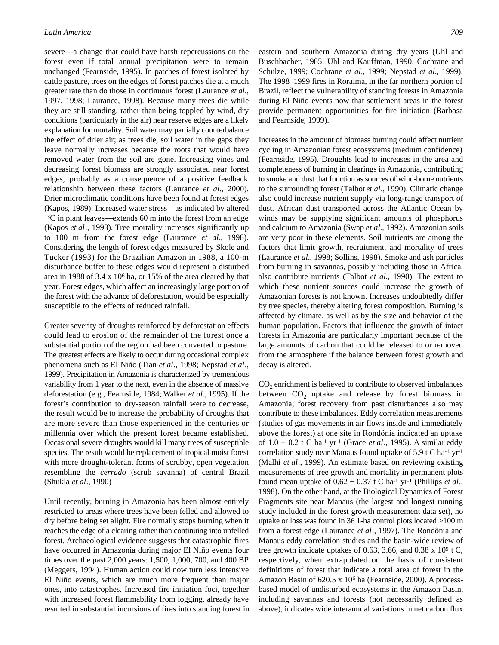severe—a change that could have harsh repercussions on the forest even if total annual precipitation were to remain unchanged (Fearnside, 1995). In patches of forest isolated by cattle pasture, trees on the edges of forest patches die at a much greater rate than do those in continuous forest (Laurance *et al*., 1997, 1998; Laurance, 1998). Because many trees die while they are still standing, rather than being toppled by wind, dry conditions (particularly in the air) near reserve edges are a likely explanation for mortality. Soil water may partially counterbalance the effect of drier air; as trees die, soil water in the gaps they leave normally increases because the roots that would have removed water from the soil are gone. Increasing vines and decreasing forest biomass are strongly associated near forest edges, probably as a consequence of a positive feedback relationship between these factors (Laurance *et al.*, 2000). Drier microclimatic conditions have been found at forest edges (Kapos, 1989). Increased water stress—as indicated by altered <sup>13</sup>C in plant leaves—extends 60 m into the forest from an edge (Kapos *et al*., 1993). Tree mortality increases significantly up to 100 m from the forest edge (Laurance *et al*., 1998). Considering the length of forest edges measured by Skole and Tucker (1993) for the Brazilian Amazon in 1988, a 100-m disturbance buffer to these edges would represent a disturbed area in 1988 of 3.4 x 10<sup>6</sup> ha, or 15% of the area cleared by that year. Forest edges, which affect an increasingly large portion of the forest with the advance of deforestation, would be especially susceptible to the effects of reduced rainfall.

Greater severity of droughts reinforced by deforestation effects could lead to erosion of the remainder of the forest once a substantial portion of the region had been converted to pasture. The greatest effects are likely to occur during occasional complex phenomena such as El Niño (Tian *et al*., 1998; Nepstad *et al*., 1999). Precipitation in Amazonia is characterized by tremendous variability from 1 year to the next, even in the absence of massive deforestation (e.g., Fearnside, 1984; Walker *et al*., 1995). If the forest's contribution to dry-season rainfall were to decrease, the result would be to increase the probability of droughts that are more severe than those experienced in the centuries or millennia over which the present forest became established. Occasional severe droughts would kill many trees of susceptible species. The result would be replacement of tropical moist forest with more drought-tolerant forms of scrubby, open vegetation resembling the *cerrado* (scrub savanna) of central Brazil (Shukla *et al*., 1990)

Until recently, burning in Amazonia has been almost entirely restricted to areas where trees have been felled and allowed to dry before being set alight. Fire normally stops burning when it reaches the edge of a clearing rather than continuing into unfelled forest. Archaeological evidence suggests that catastrophic fires have occurred in Amazonia during major El Niño events four times over the past 2,000 years: 1,500, 1,000, 700, and 400 BP (Meggers, 1994). Human action could now turn less intensive El Niño events, which are much more frequent than major ones, into catastrophes. Increased fire initiation foci, together with increased forest flammability from logging, already have resulted in substantial incursions of fires into standing forest in eastern and southern Amazonia during dry years (Uhl and Buschbacher, 1985; Uhl and Kauffman, 1990; Cochrane and Schulze, 1999; Cochrane *et al*., 1999; Nepstad *et al*., 1999). The 1998–1999 fires in Roraima, in the far northern portion of Brazil, reflect the vulnerability of standing forests in Amazonia during El Niño events now that settlement areas in the forest provide permanent opportunities for fire initiation (Barbosa and Fearnside, 1999).

Increases in the amount of biomass burning could affect nutrient cycling in Amazonian forest ecosystems (medium confidence) (Fearnside, 1995). Droughts lead to increases in the area and completeness of burning in clearings in Amazonia, contributing to smoke and dust that function as sources of wind-borne nutrients to the surrounding forest (Talbot *et al*., 1990). Climatic change also could increase nutrient supply via long-range transport of dust. African dust transported across the Atlantic Ocean by winds may be supplying significant amounts of phosphorus and calcium to Amazonia (Swap *et al*., 1992). Amazonian soils are very poor in these elements. Soil nutrients are among the factors that limit growth, recruitment, and mortality of trees (Laurance *et al*., 1998; Sollins, 1998). Smoke and ash particles from burning in savannas, possibly including those in Africa, also contribute nutrients (Talbot *et al*., 1990). The extent to which these nutrient sources could increase the growth of Amazonian forests is not known. Increases undoubtedly differ by tree species, thereby altering forest composition. Burning is affected by climate, as well as by the size and behavior of the human population. Factors that influence the growth of intact forests in Amazonia are particularly important because of the large amounts of carbon that could be released to or removed from the atmosphere if the balance between forest growth and decay is altered.

 $CO<sub>2</sub>$  enrichment is believed to contribute to observed imbalances between  $CO<sub>2</sub>$  uptake and release by forest biomass in Amazonia; forest recovery from past disturbances also may contribute to these imbalances. Eddy correlation measurements (studies of gas movements in air flows inside and immediately above the forest) at one site in Rondônia indicated an uptake of 1.0 ± 0.2 t C ha-1 yr-1 (Grace *et al*., 1995). A similar eddy correlation study near Manaus found uptake of 5.9 t C ha-1  $yr<sup>-1</sup>$ (Malhi *et al*., 1999). An estimate based on reviewing existing measurements of tree growth and mortality in permanent plots found mean uptake of  $0.62 \pm 0.37$  t C ha<sup>-1</sup> yr<sup>-1</sup> (Phillips *et al.*, 1998). On the other hand, at the Biological Dynamics of Forest Fragments site near Manaus (the largest and longest running study included in the forest growth measurement data set), no uptake or loss was found in 36 1-ha control plots located >100 m from a forest edge (Laurance *et al*., 1997). The Rondônia and Manaus eddy correlation studies and the basin-wide review of tree growth indicate uptakes of 0.63, 3.66, and 0.38 x  $10^9$  t C, respectively, when extrapolated on the basis of consistent definitions of forest that indicate a total area of forest in the Amazon Basin of 620.5 x 10<sup>6</sup> ha (Fearnside, 2000). A processbased model of undisturbed ecosystems in the Amazon Basin, including savannas and forests (not necessarily defined as above), indicates wide interannual variations in net carbon flux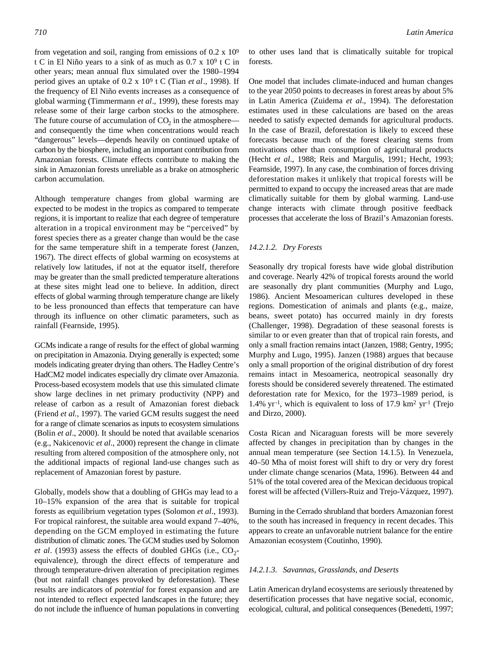from vegetation and soil, ranging from emissions of 0.2 x 10<sup>9</sup> t C in El Niño years to a sink of as much as 0.7 x 10<sup>9</sup> t C in other years; mean annual flux simulated over the 1980–1994 period gives an uptake of 0.2 x 10<sup>9</sup> t C (Tian *et al*., 1998). If the frequency of El Niño events increases as a consequence of global warming (Timmermann *et al*., 1999), these forests may release some of their large carbon stocks to the atmosphere. The future course of accumulation of  $CO<sub>2</sub>$  in the atmosphere and consequently the time when concentrations would reach "dangerous" levels—depends heavily on continued uptake of carbon by the biosphere, including an important contribution from Amazonian forests. Climate effects contribute to making the sink in Amazonian forests unreliable as a brake on atmospheric carbon accumulation.

Although temperature changes from global warming are expected to be modest in the tropics as compared to temperate regions, it is important to realize that each degree of temperature alteration in a tropical environment may be "perceived" by forest species there as a greater change than would be the case for the same temperature shift in a temperate forest (Janzen, 1967). The direct effects of global warming on ecosystems at relatively low latitudes, if not at the equator itself, therefore may be greater than the small predicted temperature alterations at these sites might lead one to believe. In addition, direct e ffects of global warming through temperature change are likely to be less pronounced than effects that temperature can have through its influence on other climatic parameters, such as rainfall (Fearnside, 1995).

GCMs indicate a range of results for the effect of global warming on precipitation in Amazonia. Drying generally is expected; some models indicating greater drying than others. The Hadley Centre's HadCM2 model indicates especially dry climate over Amazonia. Process-based ecosystem models that use this simulated climate show large declines in net primary productivity (NPP) and release of carbon as a result of Amazonian forest dieback (Friend *et al.,* 1997). The varied GCM results suggest the need for a range of climate scenarios as inputs to ecosystem simulations (Bolin *et al*., 2000). It should be noted that available scenarios (e.g., Nakicenovic *et al*., 2000) represent the change in climate resulting from altered composition of the atmosphere only, not the additional impacts of regional land-use changes such as replacement of Amazonian forest by pasture.

Globally, models show that a doubling of GHGs may lead to a 10–15% expansion of the area that is suitable for tropical forests as equilibrium vegetation types (Solomon *et al*., 1993). For tropical rainforest, the suitable area would expand 7–40%, depending on the GCM employed in estimating the future distribution of climatic zones. The GCM studies used by Solomon *et al.* (1993) assess the effects of doubled GHGs (i.e.,  $CO_2$ equivalence), through the direct effects of temperature and through temperature-driven alteration of precipitation regimes (but not rainfall changes provoked by deforestation). These results are indicators of *potential* for forest expansion and are not intended to reflect expected landscapes in the future; they do not include the influence of human populations in converting to other uses land that is climatically suitable for tropical forests.

One model that includes climate-induced and human changes to the year 2050 points to decreases in forest areas by about 5% in Latin America (Zuidema *et al*., 1994). The deforestation estimates used in these calculations are based on the areas needed to satisfy expected demands for agricultural products. In the case of Brazil, deforestation is likely to exceed these forecasts because much of the forest clearing stems from motivations other than consumption of agricultural products (Hecht *et al*., 1988; Reis and Margulis, 1991; Hecht, 1993; Fearnside, 1997). In any case, the combination of forces driving deforestation makes it unlikely that tropical forests will be permitted to expand to occupy the increased areas that are made climatically suitable for them by global warming. Land-use change interacts with climate through positive feedback processes that accelerate the loss of Brazil's Amazonian forests.

#### *14.2.1.2. Dry Forests*

Seasonally dry tropical forests have wide global distribution and coverage. Nearly 42% of tropical forests around the world are seasonally dry plant communities (Murphy and Lugo, 1986). Ancient Mesoamerican cultures developed in these regions. Domestication of animals and plants (e.g., maize, beans, sweet potato) has occurred mainly in dry forests (Challenger, 1998). Degradation of these seasonal forests is similar to or even greater than that of tropical rain forests, and only a small fraction remains intact (Janzen, 1988; Gentry, 1995; Murphy and Lugo, 1995). Janzen (1988) argues that because only a small proportion of the original distribution of dry forest remains intact in Mesoamerica, neotropical seasonally dry forests should be considered severely threatened. The estimated deforestation rate for Mexico, for the 1973–1989 period, is 1.4% yr<sup>-1</sup>, which is equivalent to loss of 17.9 km<sup>2</sup> yr<sup>-1</sup> (Trejo and Dirzo, 2000).

Costa Rican and Nicaraguan forests will be more severely affected by changes in precipitation than by changes in the annual mean temperature (see Section 14.1.5). In Venezuela, 40–50 Mha of moist forest will shift to dry or very dry forest under climate change scenarios (Mata, 1996). Between 44 and 51% of the total covered area of the Mexican deciduous tropical forest will be affected (Villers-Ruiz and Trejo-Vázquez, 1997).

Burning in the Cerrado shrubland that borders Amazonian forest to the south has increased in frequency in recent decades. This appears to create an unfavorable nutrient balance for the entire Amazonian ecosystem (Coutinho, 1990).

#### *14.2.1.3. Savannas, Grasslands, and Deserts*

Latin American dryland ecosystems are seriously threatened by desertification processes that have negative social, economic, ecological, cultural, and political consequences (Benedetti, 1997;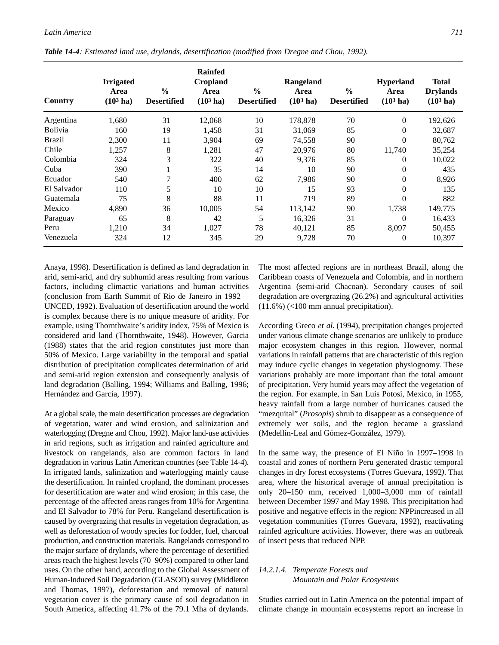| Country        | <b>Irrigated</b><br>Area<br>$(10^3 \text{ ha})$ | $\frac{0}{0}$<br><b>Desertified</b> | <b>Rainfed</b><br><b>Cropland</b><br>Area<br>$(10^3 \text{ ha})$ | $\frac{0}{0}$<br><b>Desertified</b> | Rangeland<br>Area<br>$(10^3 \text{ ha})$ | $\frac{0}{0}$<br><b>Desertified</b> | <b>Hyperland</b><br>Area<br>$(10^3 \text{ ha})$ | <b>Total</b><br><b>Drylands</b><br>$(10^3 \text{ ha})$ |
|----------------|-------------------------------------------------|-------------------------------------|------------------------------------------------------------------|-------------------------------------|------------------------------------------|-------------------------------------|-------------------------------------------------|--------------------------------------------------------|
| Argentina      | 1,680                                           | 31                                  | 12,068                                                           | 10                                  | 178,878                                  | 70                                  | $\overline{0}$                                  | 192,626                                                |
| <b>Bolivia</b> | 160                                             | 19                                  | 1,458                                                            | 31                                  | 31,069                                   | 85                                  | $\overline{0}$                                  | 32,687                                                 |
| <b>Brazil</b>  | 2,300                                           | 11                                  | 3,904                                                            | 69                                  | 74,558                                   | 90                                  | $\overline{0}$                                  | 80,762                                                 |
| Chile          | 1,257                                           | 8                                   | 1,281                                                            | 47                                  | 20,976                                   | 80                                  | 11,740                                          | 35,254                                                 |
| Colombia       | 324                                             | 3                                   | 322                                                              | 40                                  | 9,376                                    | 85                                  | $\theta$                                        | 10,022                                                 |
| Cuba           | 390                                             |                                     | 35                                                               | 14                                  | 10                                       | 90                                  | $\theta$                                        | 435                                                    |
| Ecuador        | 540                                             | 7                                   | 400                                                              | 62                                  | 7,986                                    | 90                                  | $\theta$                                        | 8,926                                                  |
| El Salvador    | 110                                             | 5                                   | 10                                                               | 10                                  | 15                                       | 93                                  | $\overline{0}$                                  | 135                                                    |
| Guatemala      | 75                                              | 8                                   | 88                                                               | 11                                  | 719                                      | 89                                  | $\overline{0}$                                  | 882                                                    |
| Mexico         | 4,890                                           | 36                                  | 10,005                                                           | 54                                  | 113,142                                  | 90                                  | 1,738                                           | 149,775                                                |
| Paraguay       | 65                                              | 8                                   | 42                                                               | 5                                   | 16,326                                   | 31                                  | $\theta$                                        | 16,433                                                 |
| Peru           | 1,210                                           | 34                                  | 1,027                                                            | 78                                  | 40,121                                   | 85                                  | 8,097                                           | 50,455                                                 |
| Venezuela      | 324                                             | 12                                  | 345                                                              | 29                                  | 9,728                                    | 70                                  | $\overline{0}$                                  | 10,397                                                 |

*Table 14-4: Estimated land use, drylands, desertification (modified from Dregne and Chou, 1992).*

Anaya, 1998). Desertification is defined as land degradation in arid, semi-arid, and dry subhumid areas resulting from various factors, including climactic variations and human activities (conclusion from Earth Summit of Rio de Janeiro in 1992— UNCED, 1992). Evaluation of desertification around the world is complex because there is no unique measure of aridity. For example, using Thornthwaite's aridity index, 75% of Mexico is considered arid land (Thornthwaite, 1948). However, Garcia (1988) states that the arid region constitutes just more than 50% of Mexico. Large variability in the temporal and spatial distribution of precipitation complicates determination of arid and semi-arid region extension and consequently analysis of land degradation (Balling, 1994; Williams and Balling, 1996; Hernández and García, 1997).

At a global scale, the main desertification processes are degradation of vegetation, water and wind erosion, and salinization and waterlogging (Dregne and Chou, 1992). Major land-use activities in arid regions, such as irrigation and rainfed agriculture and livestock on rangelands, also are common factors in land degradation in various Latin American countries (see Table 14-4). In irrigated lands, salinization and waterlogging mainly cause the desertification. In rainfed cropland, the dominant processes for desertification are water and wind erosion; in this case, the percentage of the affected areas ranges from 10% for Argentina and El Salvador to 78% for Peru. Rangeland desertification is caused by overgrazing that results in vegetation degradation, as well as deforestation of woody species for fodder, fuel, charcoal production, and construction materials. Rangelands correspond to the major surface of drylands, where the percentage of desertified areas reach the highest levels (70–90%) compared to other land uses. On the other hand, according to the Global Assessment of Human-Induced Soil Degradation (GLASOD) survey (Middleton and Thomas, 1997), deforestation and removal of natural vegetation cover is the primary cause of soil degradation in South America, affecting 41.7% of the 79.1 Mha of drylands.

The most affected regions are in northeast Brazil, along the Caribbean coasts of Venezuela and Colombia, and in northern Argentina (semi-arid Chacoan). Secondary causes of soil degradation are overgrazing (26.2%) and agricultural activities  $(11.6\%)$  (<100 mm annual precipitation).

According Greco et al. (1994), precipitation changes projected under various climate change scenarios are unlikely to produce major ecosystem changes in this region. However, normal variations in rainfall patterns that are characteristic of this region may induce cyclic changes in vegetation physiognomy. These variations probably are more important than the total amount of precipitation. Very humid years may affect the vegetation of the region. For example, in San Luis Potosi, Mexico, in 1955, heavy rainfall from a large number of hurricanes caused the "mezquital" (*Prosopis*) shrub to disappear as a consequence of extremely wet soils, and the region became a grassland (Medellín-Leal and Gómez-González, 1979).

In the same way, the presence of El Niño in 1997–1998 in coastal arid zones of northern Peru generated drastic temporal changes in dry forest ecosystems (Torres Guevara, 1992*)*. That area, where the historical average of annual precipitation is only 20–150 mm, received 1,000–3,000 mm of rainfall between December 1997 and May 1998. This precipitation had positive and negative effects in the region: NPPincreased in all vegetation communities (Torres Guevara, 1992), reactivating rainfed agriculture activities. However, there was an outbreak of insect pests that reduced NPP.

#### *14.2.1.4. Temperate Forests and Mountain and Polar Ecosystems*

Studies carried out in Latin America on the potential impact of climate change in mountain ecosystems report an increase in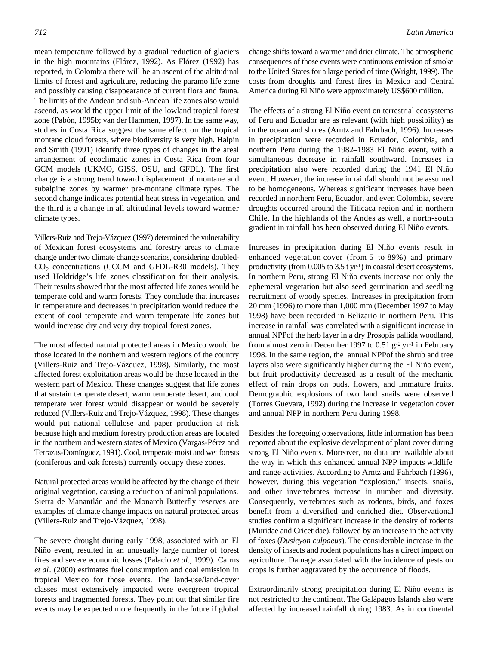mean temperature followed by a gradual reduction of glaciers in the high mountains (Flórez, 1992). As Flórez (1992) has reported, in Colombia there will be an ascent of the altitudinal limits of forest and agriculture, reducing the paramo life zone and possibly causing disappearance of current flora and fauna. The limits of the Andean and sub-Andean life zones also would ascend, as would the upper limit of the lowland tropical forest zone (Pabón, 1995b; van der Hammen, 1997). In the same way, studies in Costa Rica suggest the same effect on the tropical montane cloud forests, where biodiversity is very high. Halpin and Smith (1991) identify three types of changes in the areal arrangement of ecoclimatic zones in Costa Rica from four GCM models (UKMO, GISS, OSU, and GFDL). The first change is a strong trend toward displacement of montane and subalpine zones by warmer pre-montane climate types. The second change indicates potential heat stress in vegetation, and the third is a change in all altitudinal levels toward warmer climate types.

Villers-Ruiz and Trejo-Vázquez (1997) determined the vulnerability of Mexican forest ecosystems and forestry areas to climate change under two climate change scenarios, considering doubled- $CO<sub>2</sub>$  concentrations (CCCM and GFDL-R30 models). They used Holdridge's life zones classification for their analysis. Their results showed that the most affected life zones would be temperate cold and warm forests. They conclude that increases in temperature and decreases in precipitation would reduce the extent of cool temperate and warm temperate life zones but would increase dry and very dry tropical forest zones.

The most affected natural protected areas in Mexico would be those located in the northern and western regions of the country (Villers-Ruiz and Trejo-Vázquez, 1998). Similarly, the most affected forest exploitation areas would be those located in the western part of Mexico. These changes suggest that life zones that sustain temperate desert, warm temperate desert, and cool temperate wet forest would disappear or would be severely reduced (Villers-Ruiz and Trejo-Vázquez, 1998). These changes would put national cellulose and paper production at risk because high and medium forestry production areas are located in the northern and western states of Mexico (Vargas-Pérez and Terrazas-Domínguez, 1991). Cool, temperate moist and wet forests (coniferous and oak forests) currently occupy these zones.

Natural protected areas would be affected by the change of their original vegetation, causing a reduction of animal populations. Sierra de Manantlán and the Monarch Butterfly reserves are examples of climate change impacts on natural protected areas (Villers-Ruiz and Trejo-Vázquez, 1998).

The severe drought during early 1998, associated with an El Niño event, resulted in an unusually large number of forest fires and severe economic losses (Palacio *et al*., 1999). Cairns *et al*. (2000) estimates fuel consumption and coal emission in tropical Mexico for those events. The land-use/land-cover classes most extensively impacted were evergreen tropical forests and fragmented forests. They point out that similar fire events may be expected more frequently in the future if global change shifts toward a warmer and drier climate. The atmospheric consequences of those events were continuous emission of smoke to the United States for a large period of time (Wright, 1999). The costs from droughts and forest fires in Mexico and Central America during El Niño were approximately US\$600 million.

The effects of a strong El Niño event on terrestrial ecosystems of Peru and Ecuador are as relevant (with high possibility) as in the ocean and shores (Arntz and Fahrbach, 1996). Increases in precipitation were recorded in Ecuador, Colombia, and northern Peru during the 1982–1983 El Niño event, with a simultaneous decrease in rainfall southward. Increases in precipitation also were recorded during the 1941 El Niño event. However, the increase in rainfall should not be assumed to be homogeneous. Whereas significant increases have been recorded in northern Peru, Ecuador, and even Colombia, severe droughts occurred around the Titicaca region and in northern Chile. In the highlands of the Andes as well, a north-south gradient in rainfall has been observed during El Niño events.

Increases in precipitation during El Niño events result in enhanced vegetation cover (from 5 to 89%) and primary productivity (from  $0.005$  to  $3.5$  t yr<sup>1</sup>) in coastal desert ecosystems. In northern Peru, strong El Niño events increase not only the ephemeral vegetation but also seed germination and seedling recruitment of woody species. Increases in precipitation from 20 mm (1996) to more than 1,000 mm (December 1997 to May 1998) have been recorded in Belizario in northern Peru. This increase in rainfall was correlated with a significant increase in annual NPPof the herb layer in a dry Prosopis pallida woodland, from almost zero in December 1997 to 0.51  $g^{-2}$  yr<sup>-1</sup> in February 1998. In the same region, the annual NPPof the shrub and tree layers also were significantly higher during the El Niño event, but fruit productivity decreased as a result of the mechanic effect of rain drops on buds, flowers, and immature fruits. Demographic explosions of two land snails were observed (Torres Guevara, 1992) during the increase in vegetation cover and annual NPP in northern Peru during 1998.

Besides the foregoing observations, little information has been reported about the explosive development of plant cover during strong El Niño events. Moreover, no data are available about the way in which this enhanced annual NPP impacts wildlife and range activities. According to Arntz and Fahrbach (1996), however, during this vegetation "explosion," insects, snails, and other invertebrates increase in number and diversity. Consequently, vertebrates such as rodents, birds, and foxes benefit from a diversified and enriched diet. Observational studies confirm a significant increase in the density of rodents (Muridae and Cricetidae), followed by an increase in the activity of foxes (*Dusicyon culpaeus*). The considerable increase in the density of insects and rodent populations has a direct impact on agriculture. Damage associated with the incidence of pests on crops is further aggravated by the occurrence of floods.

Extraordinarily strong precipitation during El Niño events is not restricted to the continent. The Galápagos Islands also were affected by increased rainfall during 1983. As in continental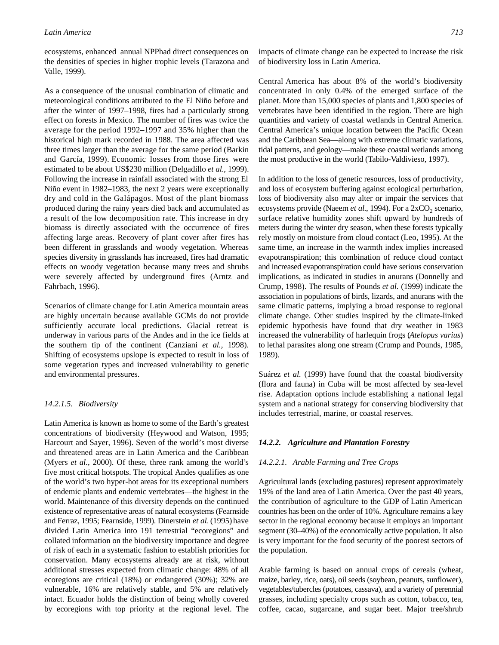ecosystems, enhanced annual NPPhad direct consequences on the densities of species in higher trophic levels (Tarazona and Valle, 1999).

As a consequence of the unusual combination of climatic and meteorological conditions attributed to the El Niño before and after the winter of 1997–1998, fires had a particularly strong effect on forests in Mexico. The number of fires was twice the average for the period 1992–1997 and 35% higher than the historical high mark recorded in 1988. The area affected was three times larger than the average for the same period (Barkin and García, 1999). Economic losses from those fires were estimated to be about US\$230 million (Delgadillo et al., 1999). Following the increase in rainfall associated with the strong El Niño event in 1982–1983, the next 2 years were exceptionally dry and cold in the Galápagos. Most of the plant biomass produced during the rainy years died back and accumulated as a result of the low decomposition rate. This increase in dry biomass is directly associated with the occurrence of fires affecting large areas. Recovery of plant cover after fires has been different in grasslands and woody vegetation. Whereas species diversity in grasslands has increased, fires had dramatic effects on woody vegetation because many trees and shrubs were severely affected by underground fires (Arntz and Fahrbach, 1996).

Scenarios of climate change for Latin America mountain areas are highly uncertain because available GCMs do not provide sufficiently accurate local predictions. Glacial retreat is underway in various parts of the Andes and in the ice fields at the southern tip of the continent (Canziani *et al.*, 1998). Shifting of ecosystems upslope is expected to result in loss of some vegetation types and increased vulnerability to genetic and environmental pressures.

#### *14.2.1.5. Biodiversity*

Latin America is known as home to some of the Earth's greatest concentrations of biodiversity (Heywood and Watson, 1995; Harcourt and Sayer, 1996). Seven of the world's most diverse and threatened areas are in Latin America and the Caribbean (Myers *et al.*, 2000). Of these, three rank among the world's five most critical hotspots. The tropical Andes qualifies as one of the world's two hyper-hot areas for its exceptional numbers of endemic plants and endemic vertebrates—the highest in the world. Maintenance of this diversity depends on the continued existence of representative areas of natural ecosystems (Fearnside and Ferraz, 1995; Fearnside, 1999). Dinerstein *et al*. (1995) have divided Latin America into 191 terrestrial "ecoregions" and collated information on the biodiversity importance and degree of risk of each in a systematic fashion to establish priorities for conservation. Many ecosystems already are at risk, without additional stresses expected from climatic change: 48% of all ecoregions are critical (18%) or endangered (30%); 32% are vulnerable, 16% are relatively stable, and 5% are relatively intact. Ecuador holds the distinction of being wholly covered by ecoregions with top priority at the regional level. The

impacts of climate change can be expected to increase the risk of biodiversity loss in Latin America.

Central America has about 8% of the world's biodiversity concentrated in only 0.4% of the emerged surface of the planet. More than 15,000 species of plants and 1,800 species of vertebrates have been identified in the region. There are high quantities and variety of coastal wetlands in Central America. Central America's unique location between the Pacific Ocean and the Caribbean Sea—along with extreme climatic variations, tidal patterns, and geology—make these coastal wetlands among the most productive in the world (Tabilo-Valdivieso, 1997).

In addition to the loss of genetic resources, loss of productivity, and loss of ecosystem buffering against ecological perturbation, loss of biodiversity also may alter or impair the services that ecosystems provide (Naeem *et al.*, 1994). For a 2xCO<sub>2</sub> scenario, surface relative humidity zones shift upward by hundreds of meters during the winter dry season, when these forests typically rely mostly on moisture from cloud contact (Leo, 1995). At the same time, an increase in the warmth index implies increased evapotranspiration; this combination of reduce cloud contact and increased evapotranspiration could have serious conservation implications, as indicated in studies in anurans (Donnelly and Crump, 1998). The results of Pounds *et al.* (1999) indicate the association in populations of birds, lizards, and anurans with the same climatic patterns, implying a broad response to regional climate change. Other studies inspired by the climate-linked epidemic hypothesis have found that dry weather in 1983 increased the vulnerability of harlequin frogs (*Atelopus varius*) to lethal parasites along one stream (Crump and Pounds, 1985, 1989).

Suárez *et al.* (1999) have found that the coastal biodiversity (flora and fauna) in Cuba will be most affected by sea-level rise. Adaptation options include establishing a national legal system and a national strategy for conserving biodiversity that includes terrestrial, marine, or coastal reserves.

#### *14.2.2. Agriculture and Plantation Forestry*

#### *14.2.2.1. Arable Farming and Tree Crops*

Agricultural lands (excluding pastures) represent approximately 19% of the land area of Latin America. Over the past 40 years, the contribution of agriculture to the GDP of Latin American countries has been on the order of 10%. Agriculture remains a key sector in the regional economy because it employs an important segment (30–40%) of the economically active population. It also is very important for the food security of the poorest sectors of the population.

Arable farming is based on annual crops of cereals (wheat, maize, barley, rice, oats), oil seeds (soybean, peanuts, sunflower), vegetables/tubercles (potatoes, cassava), and a variety of perennial grasses, including specialty crops such as cotton, tobacco, tea, coffee, cacao, sugarcane, and sugar beet. Major tree/shrub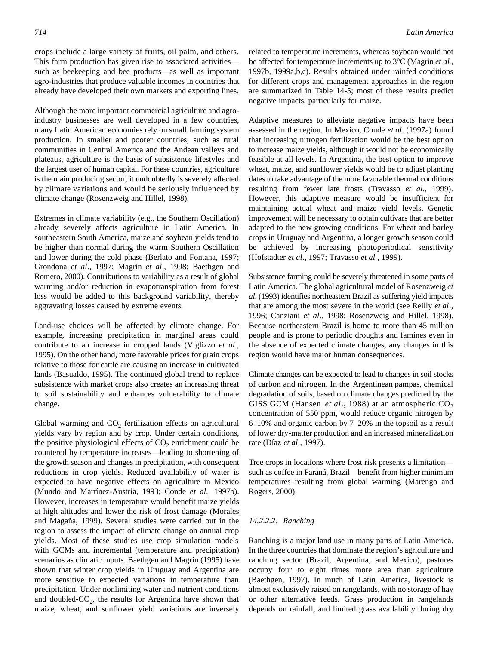crops include a large variety of fruits, oil palm, and others. This farm production has given rise to associated activities such as beekeeping and bee products—as well as important agro-industries that produce valuable incomes in countries that already have developed their own markets and exporting lines.

Although the more important commercial agriculture and agroindustry businesses are well developed in a few countries, many Latin American economies rely on small farming system production. In smaller and poorer countries, such as rural communities in Central America and the Andean valleys and plateaus, agriculture is the basis of subsistence lifestyles and the largest user of human capital. For these countries, agriculture is the main producing sector; it undoubtedly is severely affected by climate variations and would be seriously influenced by climate change (Rosenzweig and Hillel, 1998).

Extremes in climate variability (e.g., the Southern Oscillation) already severely affects agriculture in Latin America. In southeastern South America, maize and soybean yields tend to be higher than normal during the warm Southern Oscillation and lower during the cold phase (Berlato and Fontana, 1997; Grondona *et al*., 1997; Magrin *et al*., 1998; Baethgen and Romero, 2000). Contributions to variability as a result of global warming and/or reduction in evapotranspiration from forest loss would be added to this background variability, thereby aggravating losses caused by extreme events.

Land-use choices will be affected by climate change. For example, increasing precipitation in marginal areas could contribute to an increase in cropped lands (Viglizzo *et al.*, 1995). On the other hand, more favorable prices for grain crops relative to those for cattle are causing an increase in cultivated lands (Basualdo, 1995). The continued global trend to replace subsistence with market crops also creates an increasing threat to soil sustainability and enhances vulnerability to climate change**.**

Global warming and  $CO_2$  fertilization effects on agricultural yields vary by region and by crop. Under certain conditions, the positive physiological effects of  $CO<sub>2</sub>$  enrichment could be countered by temperature increases—leading to shortening of the growth season and changes in precipitation, with consequent reductions in crop yields. Reduced availability of water is expected to have negative effects on agriculture in Mexico (Mundo and Martínez-Austria, 1993; Conde *et al*., 1997b). However, increases in temperature would benefit maize yields at high altitudes and lower the risk of frost damage (Morales and Magaña, 1999). Several studies were carried out in the region to assess the impact of climate change on annual crop yields. Most of these studies use crop simulation models with GCMs and incremental (temperature and precipitation) scenarios as climatic inputs. Baethgen and Magrin (1995) have shown that winter crop yields in Uruguay and Argentina are more sensitive to expected variations in temperature than precipitation. Under nonlimiting water and nutrient conditions and doubled- $CO<sub>2</sub>$ , the results for Argentina have shown that maize, wheat, and sunflower yield variations are inversely

related to temperature increments, whereas soybean would not be affected for temperature increments up to 3°C (Magrin *et al*. , 1997b, 1999a,b,c). Results obtained under rainfed conditions for different crops and management approaches in the region are summarized in Table 14-5; most of these results predict negative impacts, particularly for maize.

Adaptive measures to alleviate negative impacts have been assessed in the region. In Mexico, Conde *et al*. (1997a) found that increasing nitrogen fertilization would be the best option to increase maize yields, although it would not be economically feasible at all levels. In Argentina, the best option to improve wheat, maize, and sunflower yields would be to adjust planting dates to take advantage of the more favorable thermal conditions resulting from fewer late frosts (Travasso *et al*., 1999). However, this adaptive measure would be insufficient for maintaining actual wheat and maize yield levels. Genetic improvement will be necessary to obtain cultivars that are better adapted to the new growing conditions. For wheat and barley crops in Uruguay and Argentina, a longer growth season could be achieved by increasing photoperiodical sensitivity (Hofstadter *et al*., 1997; Travasso *et al.*, 1999).

Subsistence farming could be severely threatened in some parts of Latin America. The global agricultural model of Rosenzweig *et al.* (1993) identifies northeastern Brazil as suffering yield impacts that are among the most severe in the world (see Reilly *et al*., 1996; Canziani *et al*., 1998; Rosenzweig and Hillel, 1998). Because northeastern Brazil is home to more than 45 million people and is prone to periodic droughts and famines even in the absence of expected climate changes, any changes in this region would have major human consequences.

Climate changes can be expected to lead to changes in soil stocks of carbon and nitrogen. In the Argentinean pampas, chemical degradation of soils, based on climate changes predicted by the GISS GCM (Hansen *et al.*, 1988) at an atmospheric  $CO<sub>2</sub>$ concentration of 550 ppm, would reduce organic nitrogen by 6–10% and organic carbon by 7–20% in the topsoil as a result of lower dry-matter production and an increased mineralization rate (Díaz *et al*., 1997).

Tree crops in locations where frost risk presents a limitation such as coffee in Paraná, Brazil—benefit from higher minimum temperatures resulting from global warming (Marengo and Rogers, 2000).

#### *14.2.2.2. Ranching*

Ranching is a major land use in many parts of Latin America. In the three countries that dominate the region's agriculture and ranching sector (Brazil, Argentina, and Mexico), pastures occupy four to eight times more area than agriculture (Baethgen, 1997). In much of Latin America, livestock is almost exclusively raised on rangelands, with no storage of hay or other alternative feeds. Grass production in rangelands depends on rainfall, and limited grass availability during dry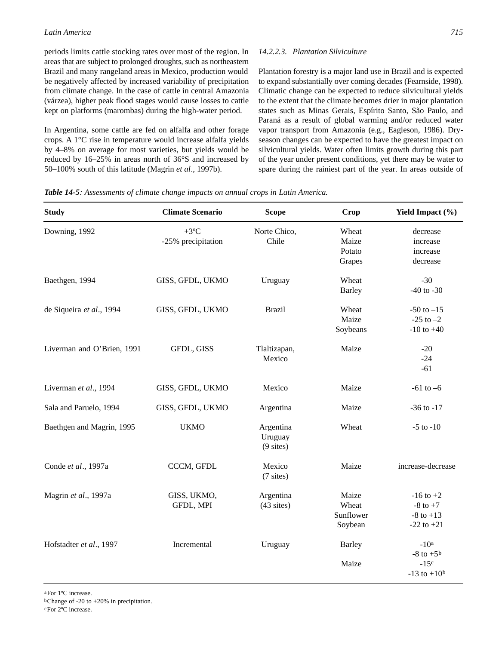periods limits cattle stocking rates over most of the region. In areas that are subject to prolonged droughts, such as northeastern Brazil and many rangeland areas in Mexico, production would be negatively affected by increased variability of precipitation from climate change. In the case of cattle in central Amazonia (várzea), higher peak flood stages would cause losses to cattle kept on platforms (marombas) during the high-water period.

In Argentina, some cattle are fed on alfalfa and other forage crops. A 1°C rise in temperature would increase alfalfa yields by 4–8% on average for most varieties, but yields would be reduced by 16–25% in areas north of 36°S and increased by 50–100% south of this latitude (Magrin *et al*., 1997b).

#### *14.2.2.3. Plantation Silviculture*

Plantation forestry is a major land use in Brazil and is expected to expand substantially over coming decades (Fearnside, 1998). Climatic change can be expected to reduce silvicultural yields to the extent that the climate becomes drier in major plantation states such as Minas Gerais, Espírito Santo, São Paulo, and Paraná as a result of global warming and/or reduced water vapor transport from Amazonia (e.g., Eagleson, 1986). Dryseason changes can be expected to have the greatest impact on silvicultural yields. Water often limits growth during this part of the year under present conditions, yet there may be water to spare during the rainiest part of the year. In areas outside of

**Study** Downing, 1992 Baethgen, 1994 de Siqueira *et al*., 1994 Liverman and O'Brien, 1991 Liverman *et al*., 1994 Sala and Paruelo, 1994 Baethgen and Magrin, 1995 Conde *et al*., 1997a Magrin *et al*., 1997a Hofstadter *et al*., 1997 **Climate Scenario**  $+3$ <sup>o</sup>C -25% precipitation GISS, GFDL, UKMO GISS, GFDL, UKMO GFDL, GISS GISS, GFDL, UKMO GISS, GFDL, UKMO UKMO CCCM, GFDL GISS, UKMO, GFDL, MPI Incremental **Scope** Norte Chico, Chile Uruguay Brazil Tlaltizapan, Mexico Mexico Argentina Argentina Uruguay (9 sites) Mexico (7 sites) Argentina (43 sites) Uruguay **Crop** Wheat Maize Potato Grapes Wheat Barley Wheat Maize Soybeans Maize Maize Maize Wheat Maize Maize Wheat Sunflower Soybean Barley Maize **Yield Impact (%)** decrease increase increase decrease -30 -40 to -30  $-50$  to  $-15$  $-25$  to  $-2$  $-10$  to  $+40$ -20 -24 -61  $-61$  to  $-6$ -36 to -17  $-5$  to  $-10$ increase-decrease  $-16$  to  $+2$  $-8$  to  $+7$  $-8$  to  $+13$ -22 to +21  $-10a$ -8 to  $+5<sup>b</sup>$  $-15c$  $-13$  to  $+10<sup>b</sup>$ 

*Table 14-5: Assessments of climate change impacts on annual crops in Latin America.*

aFor 1ºC increase.

<sup>b</sup>Change of -20 to +20% in precipitation.

cFor 2ºC increase.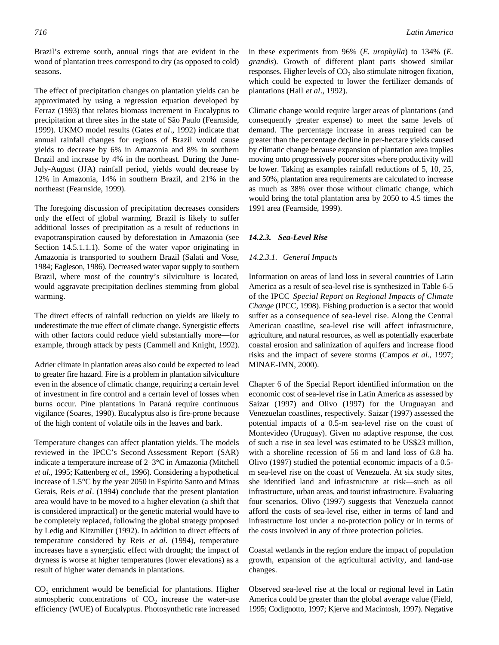Brazil's extreme south, annual rings that are evident in the wood of plantation trees correspond to dry (as opposed to cold) seasons.

The effect of precipitation changes on plantation yields can be approximated by using a regression equation developed by Ferraz (1993) that relates biomass increment in Eucalyptus to precipitation at three sites in the state of São Paulo (Fearnside, 1999). UKMO model results (Gates *et al*., 1992) indicate that annual rainfall changes for regions of Brazil would cause yields to decrease by 6% in Amazonia and 8% in southern Brazil and increase by 4% in the northeast. During the June-July-August (JJA) rainfall period, yields would decrease by 12% in Amazonia, 14% in southern Brazil, and 21% in the northeast (Fearnside, 1999).

The foregoing discussion of precipitation decreases considers only the effect of global warming. Brazil is likely to suffer additional losses of precipitation as a result of reductions in evapotranspiration caused by deforestation in Amazonia (see Section 14.5.1.1.1). Some of the water vapor originating in Amazonia is transported to southern Brazil (Salati and Vose, 1984; Eagleson, 1986). Decreased water vapor supply to southern Brazil, where most of the country's silviculture is located, would aggravate precipitation declines stemming from global warming.

The direct effects of rainfall reduction on yields are likely to underestimate the true effect of climate change. Synergistic effects with other factors could reduce yield substantially more—for example, through attack by pests (Cammell and Knight, 1992).

Adrier climate in plantation areas also could be expected to lead to greater fire hazard. Fire is a problem in plantation silviculture even in the absence of climatic change, requiring a certain level of investment in fire control and a certain level of losses when burns occur. Pine plantations in Paraná require continuous vigilance (Soares, 1990). Eucalyptus also is fire-prone because of the high content of volatile oils in the leaves and bark.

Temperature changes can affect plantation yields. The models reviewed in the IPCC's Second Assessment Report (SAR) indicate a temperature increase of 2–3°C in Amazonia (Mitchell *et al*., 1995; Kattenberg *et al*., 1996). Considering a hypothetical increase of 1.5°C by the year 2050 in Espírito Santo and Minas Gerais, Reis *et al*. (1994) conclude that the present plantation area would have to be moved to a higher elevation (a shift that is considered impractical) or the genetic material would have to be completely replaced, following the global strategy proposed by Ledig and Kitzmiller (1992). In addition to direct effects of temperature considered by Reis *et al*. (1994), temperature increases have a synergistic effect with drought; the impact of dryness is worse at higher temperatures (lower elevations) as a result of higher water demands in plantations.

 $CO<sub>2</sub>$  enrichment would be beneficial for plantations. Higher atmospheric concentrations of  $CO<sub>2</sub>$  increase the water-use efficiency (WUE) of Eucalyptus. Photosynthetic rate increased in these experiments from 96% (*E. urophylla*) to 134% (*E.* grandis). Growth of different plant parts showed similar responses. Higher levels of  $CO<sub>2</sub>$  also stimulate nitrogen fixation, which could be expected to lower the fertilizer demands of plantations (Hall *et al*., 1992).

Climatic change would require larger areas of plantations (and consequently greater expense) to meet the same levels of demand. The percentage increase in areas required can be greater than the percentage decline in per-hectare yields caused by climatic change because expansion of plantation area implies moving onto progressively poorer sites where productivity will be lower. Taking as examples rainfall reductions of 5, 10, 25, and 50%, plantation area requirements are calculated to increase as much as 38% over those without climatic change, which would bring the total plantation area by 2050 to 4.5 times the 1991 area (Fearnside, 1999).

#### *14.2.3. Sea-Level Rise*

#### *14.2.3.1. General Impacts*

Information on areas of land loss in several countries of Latin America as a result of sea-level rise is synthesized in Table 6-5 of the IPCC *Special Report on Regional Impacts of Climate Change* (IPCC, 1998). Fishing production is a sector that would suffer as a consequence of sea-level rise. Along the Central American coastline, sea-level rise will affect infrastructure, agriculture, and natural resources, as well as potentially exacerbate coastal erosion and salinization of aquifers and increase flood risks and the impact of severe storms (Campos *et al*., 1997; MINAE-IMN, 2000).

Chapter 6 of the Special Report identified information on the economic cost of sea-level rise in Latin America as assessed by Saizar (1997) and Olivo (1997) for the Uruguayan and Venezuelan coastlines, respectively. Saizar (1997) assessed the potential impacts of a 0.5-m sea-level rise on the coast of Montevideo (Uruguay). Given no adaptive response, the cost of such a rise in sea level was estimated to be US\$23 million, with a shoreline recession of 56 m and land loss of 6.8 ha. Olivo (1997) studied the potential economic impacts of a 0.5 m sea-level rise on the coast of Venezuela. At six study sites, she identified land and infrastructure at risk—such as oil infrastructure, urban areas, and tourist infrastructure. Evaluating four scenarios, Olivo (1997) suggests that Venezuela cannot afford the costs of sea-level rise, either in terms of land and infrastructure lost under a no-protection policy or in terms of the costs involved in any of three protection policies.

Coastal wetlands in the region endure the impact of population growth, expansion of the agricultural activity, and land-use changes.

Observed sea-level rise at the local or regional level in Latin America could be greater than the global average value (Field, 1995; Codignotto, 1997; Kjerve and Macintosh, 1997). Negative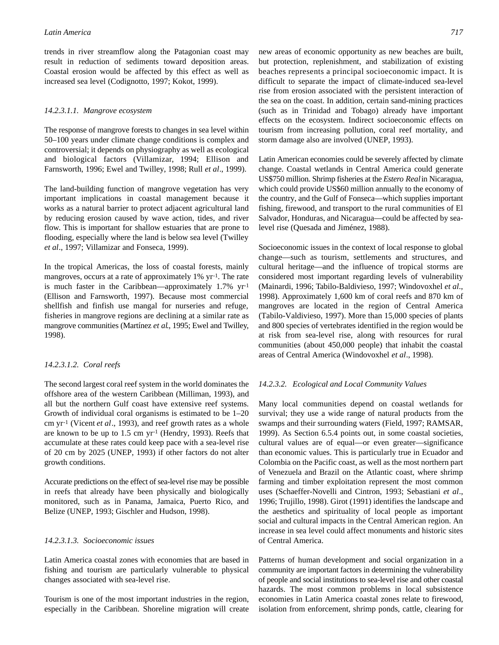trends in river streamflow along the Patagonian coast may result in reduction of sediments toward deposition areas. Coastal erosion would be affected by this effect as well as increased sea level (Codignotto, 1997; Kokot, 1999).

#### *14.2.3.1.1. Mangrove ecosystem*

The response of mangrove forests to changes in sea level within 50–100 years under climate change conditions is complex and controversial; it depends on physiography as well as ecological and biological factors (Villamizar, 1994; Ellison and Farnsworth, 1996; Ewel and Twilley, 1998; Rull *et al*., 1999).

The land-building function of mangrove vegetation has very important implications in coastal management because it works as a natural barrier to protect adjacent agricultural land by reducing erosion caused by wave action, tides, and river flow. This is important for shallow estuaries that are prone to flooding, especially where the land is below sea level (Twilley *et al*., 1997; Villamizar and Fonseca, 1999).

In the tropical Americas, the loss of coastal forests, mainly mangroves, occurs at a rate of approximately 1% yr<sup>-1</sup>. The rate is much faster in the Caribbean—approximately 1.7% yr-1 (Ellison and Farnsworth, 1997). Because most commercial shellfish and finfish use mangal for nurseries and refuge, fisheries in mangrove regions are declining at a similar rate as mangrove communities (Martínez et al., 1995; Ewel and Twilley, 1998).

#### *14.2.3.1.2. Coral reefs*

The second largest coral reef system in the world dominates the offshore area of the western Caribbean (Milliman, 1993), and all but the northern Gulf coast have extensive reef systems. Growth of individual coral organisms is estimated to be 1–20 cm yr-1 (Vicent *et al*., 1993), and reef growth rates as a whole are known to be up to 1.5 cm yr-1 (Hendry, 1993). Reefs that accumulate at these rates could keep pace with a sea-level rise of 20 cm by 2025 (UNEP, 1993) if other factors do not alter growth conditions.

Accurate predictions on the effect of sea-level rise may be possible in reefs that already have been physically and biologically monitored, such as in Panama, Jamaica, Puerto Rico, and Belize (UNEP, 1993; Gischler and Hudson, 1998).

#### *14.2.3.1.3. Socioeconomic issues*

Latin America coastal zones with economies that are based in fishing and tourism are particularly vulnerable to physical changes associated with sea-level rise.

Tourism is one of the most important industries in the region, especially in the Caribbean. Shoreline migration will create new areas of economic opportunity as new beaches are built, but protection, replenishment, and stabilization of existing beaches represents a principal socioeconomic impact. It is difficult to separate the impact of climate-induced sea-level rise from erosion associated with the persistent interaction of the sea on the coast. In addition, certain sand-mining practices (such as in Trinidad and Tobago) already have important effects on the ecosystem. Indirect socioeconomic effects on tourism from increasing pollution, coral reef mortality, and storm damage also are involved (UNEP, 1993).

Latin American economies could be severely affected by climate change. Coastal wetlands in Central America could generate US\$750 million. Shrimp fisheries at the *Estero Real* in Nicaragua, which could provide US\$60 million annually to the economy of the country, and the Gulf of Fonseca—which supplies important fishing, firewood, and transport to the rural communities of El Salvador, Honduras, and Nicaragua—could be affected by sealevel rise (Quesada and Jiménez, 1988).

Socioeconomic issues in the context of local response to global change—such as tourism, settlements and structures, and cultural heritage—and the influence of tropical storms are considered most important regarding levels of vulnerability (Mainardi, 1996; Tabilo-Baldivieso, 1997; Windovoxhel *et al*., 1998). Approximately 1,600 km of coral reefs and 870 km of mangroves are located in the region of Central America (Tabilo-Valdivieso, 1997). More than 15,000 species of plants and 800 species of vertebrates identified in the region would be at risk from sea-level rise, along with resources for rural communities (about 450,000 people) that inhabit the coastal areas of Central America (Windovoxhel *et al*., 1998).

#### *14.2.3.2. Ecological and Local Community Values*

Many local communities depend on coastal wetlands for survival; they use a wide range of natural products from the swamps and their surrounding waters (Field, 1997; RAMSAR, 1999). As Section 6.5.4 points out, in some coastal societies, cultural values are of equal—or even greater—significance than economic values. This is particularly true in Ecuador and Colombia on the Pacific coast, as well as the most northern part of Venezuela and Brazil on the Atlantic coast, where shrimp farming and timber exploitation represent the most common uses (Schaeffer-Novelli and Cintron, 1993; Sebastiani *et al*., 1996; Trujillo, 1998). Girot (1991) identifies the landscape and the aesthetics and spirituality of local people as important social and cultural impacts in the Central American region. An increase in sea level could affect monuments and historic sites of Central America.

Patterns of human development and social organization in a community are important factors in determining the vulnerability of people and social institutions to sea-level rise and other coastal hazards. The most common problems in local subsistence economies in Latin America coastal zones relate to firewood, isolation from enforcement, shrimp ponds, cattle, clearing for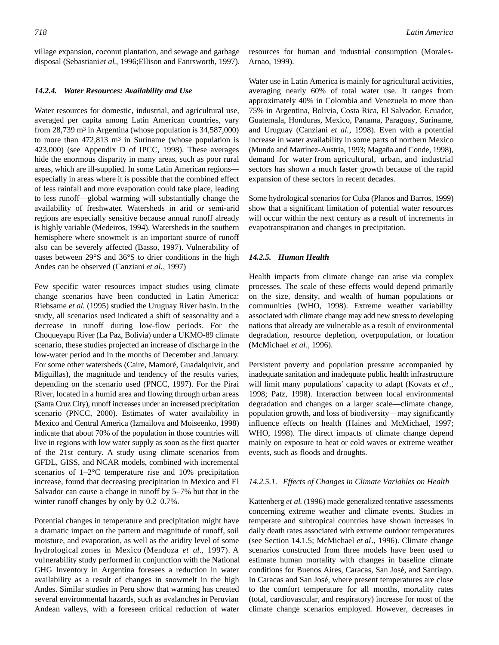village expansion, coconut plantation, and sewage and garbage disposal (Sebastiani *et al*., 1996;Ellison and Fanrsworth, 1997).

#### *14.2.4. Water Resources: Availability and Use*

Water resources for domestic, industrial, and agricultural use, averaged per capita among Latin American countries, vary from  $28,739$  m<sup>3</sup> in Argentina (whose population is  $34,587,000$ ) to more than  $472,813$  m<sup>3</sup> in Suriname (whose population is 423,000) (see Appendix D of IPCC, 1998). These averages hide the enormous disparity in many areas, such as poor rural areas, which are ill-supplied. In some Latin American regions especially in areas where it is possible that the combined effect of less rainfall and more evaporation could take place, leading to less runoff—global warming will substantially change the availability of freshwater. Watersheds in arid or semi-arid regions are especially sensitive because annual runoff already is highly variable (Medeiros, 1994). Watersheds in the southern hemisphere where snowmelt is an important source of runoff also can be severely affected (Basso, 1997). Vulnerability of oases between 29°S and 36°S to drier conditions in the high Andes can be observed (Canziani *et al.*, 1997)

Few specific water resources impact studies using climate change scenarios have been conducted in Latin America: Riebsame *et al.* (1995) studied the Uruguay River basin. In the study, all scenarios used indicated a shift of seasonality and a decrease in runoff during low-flow periods. For the Choqueyapu River (La Paz, Bolivia) under a UKMO-89 climate scenario, these studies projected an increase of discharge in the low-water period and in the months of December and January. For some other watersheds (Caire, Mamoré, Guadalquivir, and Miguillas), the magnitude and tendency of the results varies, depending on the scenario used (PNCC, 1997). For the Pirai River, located in a humid area and flowing through urban areas (Santa Cruz City), runoff increases under an increased precipitation scenario (PNCC, 2000). Estimates of water availability in Mexico and Central America (Izmailova and Moiseenko, 1998) indicate that about 70% of the population in those countries will live in regions with low water supply as soon as the first quarter of the 21st century. A study using climate scenarios from GFDL, GISS, and NCAR models, combined with incremental scenarios of 1–2°C temperature rise and 10% precipitation increase, found that decreasing precipitation in Mexico and El Salvador can cause a change in runoff by 5–7% but that in the winter runoff changes by only by 0.2–0.7%.

Potential changes in temperature and precipitation might have a dramatic impact on the pattern and magnitude of runoff, soil moisture, and evaporation, as well as the aridity level of some hydrological zones in Mexico (Mendoza *et al*., 1997). A vulnerability study performed in conjunction with the National GHG Inventory in Argentina foresees a reduction in water availability as a result of changes in snowmelt in the high Andes. Similar studies in Peru show that warming has created several environmental hazards, such as avalanches in Peruvian Andean valleys, with a foreseen critical reduction of water resources for human and industrial consumption (Morales-Arnao, 1999).

Water use in Latin America is mainly for agricultural activities, averaging nearly 60% of total water use. It ranges from approximately 40% in Colombia and Venezuela to more than 75% in Argentina, Bolivia, Costa Rica, El Salvador, Ecuador, Guatemala, Honduras, Mexico, Panama, Paraguay, Suriname, and Uruguay (Canziani *et al.*, 1998). Even with a potential increase in water availability in some parts of northern Mexico (Mundo and Martínez-Austria, 1993; Magaña and Conde, 1998), demand for water from agricultural, urban, and industrial sectors has shown a much faster growth because of the rapid expansion of these sectors in recent decades.

Some hydrological scenarios for Cuba (Planos and Barros, 1999) show that a significant limitation of potential water resources will occur within the next century as a result of increments in evapotranspiration and changes in precipitation.

#### *14.2.5. Human Health*

Health impacts from climate change can arise via complex processes. The scale of these effects would depend primarily on the size, density, and wealth of human populations or communities (WHO, 1998). Extreme weather variability associated with climate change may add new stress to developing nations that already are vulnerable as a result of environmental degradation, resource depletion, overpopulation, or location (McMichael *et al*., 1996).

Persistent poverty and population pressure accompanied by inadequate sanitation and inadequate public health infrastructure will limit many populations' capacity to adapt (Kovats *et al*., 1998; Patz, 1998). Interaction between local environmental degradation and changes on a larger scale—climate change, population growth, and loss of biodiversity—may significantly influence effects on health (Haines and McMichael, 1997; WHO, 1998). The direct impacts of climate change depend mainly on exposure to heat or cold waves or extreme weather events, such as floods and droughts.

#### *14.2.5.1. Effects of Changes in Climate Variables on Health*

Kattenberg et al. (1996) made generalized tentative assessments concerning extreme weather and climate events. Studies in temperate and subtropical countries have shown increases in daily death rates associated with extreme outdoor temperatures (see Section 14.1.5; McMichael *et al*., 1996). Climate change scenarios constructed from three models have been used to estimate human mortality with changes in baseline climate conditions for Buenos Aires, Caracas, San José, and Santiago. In Caracas and San José, where present temperatures are close to the comfort temperature for all months, mortality rates (total, cardiovascular, and respiratory) increase for most of the climate change scenarios employed. However, decreases in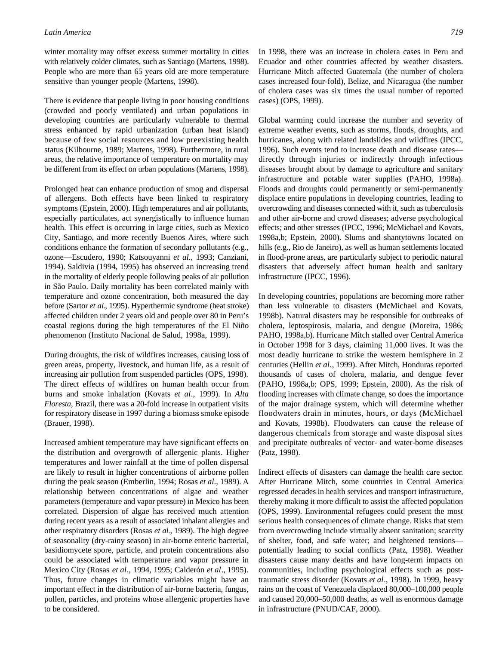winter mortality may offset excess summer mortality in cities with relatively colder climates, such as Santiago (Martens, 1998). People who are more than 65 years old are more temperature sensitive than younger people (Martens, 1998).

There is evidence that people living in poor housing conditions (crowded and poorly ventilated) and urban populations in developing countries are particularly vulnerable to thermal stress enhanced by rapid urbanization (urban heat island) because of few social resources and low preexisting health status (Kilbourne, 1989; Martens, 1998). Furthermore, in rural areas, the relative importance of temperature on mortality may be different from its effect on urban populations (Martens, 1998).

Prolonged heat can enhance production of smog and dispersal of allergens. Both effects have been linked to respiratory symptoms (Epstein, 2000). High temperatures and air pollutants, especially particulates, act synergistically to influence human health. This effect is occurring in large cities, such as Mexico City, Santiago, and more recently Buenos Aires, where such conditions enhance the formation of secondary pollutants (e.g., ozone—Escudero, 1990; Katsouyanni *et al*., 1993; Canziani, 1994). Saldivia (1994, 1995) has observed an increasing trend in the mortality of elderly people following peaks of air pollution in São Paulo. Daily mortality has been correlated mainly with temperature and ozone concentration, both measured the day before (Sartor *et al*., 1995). Hyperthermic syndrome (heat stroke) a ffected children under 2 years old and people over 80 in Peru's coastal regions during the high temperatures of the El Niño phenomenon (Instituto Nacional de Salud, 1998a, 1999).

During droughts, the risk of wildfires increases, causing loss of green areas, property, livestock, and human life, as a result of increasing air pollution from suspended particles (OPS, 1998). The direct effects of wildfires on human health occur from burns and smoke inhalation (Kovats *et al*., 1999). In *Alta Floresta*, Brazil, there was a 20-fold increase in outpatient visits for respiratory disease in 1997 during a biomass smoke episode (Brauer, 1998).

Increased ambient temperature may have significant effects on the distribution and overgrowth of allergenic plants. Higher temperatures and lower rainfall at the time of pollen dispersal are likely to result in higher concentrations of airborne pollen during the peak season (Emberlin, 1994; Rosas *et al*., 1989). A relationship between concentrations of algae and weather parameters (temperature and vapor pressure) in Mexico has been correlated. Dispersion of algae has received much attention during recent years as a result of associated inhalant allergies and other respiratory disorders (Rosas *et al*., 1989). The high degree of seasonality (dry-rainy season) in air-borne enteric bacterial, basidiomycete spore, particle, and protein concentrations also could be associated with temperature and vapor pressure in Mexico City (Rosas *et al*., 1994, 1995; Calderón *et al*., 1995). Thus, future changes in climatic variables might have an important effect in the distribution of air-borne bacteria, fungus, pollen, particles, and proteins whose allergenic properties have to be considered.

In 1998, there was an increase in cholera cases in Peru and Ecuador and other countries affected by weather disasters. Hurricane Mitch affected Guatemala (the number of cholera cases increased four-fold), Belize, and Nicaragua (the number of cholera cases was six times the usual number of reported cases) (OPS, 1999).

Global warming could increase the number and severity of extreme weather events, such as storms, floods, droughts, and hurricanes, along with related landslides and wildfires (IPCC, 1996). Such events tend to increase death and disease rates directly through injuries or indirectly through infectious diseases brought about by damage to agriculture and sanitary infrastructure and potable water supplies (PAHO, 1998a). Floods and droughts could permanently or semi-permanently displace entire populations in developing countries, leading to overcrowding and diseases connected with it, such as tuberculosis and other air-borne and crowd diseases; adverse psychological e ffects; and other stresses (IPCC, 1996; McMichael and Kovats, 1998a,b; Epstein, 2000). Slums and shantytowns located on hills (e.g., Rio de Janeiro), as well as human settlements located in flood-prone areas, are particularly subject to periodic natural disasters that adversely affect human health and sanitary infrastructure (IPCC, 1996).

In developing countries, populations are becoming more rather than less vulnerable to disasters (McMichael and Kovats, 1998b). Natural disasters may be responsible for outbreaks of cholera, leptospirosis, malaria, and dengue (Moreira, 1986; PAHO, 1998a,b). Hurricane Mitch stalled over Central America in October 1998 for 3 days, claiming 11,000 lives. It was the most deadly hurricane to strike the western hemisphere in 2 centuries (Hellin *et al.*, 1999). After Mitch, Honduras reported thousands of cases of cholera, malaria, and dengue fever (PAHO, 1998a,b; OPS, 1999; Epstein, 2000). As the risk of flooding increases with climate change, so does the importance of the major drainage system, which will determine whether floodwaters drain in minutes, hours, or days (McMichael and Kovats, 1998b). Floodwaters can cause the release of dangerous chemicals from storage and waste disposal sites and precipitate outbreaks of vector- and water-borne diseases (Patz, 1998).

Indirect effects of disasters can damage the health care sector. After Hurricane Mitch, some countries in Central America regressed decades in health services and transport infrastructure, thereby making it more difficult to assist the affected population (OPS, 1999). Environmental refugees could present the most serious health consequences of climate change. Risks that stem from overcrowding include virtually absent sanitation; scarcity of shelter, food, and safe water; and heightened tensions potentially leading to social conflicts (Patz, 1998). Weather disasters cause many deaths and have long-term impacts on communities, including psychological effects such as posttraumatic stress disorder (Kovats *et al*., 1998). In 1999, heavy rains on the coast of Venezuela displaced 80,000–100,000 people and caused 20,000–50,000 deaths, as well as enormous damage in infrastructure (PNUD/CAF, 2000).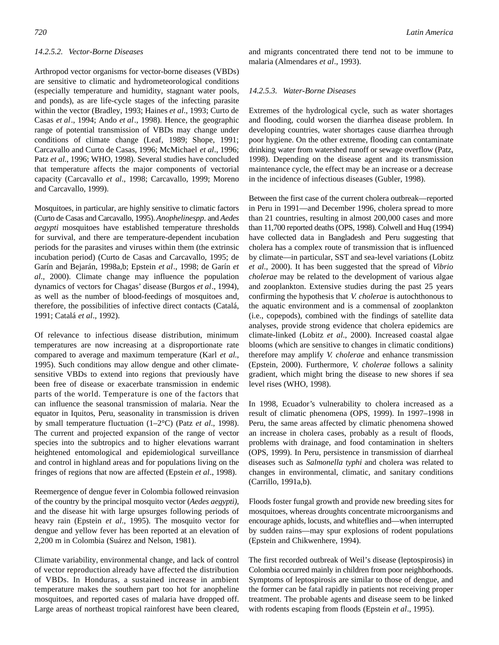#### *14.2.5.2. Vector-Borne Diseases*

Arthropod vector organisms for vector-borne diseases (VBDs) are sensitive to climatic and hydrometeorological conditions (especially temperature and humidity, stagnant water pools, and ponds), as are life-cycle stages of the infecting parasite within the vector (Bradley, 1993; Haines *et al*., 1993; Curto de Casas *et al*., 1994; Ando *et al*., 1998). Hence, the geographic range of potential transmission of VBDs may change under conditions of climate change (Leaf, 1989; Shope, 1991; Carcavallo and Curto de Casas, 1996; McMichael *et al*., 1996; Patz *et al*., 1996; WHO, 1998). Several studies have concluded that temperature affects the major components of vectorial capacity (Carcavallo *et al*., 1998; Carcavallo, 1999; Moreno and Carcavallo, 1999).

Mosquitoes, in particular, are highly sensitive to climatic factors (Curto de Casas and Carcavallo, 1995). *Anophelinespp*. and *Aedes aegypti* mosquitoes have established temperature thresholds for survival, and there are temperature-dependent incubation periods for the parasites and viruses within them (the extrinsic incubation period) (Curto de Casas and Carcavallo, 1995; de Garín and Bejarán, 1998a,b; Epstein *et al*., 1998; de Garín *et al*., 2000). Climate change may influence the population dynamics of vectors for Chagas' disease (Burgos *et al*., 1994), as well as the number of blood-feedings of mosquitoes and, therefore, the possibilities of infective direct contacts (Catalá, 1991; Catalá *et al*., 1992).

Of relevance to infectious disease distribution, minimum temperatures are now increasing at a disproportionate rate compared to average and maximum temperature (Karl *et al*., 1995). Such conditions may allow dengue and other climatesensitive VBDs to extend into regions that previously have been free of disease or exacerbate transmission in endemic parts of the world. Temperature is one of the factors that can influence the seasonal transmission of malaria. Near the equator in Iquitos, Peru, seasonality in transmission is driven by small temperature fluctuation (1–2°C) (Patz *et al*., 1998). The current and projected expansion of the range of vector species into the subtropics and to higher elevations warrant heightened entomological and epidemiological surveillance and control in highland areas and for populations living on the fringes of regions that now are affected (Epstein *et al*., 1998).

Reemergence of dengue fever in Colombia followed reinvasion of the country by the principal mosquito vector (*Aedes aegypti)*, and the disease hit with large upsurges following periods of heavy rain (Epstein *et al*., 1995). The mosquito vector for dengue and yellow fever has been reported at an elevation of 2,200 m in Colombia (Suárez and Nelson, 1981).

Climate variability, environmental change, and lack of control of vector reproduction already have affected the distribution of VBDs. In Honduras, a sustained increase in ambient temperature makes the southern part too hot for anopheline mosquitoes, and reported cases of malaria have dropped off. Large areas of northeast tropical rainforest have been cleared, and migrants concentrated there tend not to be immune to malaria (Almendares *et al*., 1993).

#### *14.2.5.3. Water-Borne Diseases*

Extremes of the hydrological cycle, such as water shortages and flooding, could worsen the diarrhea disease problem. In developing countries, water shortages cause diarrhea through poor hygiene. On the other extreme, flooding can contaminate drinking water from watershed runoff or sewage overflow (Patz, 1998). Depending on the disease agent and its transmission maintenance cycle, the effect may be an increase or a decrease in the incidence of infectious diseases (Gubler, 1998).

Between the first case of the current cholera outbreak—reported in Peru in 1991—and December 1996, cholera spread to more than 21 countries, resulting in almost 200,000 cases and more than 11,700 reported deaths (OPS, 1998). Colwell and Huq (1994) have collected data in Bangladesh and Peru suggesting that cholera has a complex route of transmission that is influenced by climate—in particular, SST and sea-level variations (Lobitz *et al*., 2000). It has been suggested that the spread of *Vibrio cholerae* may be related to the development of various algae and zooplankton. Extensive studies during the past 25 years confirming the hypothesis that *V. cholerae* is autochthonous to the aquatic environment and is a commensal of zooplankton (i.e., copepods), combined with the findings of satellite data analyses, provide strong evidence that cholera epidemics are climate-linked (Lobitz *et al*., 2000). Increased coastal algae blooms (which are sensitive to changes in climatic conditions) therefore may amplify *V. cholerae* and enhance transmission (Epstein, 2000). Furthermore, *V. cholerae* follows a salinity gradient, which might bring the disease to new shores if sea level rises (WHO, 1998).

In 1998, Ecuador's vulnerability to cholera increased as a result of climatic phenomena (OPS, 1999). In 1997–1998 in Peru, the same areas affected by climatic phenomena showed an increase in cholera cases, probably as a result of floods, problems with drainage, and food contamination in shelters (OPS, 1999). In Peru, persistence in transmission of diarrheal diseases such as *Salmonella typhi* and cholera was related to changes in environmental, climatic, and sanitary conditions (Carrillo, 1991a,b).

Floods foster fungal growth and provide new breeding sites for mosquitoes, whereas droughts concentrate microorganisms and encourage aphids, locusts, and whiteflies and—when interrupted by sudden rains—may spur explosions of rodent populations (Epstein and Chikwenhere, 1994).

The first recorded outbreak of Weil's disease (leptospirosis) in Colombia occurred mainly in children from poor neighborhoods. Symptoms of leptospirosis are similar to those of dengue, and the former can be fatal rapidly in patients not receiving proper treatment. The probable agents and disease seem to be linked with rodents escaping from floods (Epstein *et al*., 1995).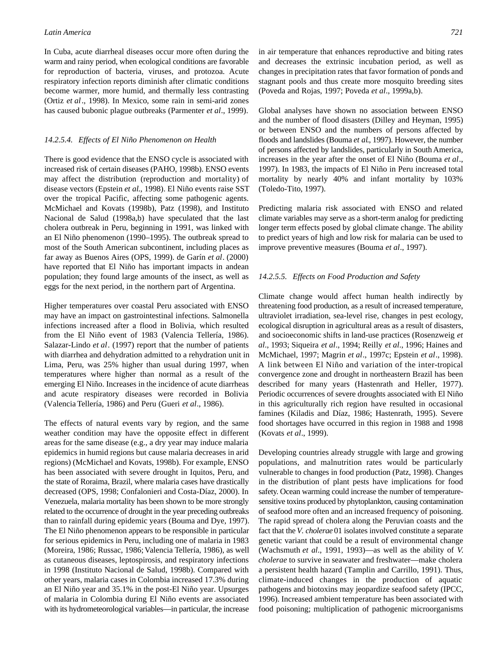In Cuba, acute diarrheal diseases occur more often during the warm and rainy period, when ecological conditions are favorable for reproduction of bacteria, viruses, and protozoa. Acute respiratory infection reports diminish after climatic conditions become warmer, more humid, and thermally less contrasting (Ortiz *et al*., 1998). In Mexico, some rain in semi-arid zones has caused bubonic plague outbreaks (Parmenter *et al*., 1999).

#### *14.2.5.4. Effects of El Niño Phenomenon on Health*

There is good evidence that the ENSO cycle is associated with increased risk of certain diseases (PAHO, 1998b). ENSO events may affect the distribution (reproduction and mortality) of disease vectors (Epstein *et al.*, 1998). El Niño events raise SST over the tropical Pacific, affecting some pathogenic agents. McMichael and Kovats (1998b), Patz (1998), and Instituto Nacional de Salud (1998a,b) have speculated that the last cholera outbreak in Peru, beginning in 1991, was linked with an El Niño phenomenon (1990–1995). The outbreak spread to most of the South American subcontinent, including places as far away as Buenos Aires (OPS, 1999). de Garín *et al*. (2000) have reported that El Niño has important impacts in andean population; they found large amounts of the insect, as well as eggs for the next period, in the northern part of Argentina.

Higher temperatures over coastal Peru associated with ENSO may have an impact on gastrointestinal infections. Salmonella infections increased after a flood in Bolivia, which resulted from the El Niño event of 1983 (Valencia Tellería, 1986). Salazar-Lindo *et al*. (1997) report that the number of patients with diarrhea and dehydration admitted to a rehydration unit in Lima, Peru, was 25% higher than usual during 1997, when temperatures where higher than normal as a result of the emerging El Niño. Increases in the incidence of acute diarrheas and acute respiratory diseases were recorded in Bolivia (Valencia Tellería, 1986) and Peru (Gueri *et al*., 1986).

The effects of natural events vary by region, and the same weather condition may have the opposite effect in different areas for the same disease (e.g., a dry year may induce malaria epidemics in humid regions but cause malaria decreases in arid regions) (McMichael and Kovats, 1998b). For example, ENSO has been associated with severe drought in Iquitos, Peru, and the state of Roraima, Brazil, where malaria cases have drastically decreased (OPS, 1998; Confalonieri and Costa-Díaz, 2000). In Venezuela, malaria mortality has been shown to be more strongly related to the occurrence of drought in the year preceding outbreaks than to rainfall during epidemic years (Bouma and Dye, 1997). The El Niño phenomenon appears to be responsible in particular for serious epidemics in Peru, including one of malaria in 1983 (Moreira, 1986; Russac, 1986; Valencia Tellería, 1986), as well as cutaneous diseases, leptospirosis, and respiratory infections in 1998 (Instituto Nacional de Salud, 1998b). Compared with other years, malaria cases in Colombia increased 17.3% during an El Niño year and 35.1% in the post-El Niño year. Upsurges of malaria in Colombia during El Niño events are associated with its hydrometeorological variables—in particular, the increase

in air temperature that enhances reproductive and biting rates and decreases the extrinsic incubation period, as well as changes in precipitation rates that favor formation of ponds and stagnant pools and thus create more mosquito breeding sites (Poveda and Rojas, 1997; Poveda *et al*., 1999a,b).

Global analyses have shown no association between ENSO and the number of flood disasters (Dilley and Heyman, 1995) or between ENSO and the numbers of persons affected by floods and landslides (Bouma *et al*., 1997). However, the number of persons affected by landslides, particularly in South America, increases in the year after the onset of El Niño (Bouma *et al*., 1997). In 1983, the impacts of El Niño in Peru increased total mortality by nearly 40% and infant mortality by 103% (Toledo-Tito, 1997).

Predicting malaria risk associated with ENSO and related climate variables may serve as a short-term analog for predicting longer term effects posed by global climate change. The ability to predict years of high and low risk for malaria can be used to improve preventive measures (Bouma *et al*., 1997).

#### *14.2.5.5. Effects on Food Production and Safety*

Climate change would affect human health indirectly by threatening food production, as a result of increased temperature, ultraviolet irradiation, sea-level rise, changes in pest ecology, ecological disruption in agricultural areas as a result of disasters, and socioeconomic shifts in land-use practices (Rosenzweig *et al*., 1993; Siqueira *et al*., 1994; Reilly *et al*., 1996; Haines and McMichael, 1997; Magrin *et al*., 1997c; Epstein *et al*., 1998). A link between El Niño and variation of the inter-tropical convergence zone and drought in northeastern Brazil has been described for many years (Hastenrath and Heller, 1977). Periodic occurrences of severe droughts associated with El Niño in this agriculturally rich region have resulted in occasional famines (Kiladis and Díaz, 1986; Hastenrath, 1995). Severe food shortages have occurred in this region in 1988 and 1998 (Kovats *et al*., 1999).

Developing countries already struggle with large and growing populations, and malnutrition rates would be particularly vulnerable to changes in food production (Patz, 1998). Changes in the distribution of plant pests have implications for food safety. Ocean warming could increase the number of temperaturesensitive toxins produced by phytoplankton, causing contamination of seafood more often and an increased frequency of poisoning. The rapid spread of cholera along the Peruvian coasts and the fact that the *V. cholerae* 01 isolates involved constitute a separate genetic variant that could be a result of environmental change (Wachsmuth *et al*., 1991, 1993)—as well as the ability of *V. cholerae* to survive in seawater and freshwater—make cholera a persistent health hazard (Tamplin and Carrillo, 1991). Thus, climate-induced changes in the production of aquatic pathogens and biotoxins may jeopardize seafood safety (IPCC, 1996). Increased ambient temperature has been associated with food poisoning; multiplication of pathogenic microorganisms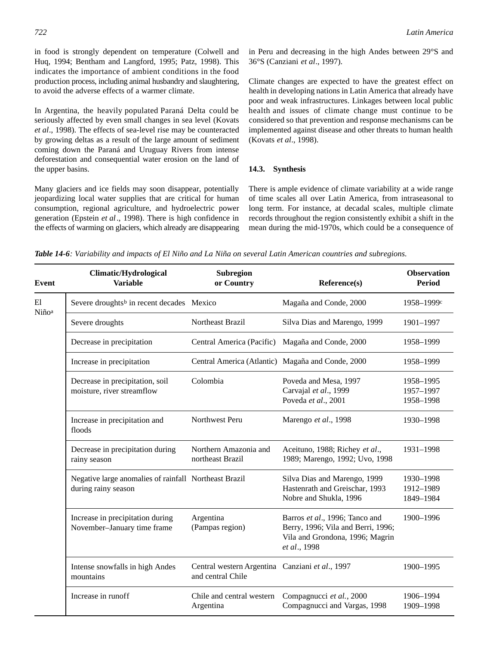in food is strongly dependent on temperature (Colwell and Huq, 1994; Bentham and Langford, 1995; Patz, 1998). This indicates the importance of ambient conditions in the food production process, including animal husbandry and slaughtering, to avoid the adverse effects of a warmer climate.

In Argentina, the heavily populated Paraná Delta could be seriously affected by even small changes in sea level (Kovats *et al*., 1998). The effects of sea-level rise may be counteracted by growing deltas as a result of the large amount of sediment coming down the Paraná and Uruguay Rivers from intense deforestation and consequential water erosion on the land of the upper basins.

Many glaciers and ice fields may soon disappear, potentially jeopardizing local water supplies that are critical for human consumption, regional agriculture, and hydroelectric power generation (Epstein *et al*., 1998). There is high confidence in the effects of warming on glaciers, which already are disappearing in Peru and decreasing in the high Andes between 29°S and 36°S (Canziani *et al*., 1997).

Climate changes are expected to have the greatest effect on health in developing nations in Latin America that already have poor and weak infrastructures. Linkages between local public health and issues of climate change must continue to be considered so that prevention and response mechanisms can be implemented against disease and other threats to human health (Kovats *et al*., 1998).

#### **14.3. Synthesis**

There is ample evidence of climate variability at a wide range of time scales all over Latin America, from intraseasonal to long term. For instance, at decadal scales, multiple climate records throughout the region consistently exhibit a shift in the mean during the mid-1970s, which could be a consequence of

*Table 14-6: Variability and impacts of El Niño and La Niña on several Latin American countries and subregions.*

| Event                   | Climatic/Hydrological<br><b>Subregion</b><br><b>Variable</b><br>or Country   |                                                                      | Reference(s)                                                                                                            | <b>Observation</b><br><b>Period</b> |
|-------------------------|------------------------------------------------------------------------------|----------------------------------------------------------------------|-------------------------------------------------------------------------------------------------------------------------|-------------------------------------|
| El<br>Niño <sup>a</sup> | Severe droughts <sup>b</sup> in recent decades Mexico                        |                                                                      | Magaña and Conde, 2000                                                                                                  | 1958-1999c                          |
|                         | Severe droughts                                                              | Northeast Brazil                                                     | Silva Dias and Marengo, 1999                                                                                            | 1901-1997                           |
|                         | Decrease in precipitation                                                    | Central America (Pacific)                                            | Magaña and Conde, 2000                                                                                                  | 1958-1999                           |
|                         | Increase in precipitation                                                    | Central America (Atlantic) Magaña and Conde, 2000                    |                                                                                                                         | 1958-1999                           |
|                         | Decrease in precipitation, soil<br>moisture, river streamflow                | Colombia                                                             | Poveda and Mesa, 1997<br>Carvajal et al., 1999<br>Poveda et al., 2001                                                   | 1958-1995<br>1957-1997<br>1958-1998 |
|                         | Increase in precipitation and<br>floods                                      | Northwest Peru                                                       | Marengo et al., 1998                                                                                                    | 1930-1998                           |
|                         | Decrease in precipitation during<br>rainy season                             | Northern Amazonia and<br>northeast Brazil                            | Aceituno, 1988; Richey et al.,<br>1989; Marengo, 1992; Uvo, 1998                                                        | 1931-1998                           |
|                         | Negative large anomalies of rainfall Northeast Brazil<br>during rainy season |                                                                      | Silva Dias and Marengo, 1999<br>Hastenrath and Greischar, 1993<br>Nobre and Shukla, 1996                                | 1930-1998<br>1912-1989<br>1849-1984 |
|                         | Increase in precipitation during<br>November-January time frame              | Argentina<br>(Pampas region)                                         | Barros et al., 1996; Tanco and<br>Berry, 1996; Vila and Berri, 1996;<br>Vila and Grondona, 1996; Magrin<br>et al., 1998 | 1900-1996                           |
|                         | Intense snowfalls in high Andes<br>mountains                                 | Central western Argentina Canziani et al., 1997<br>and central Chile |                                                                                                                         | 1900-1995                           |
|                         | Increase in runoff                                                           | Chile and central western<br>Argentina                               | Compagnucci et al., 2000<br>Compagnucci and Vargas, 1998                                                                | 1906-1994<br>1909-1998              |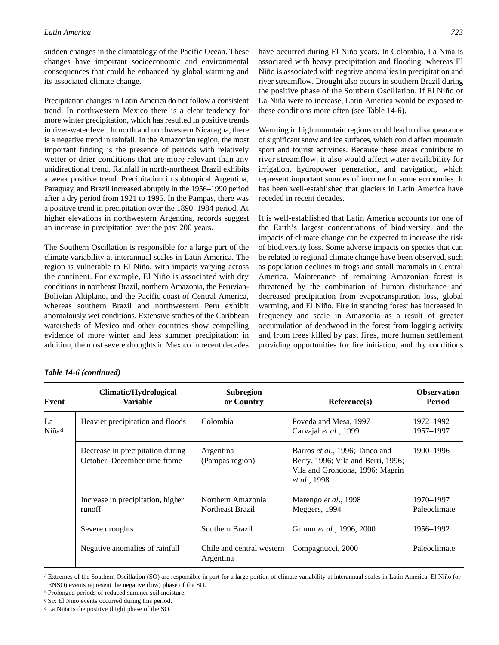sudden changes in the climatology of the Pacific Ocean. These changes have important socioeconomic and environmental consequences that could be enhanced by global warming and its associated climate change.

Precipitation changes in Latin America do not follow a consistent trend. In northwestern Mexico there is a clear tendency for more winter precipitation, which has resulted in positive trends in river-water level. In north and northwestern Nicaragua, there is a negative trend in rainfall. In the Amazonian region, the most important finding is the presence of periods with relatively wetter or drier conditions that are more relevant than any unidirectional trend. Rainfall in north-northeast Brazil exhibits a weak positive trend. Precipitation in subtropical Argentina, Paraguay, and Brazil increased abruptly in the 1956–1990 period after a dry period from 1921 to 1995. In the Pampas, there was a positive trend in precipitation over the 1890–1984 period. At higher elevations in northwestern Argentina, records suggest an increase in precipitation over the past 200 years.

The Southern Oscillation is responsible for a large part of the climate variability at interannual scales in Latin America. The region is vulnerable to El Niño, with impacts varying across the continent. For example, El Niño is associated with dry conditions in northeast Brazil, northern Amazonia, the Peruvian-Bolivian Altiplano, and the Pacific coast of Central America, whereas southern Brazil and northwestern Peru exhibit a nomalously wet conditions. Extensive studies of the Caribbean watersheds of Mexico and other countries show compelling evidence of more winter and less summer precipitation; in addition, the most severe droughts in Mexico in recent decades

have occurred during El Niño years. In Colombia, La Niña is associated with heavy precipitation and flooding, whereas El Niño is associated with negative anomalies in precipitation and river streamflow. Drought also occurs in southern Brazil during the positive phase of the Southern Oscillation. If El Niño or La Niña were to increase, Latin America would be exposed to these conditions more often (see Table 14-6).

Warming in high mountain regions could lead to disappearance of significant snow and ice surfaces, which could affect mountain sport and tourist activities. Because these areas contribute to river streamflow, it also would affect water availability for irrigation, hydropower generation, and navigation, which represent important sources of income for some economies. It has been well-established that glaciers in Latin America have receded in recent decades.

It is well-established that Latin America accounts for one of the Earth's largest concentrations of biodiversity, and the impacts of climate change can be expected to increase the risk of biodiversity loss. Some adverse impacts on species that can be related to regional climate change have been observed, such as population declines in frogs and small mammals in Central America. Maintenance of remaining Amazonian forest is threatened by the combination of human disturbance and decreased precipitation from evapotranspiration loss, global warming, and El Niño. Fire in standing forest has increased in frequency and scale in Amazonia as a result of greater accumulation of deadwood in the forest from logging activity and from trees killed by past fires, more human settlement providing opportunities for fire initiation, and dry conditions

| Event                   | Climatic/Hydrological<br><b>Variable</b>                        | <b>Subregion</b><br>or Country                                                                                                                                 | Reference(s)                                   | <b>Observation</b><br>Period |
|-------------------------|-----------------------------------------------------------------|----------------------------------------------------------------------------------------------------------------------------------------------------------------|------------------------------------------------|------------------------------|
| La<br>Niña <sup>d</sup> | Heavier precipitation and floods                                | Colombia                                                                                                                                                       | Poveda and Mesa, 1997<br>Carvajal et al., 1999 | 1972–1992<br>1957-1997       |
|                         | Decrease in precipitation during<br>October–December time frame | Argentina<br>Barros et al., 1996; Tanco and<br>(Pampas region)<br>Berry, 1996; Vila and Berri, 1996;<br>Vila and Grondona, 1996; Magrin<br><i>et al.,</i> 1998 |                                                | 1900-1996                    |
|                         | Increase in precipitation, higher<br>runoff                     | Northern Amazonia<br>Northeast Brazil                                                                                                                          | Marengo et al., 1998<br>Meggers, 1994          | 1970–1997<br>Paleoclimate    |
|                         | Severe droughts                                                 | Southern Brazil                                                                                                                                                | Grimm et al., 1996, 2000                       | 1956–1992                    |
|                         | Negative anomalies of rainfall                                  | Chile and central western<br>Argentina                                                                                                                         | Compagnucci, 2000                              | Paleoclimate                 |

#### *Table 14-6 (continued)*

a Extremes of the Southern Oscillation (SO) are responsible in part for a large portion of climate variability at interannual scales in Latin America. El Niño (or ENSO) events represent the negative (low) phase of the SO.

b Prolonged periods of reduced summer soil moisture.

c Six El Niño events occurred during this period.

d La Niña is the positive (high) phase of the SO.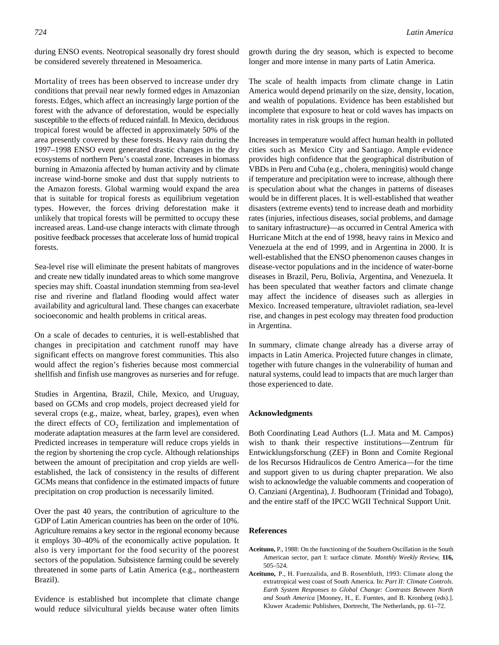during ENSO events. Neotropical seasonally dry forest should be considered severely threatened in Mesoamerica.

Mortality of trees has been observed to increase under dry conditions that prevail near newly formed edges in Amazonian forests. Edges, which affect an increasingly large portion of the forest with the advance of deforestation, would be especially susceptible to the effects of reduced rainfall. In Mexico, deciduous tropical forest would be affected in approximately 50% of the area presently covered by these forests. Heavy rain during the 1997–1998 ENSO event generated drastic changes in the dry ecosystems of northern Peru's coastal zone. Increases in biomass burning in Amazonia affected by human activity and by climate increase wind-borne smoke and dust that supply nutrients to the Amazon forests. Global warming would expand the area that is suitable for tropical forests as equilibrium vegetation types. However, the forces driving deforestation make it unlikely that tropical forests will be permitted to occupy these increased areas. Land-use change interacts with climate through positive feedback processes that accelerate loss of humid tropical forests.

Sea-level rise will eliminate the present habitats of mangroves and create new tidally inundated areas to which some mangrove species may shift. Coastal inundation stemming from sea-level rise and riverine and flatland flooding would affect water availability and agricultural land. These changes can exacerbate socioeconomic and health problems in critical areas.

On a scale of decades to centuries, it is well-established that changes in precipitation and catchment runoff may have significant effects on mangrove forest communities. This also would affect the region's fisheries because most commercial shellfish and finfish use mangroves as nurseries and for refuge.

Studies in Argentina, Brazil, Chile, Mexico, and Uruguay, based on GCMs and crop models, project decreased yield for several crops (e.g., maize, wheat, barley, grapes), even when the direct effects of  $CO<sub>2</sub>$  fertilization and implementation of moderate adaptation measures at the farm level are considered. Predicted increases in temperature will reduce crops yields in the region by shortening the crop cycle. Although relationships between the amount of precipitation and crop yields are wellestablished, the lack of consistency in the results of different GCMs means that confidence in the estimated impacts of future precipitation on crop production is necessarily limited.

Over the past 40 years, the contribution of agriculture to the GDP of Latin American countries has been on the order of 10%. Agriculture remains a key sector in the regional economy because it employs 30–40% of the economically active population. It also is very important for the food security of the poorest sectors of the population. Subsistence farming could be severely threatened in some parts of Latin America (e.g., northeastern Brazil).

Evidence is established but incomplete that climate change would reduce silvicultural yields because water often limits growth during the dry season, which is expected to become longer and more intense in many parts of Latin America.

The scale of health impacts from climate change in Latin America would depend primarily on the size, density, location, and wealth of populations. Evidence has been established but incomplete that exposure to heat or cold waves has impacts on mortality rates in risk groups in the region.

Increases in temperature would affect human health in polluted cities such as Mexico City and Santiago. Ample evidence provides high confidence that the geographical distribution of VBDs in Peru and Cuba (e.g., cholera, meningitis) would change if temperature and precipitation were to increase, although there is speculation about what the changes in patterns of diseases would be in different places. It is well-established that weather disasters (extreme events) tend to increase death and morbidity rates (injuries, infectious diseases, social problems, and damage to sanitary infrastructure)—as occurred in Central America with Hurricane Mitch at the end of 1998, heavy rains in Mexico and Venezuela at the end of 1999, and in Argentina in 2000. It is well-established that the ENSO phenomenon causes changes in disease-vector populations and in the incidence of water-borne diseases in Brazil, Peru, Bolivia, Argentina, and Venezuela. It has been speculated that weather factors and climate change may affect the incidence of diseases such as allergies in Mexico. Increased temperature, ultraviolet radiation, sea-level rise, and changes in pest ecology may threaten food production in Argentina.

In summary, climate change already has a diverse array of impacts in Latin America. Projected future changes in climate, together with future changes in the vulnerability of human and natural systems, could lead to impacts that are much larger than those experienced to date.

#### **Acknowledgments**

Both Coordinating Lead Authors (L.J. Mata and M. Campos) wish to thank their respective institutions—Zentrum für Entwicklungsforschung (ZEF) in Bonn and Comite Regional de los Recursos Hidraulicos de Centro America—for the time and support given to us during chapter preparation. We also wish to acknowledge the valuable comments and cooperation of O. Canziani (Argentina), J. Budhooram (Trinidad and Tobago), and the entire staff of the IPCC WGII Technical Support Unit.

#### **References**

- **Aceituno,** P., 1988: On the functioning of the Southern Oscillation in the South American sector, part I: surface climate. *Monthly Weekly Review,* **116,** 505–524.
- Aceituno, P., H. Fuenzalida, and B. Rosenbluth, 1993: Climate along the extratropical west coast of South America. In: Part II: Climate Controls. *Earth System Responses to Global Change: Contrasts Between North and South America* [Mooney, H., E. Fuentes, and B. Kronberg (eds).]. Kluwer Academic Publishers, Dortrecht, The Netherlands, pp. 61–72.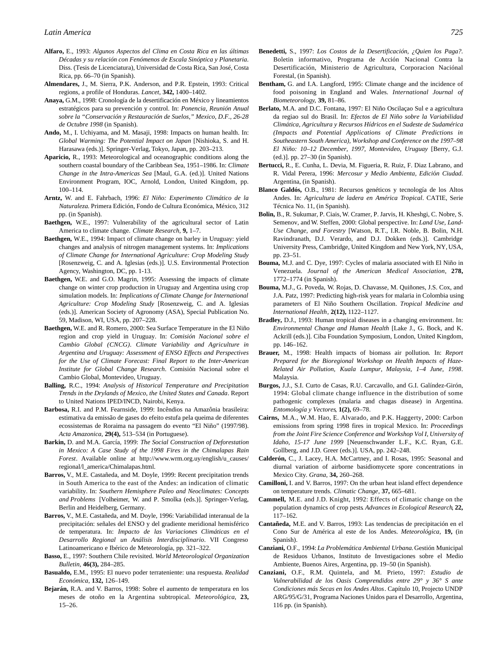- **Alfaro,** E., 1993: *Algunos Aspectos del Clima en Costa Rica en las últimas Décadas y su relación con Fenómenos de Escala Sinóptica y Planetaria*. Diss. (Tesis de Licenciatura), Universidad de Costa Rica, San José, Costa Rica, pp. 66–70 (in Spanish).
- **Almendares,** J., M. Sierra, P.K. Anderson, and P.R. Epstein, 1993: Critical regions, a profile of Honduras. *Lancet*, **342,** 1400–1402.
- Anaya, G.M., 1998: Cronología de la desertificación en México y lineamientos estratégicos para su prevención y control. In: *Ponencia, Reunión Anual sobre la "Conservación y Restauración de Suelos," Mexico, D.F., 26-28 de Octubre 1998* (in Spanish).
- **Ando,** M., I. Uchiyama, and M. Masaji, 1998: Impacts on human health. In: *Global Warming: The Potential Impact on Japan* [Nishioka, S. and H. Harasawa (eds.)]. Springer-Verlag, Tokyo, Japan, pp. 203–213.
- **Aparicio,** R., 1993: Meteorological and oceanographic conditions along the southern coastal boundary of the Caribbean Sea, 1951–1986. In: *Climate Change in the Intra-Americas Sea* [Maul, G.A. (ed.)]. United Nations Environment Program, IOC, Arnold, London, United Kingdom, pp. 100–114.
- **Arntz,** W. and E. Fahrbach, 1996: *El Niño: Experimento Climático de la Naturaleza*. Primera Edición, Fondo de Cultura Económica, México, 312 pp. (in Spanish).
- **Baethgen,** W.E., 1997: Vulnerability of the agricultural sector of Latin America to climate change. *Climate Research*, **9,** 1–7.
- **Baethgen,** W.E., 1994: Impact of climate change on barley in Uruguay: yield changes and analysis of nitrogen management systems. In: *Implications of Climate Change for International Agriculture: Crop Modeling Study* [Rosenzweig, C. and A. Iglesias (eds.)]. U.S. Environmental Protection Agency, Washington, DC, pp. 1-13.
- **Baethgen,** W.E. and G.O. Magrin, 1995: Assessing the impacts of climate change on winter crop production in Uruguay and Argentina using crop simulation models. In: *Implications of Climate Change for International Agriculture: Crop Modeling Study* [Rosenzweig, C. and A. Iglesias (eds.)]. American Society of Agronomy (ASA), Special Publication No. 59, Madison, WI, USA, pp. 207–228.
- **Baethgen,** W.E. and R. Romero, 2000: Sea Surface Temperature in the El Niño region and crop yield in Uruguay. In: *Comisión Nacional sobre el Cambio Global (CNCG). Climate Variability and Agriculture in Argentina and Uruguay: Assessment of ENSO Effects and Perspectives for the Use of Climate Forecast: Final Report to the Inter-American Institute for Global Change Research*. Comisión Nacional sobre el Cambio Global, Montevideo, Uruguay.
- **Balling,** R.C., 1994: *Analysis of Historical Temperature and Precipitation Trends in the Drylands of Mexico, the United States and Canada*. Report to United Nations IPED/INCD, Nairobi, Kenya.
- **Barbosa,** R.I. and P.M. Fearnside, 1999: Incêndios na Amazônia brasileira: estimativa da emissão de gases do efeito estufa pela queima de diferentes ecossistemas de Roraima na passagem do evento "El Niño" (1997/98). *Acta Amazonica*, **29(4),** 513–534 (in Portuguese).
- **Barkin,** D. and M.A. García, 1999: *The Social Construction of Deforestation in Mexico: A Case Study of the 1998 Fires in the Chimalapas Rain Forest.* Available online at http://www.wrm.org.uy/english/u causes/ regional/l\_america/Chimalapas.html.
- **Barros,** V., M.E. Castañeda, and M. Doyle, 1999: Recent precipitation trends in South America to the east of the Andes: an indication of climatic variability. In: Southern Hemisphere Paleo and Neoclimates: Concepts *and Problems* [Volheimer, W. and P. Smolka (eds.)]. Springer-Verlag, Berlin and Heidelberg, Germany.
- **Barros,** V., M.E. Castañeda, and M. Doyle, 1996: Variabilidad interanual de la precipitación: señales del ENSO y del gradiente meridional hemisférico de temperatura. In: *Impacto de las Variaciones Climáticas en el Desarrollo Regional un Análisis Interdisciplinario.* VII Congreso Latinoamericano e Ibérico de Meteorología, pp. 321–322.
- **Basso,** E., 1997: Southern Chile revisited. *World Meteorological Organization Bulletin*, **46(3),** 284–285.
- **Basualdo,** E.M., 1995: El nuevo poder terrateniente: una respuesta. *Realidad Económica*, **132,** 126–149.
- **Bejarán,** R.A. and V. Barros, 1998: Sobre el aumento de temperatura en los meses de otoño en la Argentina subtropical. *Meteorológica*, 23,  $15 - 26.$
- **Benedetti,** S., 1997: *Los Costos de la Desertificación, ¿Quien los Paga?.* Boletin informativo, Programa de Acción Nacional Contra la Desertificación, Ministerio de Agricultura, Corporacion Naciónal Forestal, (in Spanish).
- **Bentham,** G. and I.A. Langford, 1995: Climate change and the incidence of food poisoning in England and Wales. *International Journal of Biometeorology*, **39,** 81–86.
- **Berlato,** M.A. and D.C. Fontana, 1997: El Niño Oscilaçao Sul e a agricultura da regiao sul do Brasil. In: *Efectos de El Niño sobre la Variabilidad Climática, Agricultura y Recursos Hídricos en el Sudeste de Sudamérica (Impacts and Potential Applications of Climate Predictions in Southeastern South America), Workshop and Conference on the 1997–98 El Niño: 10–12 December, 1997, Montevideo, Uruguay* [Berry, G.J. (ed.)]. pp. 27–30 (in Spanish).
- **Bertucci,** R., E. Cunha, L. Devia, M. Figueria, R. Ruiz, F. Diaz Labrano, and R. Vidal Perera, 1996: *Mercosur y Medio Ambienta, Edici*ó*n Ciudad*. Argentina, (in Spanish).
- **Blanco Galdós,** O.B., 1981: Recursos genéticos y tecnología de los Altos Andes. In: *Agricultura de ladera en América Tropical*. CATIE, Serie Técnica No. 11, (in Spanish).
- **Bolin,** B., R. Sukumar, P. Ciais, W. Cramer, P. Jarvis, H. Kheshgi, C. Nobre, S. Semenov, and W. Steffen, 2000: Global perspective. In: *Land Use, Land-Use Change, and Forestry* [Watson, R.T., I.R. Noble, B. Bolin, N.H. Ravindranath, D.J. Verardo, and D.J. Dokken (eds.)]. Cambridge University Press, Cambridge, United Kingdom and New York, NY, USA, pp. 23–51.
- **Bouma,** M.J. and C. Dye, 1997: Cycles of malaria associated with El Niño in Venezuela. *Journal of the American Medical Association*, 278, 1772–1774 (in Spanish).
- **Bouma,** M.J., G. Poveda, W. Rojas, D. Chavasse, M. Quiñones, J.S. Cox, and J.A. Patz, 1997: Predicting high-risk years for malaria in Colombia using parameters of El Niño Southern Oscillation. *Tropical Medicine and International Health*, **2(12),** 1122–1127.
- **Bradley,** D.J., 1993: Human tropical diseases in a changing environment. In: *Environmental Change and Human Health* [Lake J., G. Bock, and K. Ackrill (eds.)]. Ciba Foundation Symposium, London, United Kingdom, pp. 146–162.
- **Brauer,** M., 1998: Health impacts of biomass air pollution*.* In: *Report Prepared for the Bioregional Workshop on Health Impacts of Haze-Related Air Pollution, Kuala Lumpur, Malaysia, 1–4 June, 1998*. Malaysia.
- **Burgos,** J.J., S.I. Curto de Casas, R.U. Carcavallo, and G.I. Galíndez-Girón, 1994: Global climate change influence in the distribution of some pathogenic complexes (malaria and chagas disease) in Argentina. *Entomología y Vectores*, **1(2),** 69–78.
- Cairns, M.A., W.M. Hao, E. Alvarado, and P.K. Haggerty, 2000: Carbon emissions from spring 1998 fires in tropical Mexico. In: Proceedings *from the Joint Fire Science Conference and Workshop Vol I, University of Idaho, 15-17 June 1999* [Neuenschwander L.F., K.C. Ryan, G.E. Gollberg, and J.D. Greer (eds.)]. USA, pp. 242–248.
- **Calderón,** C., J. Lacey, H.A. McCartney, and I. Rosas, 1995: Seasonal and diurnal variation of airborne basidiomycete spore concentrations in Mexico City. *Grana*, **34,** 260–268.
- **Camilloni,** I. and V. Barros, 1997: On the urban heat island effect dependence on temperature trends. *Climatic Change*, **37,** 665–681.
- **Cammell,** M.E. and J.D. Knight, 1992: Effects of climatic change on the population dynamics of crop pests *Advances in Ecological Research*, 22, 117–162.
- **Cantañeda,** M.E. and V. Barros, 1993: Las tendencias de precipitación en el Cono Sur de América al este de los Andes. *Meteorológica*, **19,** (in Spanish).
- **Canziani,** O.F., 1994: *La Problemática Ambiental Urbana.*Gestión Municipal de Residuos Urbanos, Instituto de Investigaciones sobre el Medio Ambiente, Buenos Aires, Argentina, pp. 19–50 (in Spanish).
- Canziani, O.F., R.M. Quintela, and M. Prieto, 1997: Estudio de *Vulnerabilidad de los Oasis Comprendidos entre 29° y 36° S ante Condiciones más Secas en los Andes Altos*. Capítulo 10, Projecto UNDP ARG/95/G/31, Programa Naciones Unidos para el Desarrollo, Argentina, 116 pp. (in Spanish).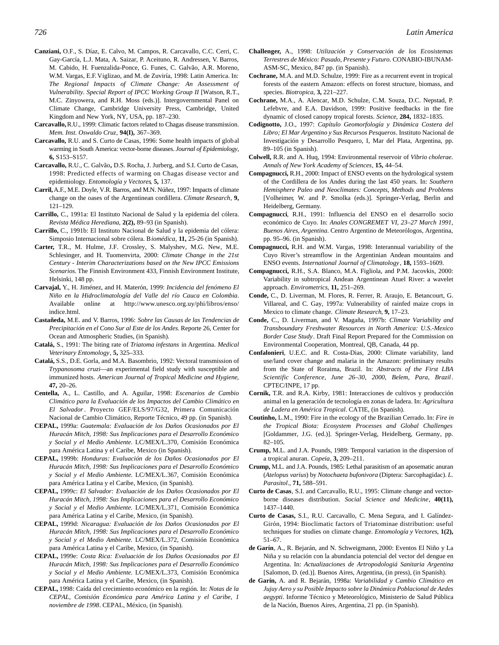- **Canziani,** O.F., S. Díaz, E. Calvo, M. Campos, R. Carcavallo, C.C. Cerri, C. Gay-García, L.J. Mata, A. Saizar, P. Aceituno, R. Andressen, V. Barros, M. Cabido, H. Fuenzalida-Ponce, G. Funes, C. Galvão, A.R. Moreno, W.M. Vargas, E.F. Viglizao, and M. de Zuviría, 1998: Latin America. In: *The Regional Impacts of Climate Change: An Assessment of Vulnerability. Special Report of IPCC Working Group II* [Watson, R.T., M.C. Zinyowera, and R.H. Moss (eds.)]. Intergovernmental Panel on Climate Change, Cambridge University Press, Cambridge, United Kingdom and New York, NY, USA, pp. 187–230.
- Carcavallo, R.U., 1999: Climatic factors related to Chagas disease transmission. *Mem. Inst. Oswaldo Cruz*, **94(I),** 367–369.
- **Carcavallo, R.U.** and S. Curto de Casas, 1996: Some health impacts of global warming in South America: vector-borne diseases. *Journal of Epidemiology*, **6,** S153–S157.
- **Carcavallo,** R.U., C. Galvão**,** D.S. Rocha, J. Jurberg, and S.I. Curto de Casas, 1998: Predicted effects of warming on Chagas disease vector and epidemiology. *Entomología y Vectores*, 5, 137.
- Carril, A.F., M.E. Doyle, V.R. Barros, and M.N. Núñez, 1997: Impacts of climate change on the oases of the Argentinean cordillera. *Climate Research*, **9,** 121–129.
- **Carrillo,** C., 1991a: El Instituto Nacional de Salud y la epidemia del cólera. *Revista Médica Herediana*, **2(2),** 89–93 (in Spanish).
- **Carrillo,** C., 1991b: El Instituto Nacional de Salud y la epidemia del cólera: Simposio Internacional sobre cólera. B*iomédica*, **11,** 25-26 (in Spanish).
- **Carter,** T.R., M. Hulme, J.F. Crossley, S. Malyshev, M.G. New, M.E. Schlesinger, and H. Tuomenvirta, 2000: *Climate Change in the 21st Century - Interim Characterizations based on the New IPCC Emissions Scenarios*. The Finnish Environment 433, Finnish Environment Institute, Helsinki, 148 pp.
- **Carvajal,** Y., H. Jiménez, and H. Materón, 1999: *Incidencia del fenómeno El Niño en la Hidroclimatología del Valle del río Cauca en Colombia*. Available online at http://www.unesco.org.uy/phi/libros/enso/ indice.html.
- **Castañeda,** M.E. and V. Barros, 1996: *Sobre las Causas de las Tendencias de Precipitación en el Cono Sur al Este de los Andes*. Reporte 26, Center for Ocean and Atmospheric Studies, (in Spanish).
- **Catalá,** S., 1991: The biting rate of *Triatoma infestans* in Argentina. *Medical Veterinary Entomology*, **5,** 325–333.
- **Catalá,** S.S., D.E. Gorla, and M.A. Basombrio, 1992: Vectoral transmission of *Trypanosoma cruzi*—an experimental field study with susceptible and immunized hosts. *American Journal of Tropical Medicine and Hygiene*, **47,** 20–26.
- **Centella,** A., L. Castillo, and A. Aguilar, 1998: *Escenarios de Cambio Climático para la Evaluación de los Impactos del Cambio Climático en El Salvador*. Proyecto GEF/ELS/97/G32, Primera Comunicación Nacional de Cambio Climático, Reporte Técnico, 49 pp. (in Spanish).
- **CEPAL,** 1999a: *Guatemala: Evaluación de los Daños Ocasionados por El Huracán Mitch, 1998: Sus Implicaciones para el Desarrollo Económico y Social y el Medio Ambiente*. LC/MEX/L.370, Comisión Económica para América Latina y el Caribe, Mexico (in Spanish).
- **CEPAL,** 1999b: *Honduras: Evaluación de los Daños Ocasionados por El Huracán Mitch, 1998: Sus Implicaciones para el Desarrollo Económico y Social y el Medio Ambiente*. LC/MEX/L.367, Comisión Económica para América Latina y el Caribe, Mexico, (in Spanish).
- **CEPAL,** 1999c: *El Salvador: Evaluación de los Daños Ocasionados por El Huracán Mitch, 1998: Sus Implicaciones para el Desarrollo Económico y Social y el Medio Ambiente*. LC/MEX/L.371, Comisión Económica para América Latina y el Caribe, Mexico, (in Spanish).
- **CEPAL,** 1999d: *Nicaragua: Evaluación de los Daños Ocasionados por El Huracán Mitch, 1998: Sus Implicaciones para el Desarrollo Económico y Social y el Medio Ambiente*. LC/MEX/L.372, Comisión Económica para América Latina y el Caribe, Mexico, (in Spanish).
- **CEPAL,** 1999e: *Costa Rica: Evaluación de los Daños Ocasionados por El Huracán Mitch, 1998: Sus Implicaciones para el Desarrollo Económico y Social y el Medio Ambiente*. LC/MEX/L.373, Comisión Económica para América Latina y el Caribe, Mexico, (in Spanish).
- **CEPAL,** 1998: Caída del crecimiento económico en la región. In: *Notas de la CEPAL, Comisión Económica para América Latina y el Caribe, 1 noviembre de 1998*. CEPAL, México, (in Spanish).
- **C h a l l e n g e r,** A., 1998: *Utilización y Conservación de los Ecosistemas Terrestres de México: Pasado, Presente y Futuro.* CONABIO-IBUNAM-ASM-SC, Mexico, 847 pp. (in Spanish).
- **Cochrane,** M.A. and M.D. Schulze, 1999: Fire as a recurrent event in tropical forests of the eastern Amazon: effects on forest structure, biomass, and species. *Biotropica*, **3,** 221–227.
- **Cochrane,** M.A., A. Alencar, M.D. Schulze, C.M. Souza, D.C. Nepstad, P. Lefebvre, and E.A. Davidson, 1999: Positive feedbacks in the fire dynamic of closed canopy tropical forests. *Science*, **284,** 1832–1835.
- **Codignotto,** J.O., 1997: *Capítulo Geomorfología y Dinámica Costera del Libro; El Mar Argentino y Sus Recursos Pesqueros*. Instituto Nacional de Investigación y Desarrollo Pesquero, I, Mar del Plata, Argentina, pp. 89–105 (in Spanish).
- **Colwell,** R.R. and A. Huq, 1994: Environmental reservoir of *Vibrio cholerae. Annals of New York Academy of Sciences*, **15,** 44–54.
- **Compagnucci, R.H., 2000: Impact of ENSO events on the hydrological system** of the Cordillera de los Andes during the last 450 years. In: *Southern Hemisphere Paleo and Neoclimates: Concepts, Methods and Problems* [Volheimer, W. and P. Smolka (eds.)]. Springer-Verlag, Berlin and Heidelberg, Germany.
- **Compagnucci**, R.H., 1991: Influencia del ENSO en el desarrollo socio económico de Cuyo. In: *Anales CONGREMET VI, 23–27 March 1991, Buenos Aires, Argentina*. Centro Argentino de Meteorólogos, Argentina, pp. 95–96. (in Spanish).
- **Compagnucci,** R.H. and W.M. Vargas, 1998: Interannual variability of the Cuyo River's streamflow in the Argentinian Andean mountains and ENSO events. *International Journal of Climatology*, **18,** 1593–1609.
- **Compagnucci,** R.H., S.A. Blanco, M.A. Figliola, and P.M. Jacovkis, 2000: Variability in subtropical Andean Argentinean Atuel River: a wavelet approach. *Envirometrics*, **11,** 251–269.
- **Conde,** C., D. Liverman, M. Flores, R. Ferrer, R. Araujo, E. Betancourt, G. Villareal, and C. Gay, 1997a: Vulnerability of rainfed maize crops in Mexico to climate change. *Climate Research*, **9,** 17–23.
- **Conde,** C., D. Liverman, and V. Magaña, 1997b: *Climate Variability and Transboundary Freshwater Resources in North America: U.S.-Mexico Border Case Study*. Draft Final Report Prepared for the Commission on Environmental Cooperation, Montreal, QB, Canada, 44 pp.
- **Confalonieri**, U.E.C. and R. Costa-Dias, 2000: Climate variability, land use/land cover change and malaria in the Amazon: preliminary results from the State of Roraima, Brazil. In: *Abstracts of the First LBA Scientific Conference, June 26–30, 2000, Belem, Para, Brazil*. CPTEC/INPE, 17 pp.
- **Cornik,** T.R. and R.A. Kirby, 1981: Interacciones de cultivos y producción animal en la generación de tecnología en zonas de ladera. In: *Agricultura de Ladera en América Tropical*. CATIE, (in Spanish).
- **Coutinho,** L.M., 1990: Fire in the ecology of the Brazilian Cerrado. In: *Fire in the Tropical Biota: Ecosystem Processes and Global Challenges* [Goldammer, J.G. (ed.)]. Springer-Verlag, Heidelberg, Germany, pp. 82–105.
- **Crump,** M.L. and J.A. Pounds, 1989: Temporal variation in the dispersion of a tropical anuran. *Copeia*, **3,** 209–211.
- **Crump, M.L. and J.A. Pounds, 1985: Lethal parasitism of an aposematic anuran** (*Atelopus varius*) by *Notochaeta bufonivora* (Diptera: Sarcophagidac). *L. Parasitol*., **71,** 588–591.
- **Curto de Casas**, S.I. and Carcavallo, R.U., 1995: Climate change and vectorborne diseases distribution. *Social Science and Medicine*, 40(11), 1437–1440.
- **Curto de Casas,** S.I., R.U. Carcavallo, C. Mena Segura, and I. Galíndez-Girón, 1994: Bioclimatic factors of Triatominae distribution: useful techniques for studies on climate change. *Entomología y Vectores*, 1(2), 51–67.
- **de Garín**, A., R. Bejarán, and N. Schweigmann, 2000: Eventos El Niño y La Niña y su relación con la abundancia potencial del vector del dengue en Argentina. In: *Actualizaciones de Artropodologiá Sanitaria Argentina* [Salomon, D. (ed.)]. Buenos Aires, Argentina, (in press), (in Spanish).
- **de Garín,** A. and R. Bejarán, 1998a: *Variabilidad y Cambio Climático en Jujuy Aero y su Posible Impacto sobre la Dinámica Poblacional de Aedes aegypti*. Informe Técnico y Meteorológico, Ministerio de Salud Pública de la Nación, Buenos Aires, Argentina, 21 pp. (in Spanish).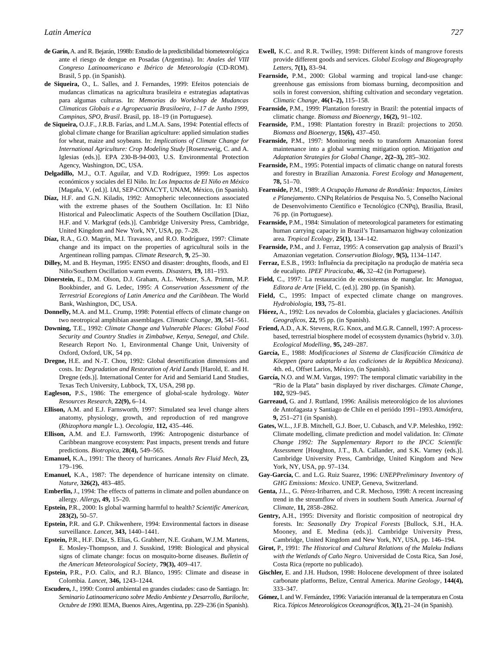- **de Garín,**A. and R. Bejarán, 1998b: Estudio de la predictibilidad biometeorológica ante el riesgo de dengue en Posadas (Argentina). In: *Anales del VIII* Congreso Latinoamericano e Ibérico de Meteorología (CD-ROM). Brasil, 5 pp. (in Spanish).
- **de Siqueira,** O., L. Salles, and J. Fernandes, 1999: Efeitos potenciais de mudancas climaticas na agricultura brasileira e estrategias adaptativas para algumas culturas. In: *Memorias do Workshop de Mudancas Climaticas Globais e a Agropecuaria Brasiloeira, 1–17 de Junho 1999, Campinas, SPO, Brasil*. Brasil, pp. 18–19 (in Portuguese).
- **de Siqueira,** O.J.F., J.R.B. Farías, and L.M.A. Sans, 1994: Potential effects of global climate change for Brazilian agriculture: applied simulation studies for wheat, maize and soybeans. In: *Implications of Climate Change for International Agriculture: Crop Modeling Study* [Rosenzweig, C. and A. Iglesias (eds.)]. EPA 230-B-94-003, U.S. Environmental Protection Agency, Washington, DC, USA.
- Delgadillo, M.J., O.T. Aguilar, and V.D. Rodríguez, 1999: Los aspectos económicos y sociales del El Niño. In: *Los Impactos de El Niño en México* [Magaña, V. (ed.)]. IAI, SEP-CONACYT, UNAM, México, (in Spanish).
- **Díaz,** H.F. and G.N. Kiladis, 1992: Atmopheric teleconnections associated with the extreme phases of the Southern Oscillation. In: El Niño Historical and Paleoclimatic Aspects of the Southern Oscillation [Diaz, H.F. and V. Markgraf (eds.)]. Cambridge University Press, Cambridge, United Kingdom and New York, NY, USA, pp. 7–28.
- **Díaz,** R.A., G.O. Magrin, M.I. Travasso, and R.O. Rodríguez, 1997: Climate change and its impact on the properties of agricultural soils in the Argentinean rolling pampas. *Climate Research*, **9,** 25–30.
- **Dilley,** M. and B. Heyman, 1995: ENSO and disaster: droughts, floods, and El Niño/Southern Oscillation warm events. *Disasters*, **19,** 181–193.
- **Dinerstein,** E., D.M. Olson, D.J. Graham, A.L. Webster, S.A. Primm, M.P. Bookbinder, and G. Ledec, 1995: *A Conservation Assessment of the Terrestrial Ecoregions of Latin America and the Caribbean*. The World Bank, Washington, DC, USA.
- **Donnelly,** M.A. and M.L. Crump, 1998: Potential effects of climate change on two neotropical amphibian assemblages*. Climatic Change*, **39,** 541–561.
- **Downing,** T.E., 1992: *Climate Change and Vulnerable Places: Global Food Security and Country Studies in Zimbabwe, Kenya, Senegal, and Chile*. Research Report No. 1, Environmental Change Unit, University of Oxford, Oxford, UK, 54 pp.
- **Dregne,** H.E. and N.-T. Chou, 1992: Global desertification dimensions and costs. In*: Degradation and Restoration of Arid Lands* [Harold, E. and H. Dregne (eds.)]. International Center for Arid and Semiarid Land Studies, Texas Tech University, Lubbock, TX, USA, 298 pp.
- Eagleson, P.S., 1986: The emergence of global-scale hydrology. Water *Resources Research*, **22(9),** 6–14.
- **Ellison,** A.M. and E.J. Farnsworth, 1997: Simulated sea level change alters anatomy, physiology, growth, and reproduction of red mangrove (*Rhizophora mangle* L.). *Oecologia*, **112,** 435–446.
- Ellison, A.M. and E.J. Farnsworth, 1996: Antropogenic disturbance of Caribbean mangrove ecosystem: Past impacts, present trends and future predictions. *Biotropica*, **28(4),** 549–565.
- **Emanuel,** K.A., 1991: The theory of hurricanes. *Annals Rev Fluid Mech*, **23,** 179–196.
- **Emanuel,** K.A., 1987: The dependence of hurricane intensity on climate. *Nature*, **326(2),** 483–485.
- **Emberlin,** J., 1994: The effects of patterns in climate and pollen abundance on allergy. *Allergy***, 49,** 15–20.
- **Epstein,** P.R., 2000: Is global warming harmful to health? *Scientific American*, **283(2),** 50–57.
- **Epstein,** P.R. and G.P. Chikwenhere, 1994: Environmental factors in disease surveillance. *Lancet*, **343,** 1440–1441.
- **Epstein,** P.R., H.F. Díaz, S. Elias, G. Grabherr, N.E. Graham, W.J.M. Martens, E. Mosley-Thompson, and J. Susskind, 1998: Biological and physical signs of climate change: focus on mosquito-borne diseases. *Bulletin of the American Meteorological Society*, **79(3),** 409–417.
- **Epstein,** P.R., P.O. Calix, and R.J. Blanco, 1995: Climate and disease in Colombia. *Lancet*, **346,** 1243–1244.
- **Escudero, J., 1990: Control ambiental en grandes ciudades: caso de Santiago. In:** *Seminario Latinoamericano sobre Medio Ambiente y Desarrollo, Bariloche,* Octubre de 1990. IEMA, Buenos Aires, Argentina, pp. 229-236 (in Spanish).
- **Ewell, K.C. and R.R. Twilley, 1998: Different kinds of mangrove forests** provide different goods and services. *Global Ecology and Biogeography Letters*, **7(1),** 83–94.
- Fearnside, P.M., 2000: Global warming and tropical land-use change: greenhouse gas emissions from biomass burning, decomposition and soils in forest conversion, shifting cultivation and secondary vegetation. *Climatic Change*, **46(1–2),** 115–158.
- **Fearnside,** P.M., 1999: Plantation forestry in Brazil: the potential impacts of climatic change. *Biomass and Bioenergy*, **16(2),** 91–102.
- **Fearnside,** P.M., 1998: Plantation forestry in Brazil: projections to 2050*. Biomass and Bioenergy*, **15(6),** 437–450.
- **Fearnside,** P.M., 1997: Monitoring needs to transform Amazonian forest maintenance into a global warming mitigation option. *Mitigation and Adaptation Strategies for Global Change*, **2(2–3),** 285–302.
- **Fearnside,** P.M., 1995: Potential impacts of climatic change on natural forests and forestry in Brazilian Amazonia. *Forest Ecology and Management*, **78,** 51–70.
- **Fearnside,** P.M., 1989: *A Ocupação Humana de Rondônia: Impactos, Limites e Planejamento*. CNPq Relatórios de Pesquisa No. 5, Conselho Nacional de Desenvolvimento Científico e Tecnológico (CNPq), Brasilia, Brasil, 76 pp. (in Portuguese).
- Fearnside, P.M., 1984: Simulation of meteorological parameters for estimating human carrying capacity in Brazil's Transamazon highway colonization area. *Tropical Ecology*, **25(1),** 134–142.
- **Fearnside,** P.M., and J. Ferraz, 1995: A conservation gap analysis of Brazil's Amazonian vegetation. *Conservation Biology*, **9(5),** 1134–1147.
- **Ferraz,** E.S.B., 1993: Influência da precipitação na produção de matéria seca de eucalipto. *IPEF Piracicaba*, **46,** 32–42 (in Portuguese).
- **Field,** C., 1997: La restauración de ecosistemas de manglar*.* In: *Managua, Editora de Arte* [Field, C. (ed.)]. 280 pp. (in Spanish).
- Field, C., 1995: Impact of expected climate change on mangroves. *Hydrobiologia*, **193,** 75–81.
- **Flórez,** A., 1992: Los nevados de Colombia, glaciales y glaciaciones. *Análisis Geograficos*, **22,** 95 pp. (in Spanish).
- **Friend,** A.D., A.K. Stevens, R.G. Knox, and M.G.R. Cannell, 1997: A processbased, terrestrial biosphere model of ecosystem dynamics (hybrid v. 3.0). *Ecological Modelling*, **95,** 249–287.
- **García,** E., 1988: *Modificaciones al Sistema de Clasificación Climática de Köeppen (para adaptarlo a las codiciones de la República Mexicana)*. 4th. ed., Offset Larios, México, (in Spanish).
- **García,** N.O. and W.M. Vargas, 1997: The temporal climatic variability in the "Rio de la Plata" basin displayed by river discharges. *Climate Change*, **102,** 929–945.
- **Garreaud,** G. and J. Ruttland, 1996: Análisis meteorológico de los aluviones de Antofagasta y Santiago de Chile en el periódo 1991–1993. *Atmósfera*, **9,** 251–271 (in Spanish).
- **Gates,** W.L., J.F.B. Mitchell, G.J. Boer, U. Cubasch, and V.P. Meleshko, 1992: Climate modelling, climate prediction and model validation. In: *Climate Change 1992: The Supplementary Report to the IPCC Scientific Assessment* [Houghton, J.T., B.A. Callander, and S.K. Varney (eds.)]. Cambridge University Press, Cambridge, United Kingdom and New York, NY, USA, pp. 97–134.
- **Gay-García,** C. and L.G. Ruiz Suarez, 1996: *UNEPPreliminary Inventory of GHG Emissions: Mexico*. UNEP, Geneva, Switzerland.
- **Genta,** J.L., G. Pérez-Iribarren, and C.R. Mechoso, 1998: A recent increasing trend in the streamflow of rivers in southern South America. *Journal of Climate*, **11,** 2858–2862.
- **Gentry,** A.H., 1995: Diversity and floristic composition of neotropical dry forests. In: Seasonally Dry Tropical Forests [Bullock, S.H., H.A. Mooney, and E. Medina (eds.)]. Cambridge University Press, Cambridge, United Kingdom and New York, NY, USA, pp. 146–194.
- **Girot,** P., 1991: *The Historical and Cultural Relations of the Maleku Indians with the Wetlands of Caño Negro*. Universidad de Costa Rica, San José, Costa Rica (reporte no publicado).
- **Gischler,** E. and J.H. Hudson, 1998: Holocene development of three isolated carbonate platforms, Belize, Central America. *Marine Geology*, **144(4),** 333–347.
- Gómez, I. and W. Fernández, 1996: Variación interanual de la temperatura en Costa Rica. *Tópicos Meteorológicos Oceanográficos*, 3(1), 21-24 (in Spanish).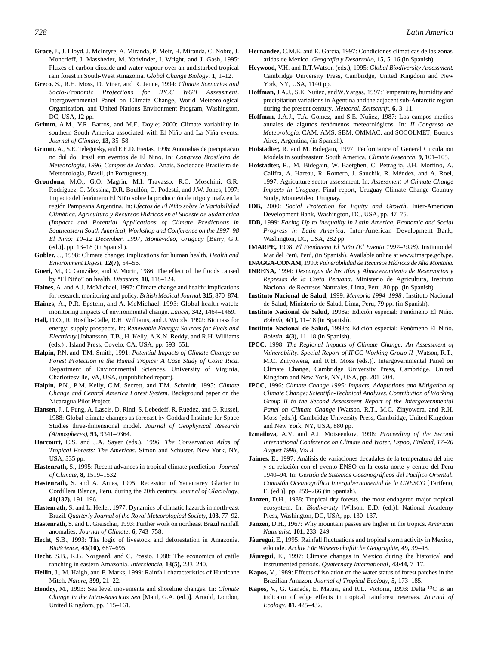- **Grace,** J., J. Lloyd, J. McIntyre, A. Miranda, P. Meir, H. Miranda, C. Nobre, J. Moncrieff, J. Massheder, M. Yadvinder, I. Wright, and J. Gash, 1995: Fluxes of carbon dioxide and water vapour over an undisturbed tropical rain forest in South-West Amazonia. *Global Change Biology,* **1,** 1–12.
- **Greco,** S., R.H. Moss, D. Viner, and R. Jenne, 1994: *Climate Scenarios and* Socio-Economic Projections for IPCC WGII Assessment. Intergovernmental Panel on Climate Change, World Meteorological Organization, and United Nations Environment Program, Washington, DC, USA, 12 pp.
- **Grimm,** A.M., V.R. Barros, and M.E. Doyle; 2000: Climate variability in southern South America associated with El Niño and La Niña events. *Journal of Climate*, **13,** 35–58.
- Grimm, A., S.E. Teleginsky, and E.E.D. Freitas, 1996: Anomalias de precipitacao no dul do Brasil em eventos de El Nino. In: *Congreso Brasileiro de Meteorología, 1996, Campos de Jordao*. Anais, Sociedade Brasileira de Meteorología, Brasil, (in Portuguese).
- Grondona, M.O., G.O. Magrin, M.I. Travasso, R.C. Moschini, G.R. Rodríguez, C. Messina, D.R. Boullón, G. Podestá, and J.W. Jones, 1997: Impacto del fenómeno El Niño sobre la producción de trigo y maíz en la región Pampeana Argentina. In: *Efectos de El Niño sobre la Variabilidad Climática, Agricultura y Recursos Hídricos en el Sudeste de Sudamérica (Impacts and Potential Applications of Climate Predictions in Southeastern South America), Workshop and Conference on the 1997–98 El Niño: 10–12 December, 1997, Montevideo, Uruguay* [Berry, G.J. (ed.)]. pp. 13–18 (in Spanish).
- **Gubler,** J., 1998: Climate change: implications for human health. *Health and Environment Digest*, **12(7),** 54–56.
- **Gueri,** M., C. González, and V. Morin, 1986: The effect of the floods caused by "El Niño" on health. *Disasters*, **10,** 118–124.
- Haines, A. and A.J. McMichael, 1997: Climate change and health: implications for research, monitoring and policy. *British Medical Journal*, 315, 870-874.
- Haines, A., P.R. Epstein, and A. McMichael, 1993: Global health watch: monitoring impacts of environmental change. *Lancet*, **342**, 1464–1469.
- **Hall,** D.O., R. Rosillo-Calle, R.H. Williams, and J. Woods, 1992: Biomass for energy: supply prospects. In: *Renewable Energy: Sources for Fuels and Electricity* [Johansson, T.B., H. Kelly, A.K.N. Reddy, and R.H. Williams (eds.)]. Island Press, Covelo, CA, USA, pp. 593–651.
- **Halpin,** P.N. and T.M. Smith, 1991: *Potential Impacts of Climate Change on Forest Protection in the Humid Tropics: A Case Study of Costa Rica*. Department of Environmental Sciences, University of Virginia, Charlottesville, VA, USA, (unpublished report).
- **Halpin,** P.N., P.M. Kelly, C.M. Secrett, and T.M. Schmidt, 1995: *Climate Change and Central America Forest System.* Background paper on the Nicaragua Pilot Project.
- **Hansen,** J., I. Fung, A. Lascis, D. Rind, S. Lebedeff, R. Ruedez, and G. Russel, 1988: Global climate changes as forecast by Goddard Institute for Space Studies three-dimensional model. *Journal of Geophysical Research (Atmospheres)*, **93,** 9341–9364.
- **Harcourt,** C.S. and J.A. Sayer (eds.), 1996: *The Conservation Atlas of Tropical Forests: The Americas*. Simon and Schuster, New York, NY, USA, 335 pp.
- **Hastenrath,** S., 1995: Recent advances in tropical climate prediction. *Journal of Climate*, **8,** 1519–1532.
- **Hastenrath,** S. and A. Ames, 1995: Recession of Yanamarey Glacier in Cordillera Blanca, Peru, during the 20th century. *Journal of Glaciology,* **41(137),** 191–196.
- Hastenrath, S. and L. Heller, 1977: Dynamics of climatic hazards in north-east Brazil. Quarterly Journal of the Royal Meteorological Society, 103, 77-92.
- Hastenrath, S. and L. Greischar, 1993: Further work on northeast Brazil rainfall anomalies. *Journal of Climate*, **6,** 743–758.
- **Hecht,** S.B., 1993: The logic of livestock and deforestation in Amazonia. *BioScience*, **43(10),** 687–695.
- **Hecht,** S.B., R.B. Norgaard, and C. Possio, 1988: The economics of cattle ranching in eastern Amazonia. *Interciencia*, **13(5),** 233–240.
- **Hellin,** J., M. Haigh, and F. Marks, 1999: Rainfall characteristics of Hurricane Mitch. *Nature*, **399,** 21–22.
- **Hendry,** M., 1993: Sea level movements and shoreline changes. In: *Climate Change in the Intra-Americas Sea* [Maul, G.A. (ed.)]. Arnold, London, United Kingdom, pp. 115–161.
- **Hernandez,** C.M.E. and E. García, 1997: Condiciones climaticas de las zonas aridas de Mexico. *Geografia y Desarrollo*, **15,** 5–16 (in Spanish).
- **Heywood,** V.H. and R.T.Watson (eds.), 1995: *Global Biodiversity Assessment*. Cambridge University Press, Cambridge, United Kingdom and New York, NY, USA, 1140 pp.
- **Hoffman,** J.A.J., S.E. Nuñez, and W.Vargas, 1997: Temperature, humidity and precipitation variations in Agentina and the adjacent sub-Antarctic region during the present century. *Meteorol. Zeitschrift*, **6,** 3–11.
- **Hoffman,** J.A.J., T.A. Gomez, and S.E. Nuñez, 1987: Los campos medios anuales de algunos fenómenos meteorológicos*.* In: *II Congreso de Meteorología*. CAM, AMS, SBM, OMMAC, and SOCOLMET, Buenos Aires, Argentina, (in Spanish).
- **Hofstadter,** R. and M. Bidegain, 1997: Performance of General Circulation Models in southeastern South America. *Climate Research*, **9,** 101–105.
- **Hofstadter,** R., M. Bidegain, W. Baetghen, C. Petraglia, J.H. Morfino, A. Califra, A. Hareau, R. Romero, J. Sauchik, R. Méndez, and A. Roel, 1997: Agriculture sector assessment. In: *Assessment of Climate Change Impacts in Uruguay*. Final report, Uruguay Climate Change Country Study, Montevideo, Uruguay.
- IDB, 2000: *Social Protection for Equity and Growth*. Inter-American Development Bank, Washington, DC, USA, pp. 47–75.
- **IDB,** 1999: *Facing Up to Inequality in Latin America, Economic and Social* Progress in Latin America. Inter-American Development Bank, Washington, DC, USA, 282 pp.
- **IMARPE,** 1998: *El Fenómeno El Niño (El Evento 1997–1998).* Instituto del Mar del Perú, Perú, (in Spanish). Available online at www.imarpe.gob.pe.
- **I N A G G A C O N A M ,** 1999: *Vulnerabilidad de Recursos Hídricos de Alta Montaña*.
- **INRENA,** 1994: *Descargas de los Ríos y Almacenamiento de Reservorios y Represas de la Costa Peruana*. Ministerio de Agricultura, Instituto Nacional de Recursos Naturales, Lima, Peru, 80 pp. (in Spanish).
- **Instituto Nacional de Salud,** 1999: *Memoria 1994–1998*. Instituto Nacional de Salud, Ministerio de Salud, Lima, Peru, 79 pp. (in Spanish).
- **Instituto Nacional de Salud,** 1998a: Edición especial: Fenómeno El Niño. *Boletín*, **4(1),** 11–18 (in Spanish).
- **Instituto Nacional de Salud,** 1998b: Edición especial: Fenómeno El Niño. *Boletín*, **4(3),** 11–18 (in Spanish).
- **IPCC,** 1998: *The Regional Impacts of Climate Change: An Assessment of Vulnerability. Special Report of IPCC Working Group II* [Watson, R.T., M.C. Zinyowera, and R.H. Moss (eds.)]. Intergovernmental Panel on Climate Change, Cambridge University Press, Cambridge, United Kingdom and New York, NY, USA, pp. 201–204.
- **IPCC**, 1996: *Climate Change 1995: Impacts, Adaptations and Mitigation of Climate Change: Scientific-Technical Analyses. Contribution of Working Group II to the Second Assessment Report of the Intergovernmental Panel on Climate Change* [Watson, R.T., M.C. Zinyowera, and R.H. Moss (eds.)]. Cambridge University Press, Cambridge, United Kingdom and New York, NY, USA, 880 pp.
- **Izmailova,** A.V. and A.I. Moiseenkov, 1998: *Proceeding of the Second International Conference on Climate and Water, Espoo, Finland, 17–20 August 1998, Vol 3*.
- **Jaimes,** E., 1997: Análisis de variaciones decadales de la temperatura del aire y su relación con el evento ENSO en la costa norte y centro del Peru 1940–94. In: *Gestión de Sistemas Oceanográficos del Pacífico Oriental. Comisión Oceanográfica Intergubernamental de la UNESCO* [Tarifeno, E. (ed.)]. pp. 259–266 (in Spanish).
- **Janzen,** D.H., 1988: Tropical dry forests, the most endagered major tropical ecosystem. In: *Biodiversity* [Wilson, E.D. (ed.)]. National Academy Press, Washington, DC, USA, pp. 130–137.
- **Janzen,** D.H., 1967: Why mountain passes are higher in the tropics. *American Naturalist*, **101,** 233–249.
- **Jáuregui,** E., 1995: Rainfall fluctuations and tropical storm activity in Mexico, erkunde. *Archiv Für Wiseenschaftliche Geographie*, **49,** 39–48.
- **Jáuregui,** E., 1997: Climate changes in Mexico during the historical and instrumented periods*. Quaternary International*, **43/44,** 7–17.
- **Kapos,** V., 1989: Effects of isolation on the water status of forest patches in the Brazilian Amazon. *Journal of Tropical Ecology*, **5,** 173–185.
- **Kapos,** V., G. Ganade, E. Matusi, and R.L. Victoria, 1993: Delta 13C as an indicator of edge effects in tropical rainforest reserves. *Journal of Ecology*, **81,** 425–432.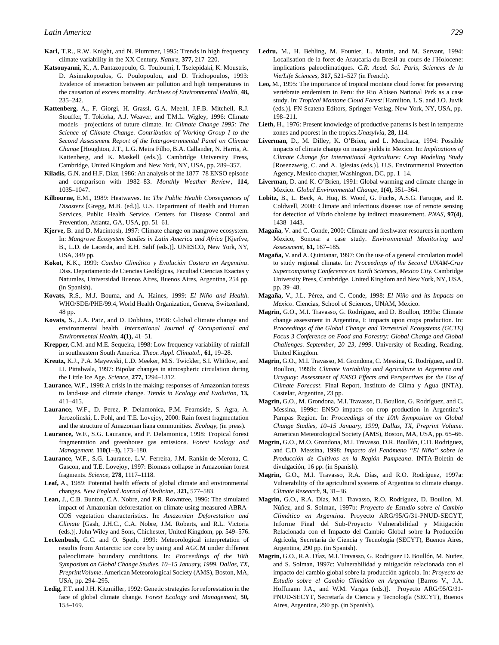- **Karl,** T.R., R.W. Knight, and N. Plummer, 1995: Trends in high frequency climate variability in the XX Century. *Nature*, 377, 217–220.
- **Katsouyanni,** K., A. Pantazopoulo, G. Touloumi, I. Tselepidaki, K. Moustris, D. Asimakopoulos, G. Poulopoulou, and D. Trichopoulos, 1993: Evidence of interaction between air pollution and high temperatures in the causation of excess mortality. *Archives of Environmental Health*, **48,** 235–242.
- **Kattenberg,** A., F. Giorgi, H. Grassl, G.A. Meehl, J.F.B. Mitchell, R.J. Stouffer, T. Tokioka, A.J. Weaver, and T.M.L. Wigley, 1996: Climate models—projections of future climate. In: *Climate Change 1995: The Science of Climate Change. Contribution of Working Group I to the Second Assessment Report of the Intergovernmental Panel on Climate Change* [Houghton, J.T., L.G. Meira Filho, B.A. Callander, N. Harris, A. Kattenberg, and K. Maskell (eds.)]. Cambridge University Press, Cambridge, United Kingdom and New York, NY, USA, pp. 289–357.
- **Kiladis,** G.N. and H.F. Díaz, 1986: An analysis of the 1877–78 ENSO episode and comparison with 1982-83. Monthly Weather Review, 114, 1035–1047.
- **Kilbourne,** E.M., 1989: Heatwaves. In: *The Public Health Consequences of Disasters* [Gregg, M.B. (ed.)]. U.S. Department of Health and Human Services, Public Health Service, Centers for Disease Control and Prevention, Atlanta, GA, USA, pp. 51–61.
- **Kjerve,** B. and D. Macintosh, 1997: Climate change on mangrove ecosystem. In: *Mangrove Ecosystem Studies in Latin America and Africa* [Kjerfve, B., L.D. de Lacerda, and E.H. Salif (eds.)]. UNESCO, New York, NY, USA, 349 pp.
- **Kokot,** K.K., 1999: *Cambio Climático y Evolución Costera en Argentina*. Diss. Departamento de Ciencias Geológicas, Facultad Ciencias Exactas y Naturales, Universidad Buenos Aires, Buenos Aires, Argentina, 254 pp. (in Spanish).
- **Kovats,** R.S., M.J. Bouma, and A. Haines, 1999: *El Niño and Health*. WHO/SDE/PHE/99.4, World Health Organization, Geneva, Switzerland, 48 pp.
- Kovats, S., J.A. Patz, and D. Dobbins, 1998: Global climate change and environmental health. *International Journal of Occupational and Environmental Health*, **4(1),** 41–51.
- **Krepper,** C.M. and M.E. Sequeira, 1998: Low frequency variability of rainfall in southeastern South America. *Theor. Appl. Climatol.*, **61,** 19–28.
- **Kreutz,** K.J., P.A. Mayewski, L.D. Meeker, M.S. Twickler, S.I. Whitlow, and I.I. Pittalwala, 1997: Bipolar changes in atmospheric circulation during the Little Ice Age. *Science*, **277,** 1294–1312.
- Laurance, W.F., 1998: A crisis in the making: responses of Amazonian forests to land-use and climate change. *Trends in Ecology and Evolution*, **13,** 411–415.
- **Laurance,** W.F., D. Perez, P. Delamonica, P.M. Fearnside, S. Agra, A. Jerozolinski, L. Pohl, and T.E. Lovejoy, 2000: Rain forest fragmentation and the structure of Amazonian liana communities. *Ecology*, (in press).
- Laurance, W.F., S.G. Laurance, and P. Delamonica, 1998: Tropical forest fragmentation and greenhouse gas emissions. Forest Ecology and *Management*, **110(1–3),** 173–180.
- **Laurance,** W.F., S.G. Laurance, L.V. Ferreira, J.M. Rankin-de-Merona, C. Gascon, and T.E. Lovejoy, 1997: Biomass collapse in Amazonian forest fragments. *Science*, **278,** 1117–1118.
- **Leaf,** A., 1989: Potential health effects of global climate and environmental changes. *New England Journal of Medicine*, **321,** 577–583.
- **Lean,** J., C.B. Bunton, C.A. Nobre, and P.R. Rowntree, 1996: The simulated impact of Amazonian deforestation on climate using measured ABRA-COS vegetation characteristics. In: *Amazonian Deforestation and Climate* [Gash, J.H.C., C.A. Nobre, J.M. Roberts, and R.L. Victoria (eds.)]. John Wiley and Sons, Chichester, United Kingdom, pp. 549–576.
- **Leckenbush,** G.C. and O. Speth, 1999: Meteorological interpretation of results from Antarctic ice core by using and AGCM under different paleoclimate boundary conditions. In: Proceedings of the 10th *Symposium on Global Change Studies, 10–15 January, 1999, Dallas, TX, Preprint Volume*. American Meteorological Society (AMS), Boston, MA, USA, pp. 294–295.
- **Ledig,** F.T. and J.H. Kitzmiller, 1992: Genetic strategies for reforestation in the face of global climate change. *Forest Ecology and Management*, **50,** 153–169.
- **Ledru,** M., H. Behling, M. Founier, L. Martin, and M. Servant, 1994: Localisation de la foret de Araucaria du Bresil au cours de l´Holocene: implications paleoclimatiques. *C.R. Acad. Sci. Paris, Sciences de la Vie/Life Sciences,* **317,** 521–527 (in French).
- **Leo,** M., 1995: The importance of tropical montane cloud forest for preserving vertebrate emdemism in Peru: the Rio Abiseo National Park as a case study. In: *Tropical Montane Cloud Forest* [Hamilton, L.S. and J.O. Juvik (eds.)]. FN Scatena Editors, Springer-Verlag, New York, NY, USA, pp. 198–211.
- **Lieth,** H., 1976: Present knowledge of productive patterns is best in temperate zones and poorest in the tropics.*Unasylvia*, **28,** 114.
- **Liverman,** D., M. Dilley, K. O'Brien, and L. Menchaca, 1994: Possible impacts of climate change on maize yields in Mexico. In: *Implications of Climate Change for International Agriculture: Crop Modeling Study* [Rosenzweig, C. and A. Iglesias (eds.)]. U.S. Environmental Protection Agency, Mexico chapter, Washington, DC, pp. 1–14.
- **Liverman,** D. and K. O'Brien, 1991: Global warming and climate change in Mexico. *Global Environmental Change*, **1(4),** 351–364.
- **Lobitz,** B., L. Beck, A. Huq, B. Wood, G. Fuchs, A.S.G. Faruque, and R. Coldwell, 2000: Climate and infectious disease: use of remote sensing for detection of Vibrio cholerae by indirect measurement. *PNAS*, **97(4)**, 1438–1443.
- **Magaña**, V. and C. Conde, 2000: Climate and freshwater resources in northern Mexico, Sonora: a case study. *Environmental Monitoring and Assessment*, **61,** 167–185.
- **Magaña,** V. and A. Quintanar, 1997: On the use of a general circulation model to study regional climate. In: *Proceedings of the Second UNAM-Cray Supercomputing Conference on Earth Sciences, Mexico City*. Cambridge University Press, Cambridge, United Kingdom and New York, NY, USA, pp. 39–48.
- **Magaña,** V., J.L. Pérez, and C. Conde, 1998: *El Niño and its Impacts on Mexico*. Ciencias, School of Sciences, UNAM, Mexico.
- **Magrin,** G.O., M.I. Travasso, G. Rodríguez, and D. Boullon, 1999a: Climate change assessment in Argentina, I: impacts upon crops production. In: *Proceedings of the Global Change and Terrestrial Ecosystems (GCTE) Focus 3 Conference on Food and Forestry: Global Change and Global Challenges. September, 20–23, 1999*. University of Reading, Reading, United Kingdom.
- **Magrin,** G.O., M.I. Travasso, M. Grondona, C. Messina, G. Rodríguez, and D. Boullon, 1999b: *Climate Variability and Agriculture in Argentina and Uruguay: Assessment of ENSO Effects and Perspectives for the Use of Climate Forecast*. Final Report, Instituto de Clima y Agua (INTA), Castelar, Argentina, 23 pp.
- **Magrin,** G.O., M. Grondona, M.I. Travasso, D. Boullon, G. Rodríguez, and C. Messina, 1999c: ENSO impacts on crop production in Argentina's Pampas Region. In: *Proceedings of the 10th Symposium on Global Change Studies, 10–15 January, 1999, Dallas, TX, Preprint Volume*. American Meteorological Society (AMS), Boston, MA, USA, pp. 65–66.
- **Magrin,** G.O., M.O. Grondona, M.I. Travasso, D.R. Boullón, C.D. Rodriguez, and C.D. Messina, 1998: *Impacto del Fenómeno "El Niño" sobre la P roducción de Cultivos en la Región Pampeana*. INTA-Boletín de divulgación, 16 pp. (in Spanish).
- Magrin, G.O., M.I. Travasso, R.A. Días, and R.O. Rodríguez, 1997a: Vulnerability of the agricultural systems of Argentina to climate change. *Climate Research*, **9,** 31–36.
- **Magrin,** G.O., R.A. Días, M.I. Travasso, R.O. Rodríguez, D. Boullon, M. Núñez, and S. Solman, 1997b: *Proyecto de Estudio sobre el Cambio Climático en Argentina*. Proyecto ARG/95/G/31-PNUD-SECYT, Informe Final del Sub-Proyecto Vulnerabilidad y Mitigación Relacionada con el Impacto del Cambio Global sobre la Producción Agrícola, Secretaría de Ciencia y Tecnología (SECYT), Buenos Aires, Argentina, 290 pp. (in Spanish).
- **Magrin,** G.O., R.A. Díaz, M.I. Travasso, G. Rodriguez D. Boullón, M. Nuñez, and S. Solman, 1997c: Vulnerabilidad y mitigación relacionada con el impacto del cambio global sobre la producción agrícola. In: *Proyecto de Estudio sobre el Cambio Climático en Argentina* [Barros V., J.A. Hoffmann J.A., and W.M. Vargas (eds.)]. Proyecto ARG/95/G/31- PNUD-SECYT, Secretaría de Ciencia y Tecnología (SECYT), Buenos Aires, Argentina, 290 pp. (in Spanish).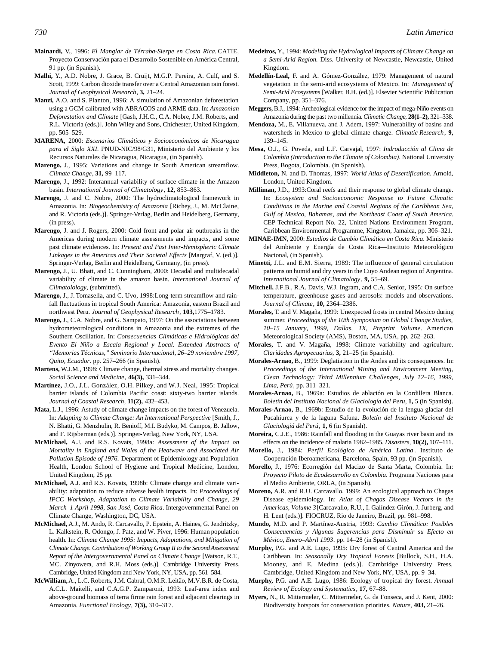- **Mainardi,** V., 1996: *El Manglar de Térraba-Sierpe en Costa Rica*. CATIE, Proyecto Conservación para el Desarrollo Sostenible en América Central, 91 pp. (in Spanish).
- **Malhi,** Y., A.D. Nobre, J. Grace, B. Cruijt, M.G.P. Pereira, A. Culf, and S. Scott, 1999: Carbon dioxide transfer over a Central Amazonian rain forest. *Journal of Geophysical Research*, **3,** 21–24.
- Manzi, A.O. and S. Planton, 1996: A simulation of Amazonian deforestation using a GCM calibrated with ABRACOS and ARME data. In: Amazonian *Deforestation and Climate* [Gash, J.H.C., C.A. Nobre, J.M. Roberts, and R.L. Victoria (eds.)]. John Wiley and Sons, Chichester, United Kingdom, pp. 505–529.
- **MARENA,** 2000: *Escenarios Climáticos y Socioeconómicos de Nicaragua para el Siglo XXI*. PNUD-NIC/98/G31, Ministerio del Ambiente y los Recursos Naturales de Nicaragua, Nicaragua, (in Spanish).
- **Marengo,** J., 1995: Variations and change in South American streamflow. *Climate Change*, **31,** 99–117.
- **Marengo,** J., 1992: Interannual variability of surface climate in the Amazon basin. *International Journal of Climatology*, **12,** 853–863.
- Marengo, J. and C. Nobre, 2000: The hydroclimatological framework in Amazonia. In: *Biogeochemistry of Amazonia* [Richey, J., M. McClaine, and R. Victoria (eds.)]. Springer- Verlag, Berlin and Heidelberg, Germany, (in press).
- **Marengo**, J. and J. Rogers, 2000: Cold front and polar air outbreaks in the Americas during modern climate assessments and impacts, and some past climate evidences. In: *Present and Past Inter-Hemispheric Climate Linkages in the Americas and Their Societal Effects* [Margraf, V. (ed.)]. Springer-Verlag, Berlin and Heidelberg, Germany, (in press).
- **Marengo,** J., U. Bhatt, and C. Cunningham, 2000: Decadal and multidecadal variability of climate in the amazon basin. *International Journal of Climatolology*, (submitted).
- **Marengo,** J., J. Tomasella, and C. Uvo, 1998:Long-term streamflow and rainfall fluctuations in tropical South America: Amazonia, eastern Brazil and northwest Peru. *Journal of Geophysical Research*, **103,**1775–1783.
- **Marengo,** J., C.A. Nobre, and G. Sampaio, 1997: On the associations between hydrometeorological conditions in Amazonia and the extremes of the Southern Oscillation. In: *Consecuencias Climáticas e Hidrológicas del Evento El Niño a Escala Regional y Local. Extended Abstracts of "Memorias Técnicas," Seminario Internacional, 26–29 noviembre 1997, Quito, Ecuador*. pp. 257–266 (in Spanish).
- **Martens,** W.J.M., 1998: Climate change, thermal stress and mortality changes. *Social Science and Medicine*, **46(3),** 331–344.
- Martínez, J.O., J.L. González, O.H. Pilkey, and W.J. Neal, 1995: Tropical barrier islands of Colombia Pacific coast: sixty-two barrier islands. *Journal of Coastal Research*, **11(2),** 432–453.
- **Mata, L.J., 1996:** Astudy of climate change impacts on the forest of Venezuela. In: *Adapting to Climate Change: An International Perspective* [Smith, J., N. Bhatti, G. Menzhulin, R. Benioff, M.I. Budyko, M. Campos, B. Jallow, and F. Rijsberman (eds.)]. Springer- Verlag, New York, NY, USA.
- **McMichael,** A.J. and R.S. Kovats, 1998a: *Assessment of the Impact on Mortality in England and Wales of the Heatwave and Associated Air Pollution Episode of 1976.* Department of Epidemiology and Population Health, London School of Hygiene and Tropical Medicine, London, United Kingdom, 25 pp.
- **McMichael,** A.J. and R.S. Kovats, 1998b: Climate change and climate variability: adaptation to reduce adverse health impacts*.* In: *Proceedings of IPCC Workshop, Adaptation to Climate Variability and Change, 29 March–1 April 1998, San José, Costa Rica*. Intergovernmental Panel on Climate Change, Washington, DC, USA.
- McMichael, A.J., M. Ando, R. Carcavallo, P. Epstein, A. Haines, G. Jendritzky, L. Kalkstein, R. Odongo, J. Patz, and W. Piver, 1996: Human population health. In: *Climate Change 1995: Impacts, Adaptations, and Mitigation of Climate Change. Contribution of Working Group II to the Second Assessment Report of the Intergovernmental Panel on Climate Change* [Watson, R.T., MC. Zinyowera, and R.H. Moss (eds.)]. Cambridge University Press, Cambridge, United Kingdom and New York, NY, USA, pp. 561–584.
- **McWilliam,**A., L.C. Roberts, J.M. Cabral, O.M.R. Leitão, M.V.B.R. de Costa, A.C.L. Maitelli, and C.A.G.P. Zamparoni, 1993: Leaf-area index and above-ground biomass of terra firme rain forest and adjacent clearings in Amazonia. *Functional Ecology*, **7(3),** 310–317.
- **Medeiros,** Y., 1994: *Modeling the Hydrological Impacts of Climate Change on a Semi-Arid Region.* Diss. University of Newcastle, Newcastle, United Kingdom.
- **Medellín-Leal,** F. and A. Gómez-González, 1979: Management of natural vegetation in the semi-arid ecosystems of Mexico. In: *Management of Semi-Arid Ecosystems* [Walker, B.H. (ed.)]. Elsevier Scientific Publication Company, pp. 351–376.
- Meggers, B.J., 1994: Archeological evidence for the impact of mega-Niño events on Amazonia during the past two millennia. *Climatic Change*, **28(1-2)**, 321-338.
- **Mendoza,** M., E. Villanueva, and J. Adem, 1997: Vulnerability of basins and watersheds in Mexico to global climate change. *Climatic Research*, **9,** 139–145.
- **Mesa,** O.J., G. Poveda, and L.F. Carvajal, 1997: *Indroducción al Clima de Colombia (Introduction to the Climate of Colombia)*. National University Press, Bogota, Colombia. (in Spanish).
- **Middleton,** N. and D. Thomas, 1997: *World Atlas of Desertification*. Arnold, London, United Kingdom.
- **Milliman,** J.D., 1993:Coral reefs and their response to global climate change. In: *Ecosystem and Socioeconomic Response to Future Climatic Conditions in the Marine and Coastal Regions of the Caribbean Sea, Gulf of Mexico, Bahamas, and the Northeast Coast of South America.* CEP Technical Report No. 22, United Nations Environment Program, Caribbean Environmental Programme, Kingston, Jamaica, pp. 306–321.
- **MINAE-IMN**, 2000: *Estudios de Cambio Climático en Costa Rica*. Ministerio del Ambiente y Energía de Costa Rica—Instituto Meteorológico Nacional, (in Spanish).
- Minetti, J.L. and E.M. Sierra, 1989: The influence of general circulation patterns on humid and dry years in the Cuyo Andean region of Argentina. *International Journal of Climatology*, **9,** 55–69.
- **Mitchell,** J.F.B., R.A. Davis, W.J. Ingram, and C.A. Senior, 1995: On surface temperature, greenhouse gases and aerosols: models and observations. *Journal of Climate*, **10,** 2364–2386.
- **Morales,** T. and V. Magaña, 1999: Unexpected frosts in central Mexico during summer. *Proceedings of the 10th Symposium on Global Change Studies,* 10-15 January, 1999, Dallas, TX, Preprint Volume. American Meteorological Society (AMS), Boston, MA, USA, pp. 262–263.
- **Morales,** T. and V. Magaña, 1998: Climate variability and agriculture. *Claridades Agropecuarias*, **3,** 21–25 (in Spanish).
- **Morales-Arnao,** B., 1999: Deglatiation in the Andes and its consequences. In: *Proceedings of the International Mining and Environment Meeting, Clean Technology: Third Millennium Challenges, July 12–16, 1999, Lima, Perú*, pp. 311–321.
- **Morales-Arnao,** B., 1969a: Estudios de ablación en la Cordillera Blanca. *Boletín del Instituto Nacional de Glaciología del Peru*, **1,** 5 (in Spanish).
- **Morales-Arnao,** B., 1969b: Estudio de la evolución de la lengua glaciar del Pucahiurca y de la laguna Safuna. *Boletín del Instituto Nacional de Glaciologiá del Perú*, **1,** 6 (in Spanish).
- Moreira, C.J.E., 1986: Rainfall and flooding in the Guayas river basin and its effects on the incidence of malaria 1982-1985. *Disasters*, **10(2)**, 107-111.
- Morello, J., 1984: Perfil Ecológico de América Latina. Instituto de Cooperación Iberoamericana, Barcelona, Spain, 93 pp. (in Spanish).
- **Morello,** J., 1976: Ecorregión del Macizo de Santa Marta, Colombia. In: *Proyecto Piloto de Ecodesarrollo en Colombia*. Programa Naciones para el Medio Ambiente, ORLA, (in Spanish).
- **Moreno,** A.R. and R.U. Carcavallo, 1999: An ecological approach to Chagas Disease epidemiology. In: *Atlas of Chagas Disease Vectors in the Americas, Volume 3*[Carcavallo, R.U., I. Galíndez-Girón, J. Jurberg, and H. Lent (eds.)]. FIOCRUZ, Rio de Janeiro, Brazil, pp. 981–998.
- **Mundo,** M.D. and P. Martínez-Austria, 1993: *Cambio Climático: Posibles Consecuencias y Algunas Sugerencias para Disminuir su Efecto en México, Enero–Abril 1993*. pp. 14–28 (in Spanish).
- **Murphy,** P.G. and A.E. Lugo, 1995: Dry forest of Central America and the Caribbean. In: *Seasonally Dry Tropical Forests* [Bullock, S.H., H.A. Mooney, and E. Medina (eds.)]. Cambridge University Press, Cambridge, United Kingdom and New York, NY, USA, pp. 9–34.
- **Murphy,** P.G. and A.E. Lugo, 1986: Ecology of tropical dry forest. *Annual Review of Ecology and Systematics*, **17,** 67–88.
- **Myers,** N., R. Mittermeler, C. Mittermeler, G. da Fonseca, and J. Kent, 2000: Biodiversity hotspots for conservation priorities. *Nature*, **403,** 21–26.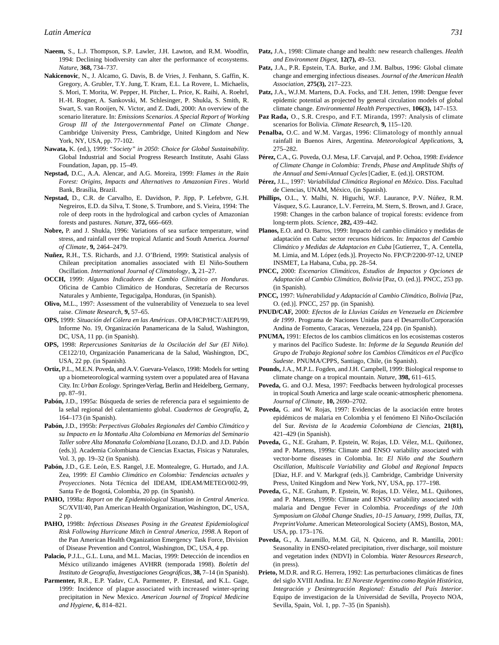- **Naeem,** S., L.J. Thompson, S.P. Lawler, J.H. Lawton, and R.M. Woodfin, 1994: Declining biodiversity can alter the performance of ecosystems. *Nature*, **368,** 734–737.
- **Nakicenovic**, N., J. Alcamo, G. Davis, B. de Vries, J. Fenhann, S. Gaffin, K. Gregory, A. Grubler, T.Y. Jung, T. Kram, E.L. La Rovere, L. Michaelis, S. Mori, T. Morita, W. Pepper, H. Pitcher, L. Price, K. Raihi, A. Roehrl, H.-H. Rogner, A. Sankovski, M. Schlesinger, P. Shukla, S. Smith, R. Swart, S. van Rooijen, N. Victor, and Z. Dadi, 2000: An overview of the scenario literature. In: *Emissions Scenarios. A Special Report of Working G roup III of the Intergovernmental Panel on Climate Change* . Cambridge University Press, Cambridge, United Kingdom and New York, NY, USA, pp. 77-102.
- **Nawata,** K. (ed.), 1999: "*Society" in 2050: Choice for Global Sustainability*. Global Industrial and Social Progress Research Institute, Asahi Glass Foundation, Japan, pp. 15–49.
- **Nepstad,** D.C., A.A. Alencar, and A.G. Moreira, 1999: *Flames in the Rain Forest: Origins, Impacts and Alternatives to Amazonian Fires*. World Bank, Brasília, Brazil.
- **Nepstad,** D., C.R. de Carvalho, E. Davidson, P. Jipp, P. Lefebvre, G.H. Negreiros, E.D. da Silva, T. Stone, S. Trumbore, and S. Vieira, 1994: The role of deep roots in the hydrological and carbon cycles of Amazonian forests and pastures. *Nature*, **372,** 666–669.
- **Nobre,** P. and J. Shukla, 1996: Variations of sea surface temperature, wind stress, and rainfall over the tropical Atlantic and South America*. Journal of Climate*, **9,** 2464–2479.
- **Nuñez,** R.H., T.S. Richards, and J.J. O'Briend, 1999: Statistical analysis of Chilean precipitation anomalies associated with El Niño-Southern Oscillation. *International Journal of Climatology*, **3,** 21–27.
- **OCCH,** 1999: *Algunos Indicadores de Cambio Climático en Honduras*. Oficina de Cambio Climático de Honduras, Secretaría de Recursos Naturales y Ambiente, Tegucigalpa, Honduras, (in Spanish).
- **Olivo,** M.L., 1997: Assessment of the vulnerability of Venezuela to sea level raise. *Climate Research*, **9,** 57–65.
- **OPS,** 1999: *Situación del Cólera en las Américas*. OPA/HCP/HCT/AIEPI/99, Informe No. 19, Organización Panamericana de la Salud, Washington, DC, USA, 11 pp. (in Spanish).
- **OPS,** 1998: *Repercusiones Sanitarias de la Oscilación del Sur (El Niño).* CE122/10, Organización Panamericana de la Salud, Washington, DC, USA, 22 pp. (in Spanish).
- Ortiz, P.L., M.E.N. Poveda, and A.V. Guevara-Velasco, 1998: Models for setting up a biometeorological warming system over a populated area of Havana City. In: *Urban Ecology*. Springer-Verlag, Berlin and Heidelberg, Germany, pp. 87–91.
- **Pabón,** J.D., 1995a: Búsqueda de series de referencia para el seguimiento de la señal regional del calentamiento global. *Cuadernos de Geografía*, **2,** 164–173 (in Spanish).
- **Pabón,** J.D., 1995b: *Perpectivas Globales Regionales del Cambio Climático y su Impacto en la Montaña Alta Colombiana en Memorias del Seminario Taller sobre Alta Monataña Colombiana* [Lozano, D.J.D. and J.D. Pabón (eds.)]. Academia Colombiana de Ciencias Exactas, Fisicas y Naturales, Vol. 3, pp. 19–32 (in Spanish).
- **Pabón,** J.D., G.E. León, E.S. Rangel, J.E. Montealegre, G. Hurtado, and J.A. Zea, 1999: *El Cambio Climático en Colombia: Tendencias actuales y* Proyecciones. Nota Técnica del IDEAM, IDEAM/METEO/002-99, Santa Fe de Bogotá, Colombia, 20 pp. (in Spanish).
- **PAHO,** 1998a: *Report on the Epidemiological Situation in Central America.* SC/XVII/40, Pan American Health Organization, Washington, DC, USA, 2 pp.
- **PAHO,** 1998b: *Infectious Diseases Posing in the Greatest Epidemiological Risk Following Hurricane Mitch in Central America, 1998*.A Report of the Pan American Health Organization Emergency Task Force, Division of Disease Prevention and Control, Washington, DC, USA, 4 pp.
- Palacio, P.J.L., G.L. Luna, and M.L. Macias, 1999: Detección de incendios en México utilizando imágenes AVHRR (temporada 1998). *Boletín del Instituto de Geografía, Investigaciones Geográficas*, 38, 7-14 (in Spanish).
- **Parmenter,** R.R., E.P. Yadav, C.A. Parmenter, P. Ettestad, and K.L. Gage, 1999: Incidence of plague associated with increased winter-spring precipitation in New Mexico. American Journal of Tropical Medicine *and Hygiene*, **6,** 814–821.
- 
- **Patz,** J.A., 1998: Climate change and health: new research challenges. *Health and Environment Digest*, **12(7),** 49–53.
- Patz, J.A., P.R. Epstein, T.A. Burke, and J.M. Balbus, 1996: Global climate change and emerging infectious diseases. *Journal of the American Health Association*, **275(3),** 217–223.
- Patz, J.A., W.J.M. Martens, D.A. Focks, and T.H. Jetten, 1998: Dengue fever epidemic potential as projected by general circulation models of global climate change. *Environmental Health Perspectives*, **106(3),** 147–153.
- Paz Rada, O., S.R. Crespo, and F.T. Miranda, 1997: Analysis of climate scenarios for Bolivia. *Climate Research*, 9, 115-120.
- Penalba, O.C. and W.M. Vargas, 1996: Climatology of monthly annual rainfall in Buenos Aires, Argentina. *Meteorological Applications*, 3, 275–282.
- Pérez, C.A., G. Poveda, O.J. Mesa, LF. Carvajal, and P. Ochoa, 1998: *Evidence of Climate Change in Colombia: Trends, Phase and Amplitude Shifts of the Annual and Semi-Annual Cycles* [Cadier, E. (ed.)]. ORSTOM.
- **Pérez,** J.L., 1997: *Variabilidad Climática Regional en México*. Diss. Facultad de Ciencias, UNAM, México, (in Spanish).
- **Phillips,** O.L., Y. Malhi, N. Higuchi, W.F. Laurance, P.V. Núñez, R.M. Vásquez, S.G. Laurance, L.V. Ferreira, M. Stern, S. Brown, and J. Grace, 1998: Changes in the carbon balance of tropical forests: evidence from long-term plots. *Science*, **282,** 439–442.
- **Planos,** E.O. and O. Barros, 1999: Impacto del cambio climático y medidas de adaptación en Cuba: sector recursos hídricos. In: *Impactos del Cambio Climático y Medidas de Adaptacion en Cuba* [Gutierrez, T., A. Centella, M. Limia, and M. López (eds.)]. Proyecto No. FP/CP/2200-97-12, UNEP INSMET, La Habana, Cuba, pp. 28–54.
- **PNCC,** 2000: *Escenarios Climáticos, Estudios de Impactos y Opciones de Adaptación al Cambio Climático, Bolivia* [Paz, O. (ed.)]. PNCC, 253 pp. (in Spanish).
- **PNCC,** 1997: *Vulnerabilidad y Adaptación al Cambio Climático, Bolivia* [Paz, O. (ed.)]. PNCC, 257 pp. (in Spanish).
- **PNUD/CAF,** 2000: *Efectos de la Lluvias Caídas en Venezuela en Diciembre de 1999*. Programa de Naciones Unidas para el Desarrollo/Corporación Andina de Fomento, Caracas, Venezuela, 224 pp. (in Spanish).
- **PNUMA,** 1991: Efectos de los cambios climáticos en los ecosistemas costeros y marinos del Pacífico Sudeste. In: *Informe de la Segunda Reunión del Grupo de Trabajo Regional sobre los Cambios Climáticos en el Pacífico Sudeste*. PNUMA/CPPS, Santiago, Chile, (in Spanish).
- **Pounds,** J.A., M.P.L. Fogden, and J.H. Campbell, 1999: Biological response to climate change on a tropical mountain. *Nature*, **398,** 611–615.
- **Poveda,** G. and O.J. Mesa, 1997: Feedbacks between hydrological processes in tropical South America and large scale oceanic-atmospheric phenomena. *Journal of Climate*, **10,** 2690–2702.
- **Poveda,** G. and W. Rojas, 1997: Evidencias de la asociación entre brotes epidémicos de malaria en Colombia y el fenómeno El Niño-Oscilación del Sur. *Revista de la Academia Colombiana de Ciencias,* **21(81),** 421–429 (in Spanish).
- **Poveda,** G., N.E. Graham, P. Epstein, W. Rojas, I.D. Vélez, M.L. Quiñonez, and P. Martens, 1999a: Climate and ENSO variability associated with vector-borne diseases in Colombia. In: *El Niño and the Southern Oscillation, Multiscale Variability and Global and Regional Impacts* [Diaz, H.F. and V. Markgraf (eds.)]. Cambridge, Cambridge University Press, United Kingdom and New York, NY, USA, pp. 177–198.
- **Poveda,** G., N.E. Graham, P. Epstein, W. Rojas, I.D. Vélez, M.L. Quiñones, and P. Martens, 1999b: Climate and ENSO variability associated with malaria and Dengue Fever in Colombia. *Proceedings of the 10th Symposium on Global Change Studies, 10–15 January, 1999, Dallas, TX, Preprint Volume*. American Meteorological Society (AMS), Boston, MA, USA, pp. 173–176.
- **Poveda,** G., A. Jaramillo, M.M. Gil, N. Quiceno, and R. Mantilla, 2001: Seasonality in ENSO-related precipitation, river discharge, soil moisture and vegetation index (NDVI) in Colombia. *Water Resources Research*, (in press).
- **Prieto,** M.D.R. and R.G. Herrera, 1992: Las perturbaciones climáticas de fines del siglo XVIII Andina. In: *El Noreste Argentino como Región Histórica, Integración y Desintegración Regional: Estudio del País Interior*. Equipo de investigacion de la Universidad de Sevilla, Proyecto NOA, Sevilla, Spain, Vol. 1, pp. 7–35 (in Spanish).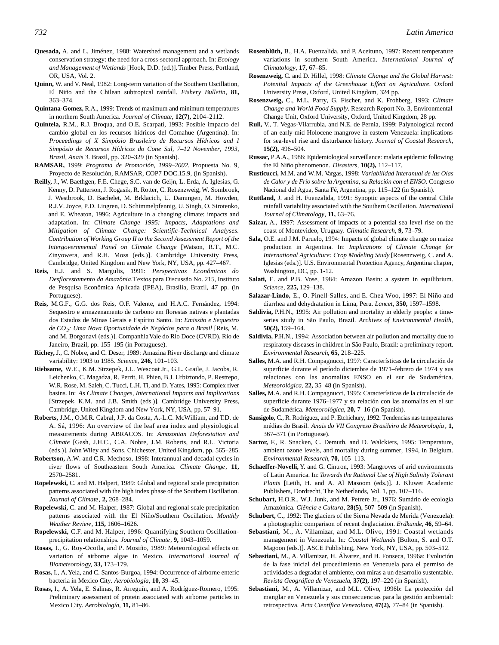- **Quesada,** A. and L. Jiménez, 1988: Watershed management and a wetlands conservation strategy: the need for a cross-sectoral approach. In: *Ecology and Management of Wetlands* [Hook, D.D. (ed.)]. Timber Press, Portland, OR, USA, Vol. 2.
- **Quinn,** W. and V. Neal, 1982: Long-term variation of the Southern Oscillation, El Niño and the Chilean subtropical rainfall. *Fishery Bulletin*, **81,** 363–374.
- Quintana-Gomez, R.A., 1999: Trends of maximum and minimum temperatures in northern South America. *Journal of Climate*, **12(7),** 2104–2112.
- **Quintela,** R.M., R.J. Broqua, and O.E. Scarpati, 1993: Posible impacto del cambio global en los recursos hídricos del Comahue (Argentina). In: *Proceedings of X Simpósio Brasileiro de Recursos Hídricos and I Simpósio de Recursos Hídricos do Cone Sul, 7–12 November, 1993, Brasil, Anais 3*. Brazil, pp. 320–329 (in Spanish).
- **RAMSAR,** 1999: *Programa de Promoción, 1999–2002*. Propuesta No. 9, Proyecto de Resolución, RAMSAR, COP7 DOC.15.9, (in Spanish).
- **Reilly,** J., W. Baethgen, F.E. Chege, S.C. van de Geijn, L. Erda, A. Iglesias, G. Kenny, D. Patterson, J. Rogasik, R. Rotter, C. Rosenzweig, W. Sombroek, J. Westbrook, D. Bachelet, M. Brklacich, U. Dammgen, M. Howden, R.J.V. Joyce, P.D. Lingren, D. Schimmelpfennig, U. Singh, O. Sirotenko, and E. Wheaton, 1996: Agriculture in a changing climate: impacts and adaptation. In: *Climate Change 1995: Impacts, Adaptations and Mitigation of Climate Change: Scientific-Technical Analyses. Contribution of Working Group II to the Second Assessment Report of the* Intergovernmental Panel on Climate Change [Watson, R.T., M.C. Zinyowera, and R.H. Moss (eds.)]. Cambridge University Press, Cambridge, United Kingdom and New York, NY, USA, pp. 427–467.
- Reis, E.J. and S. Margulis, 1991: Perspectivas Econômicas do *Desflorestamento da Amazônia*.Textos para Discussão No. 215, Instituto de Pesquisa Econômica Aplicada (IPEA), Brasília, Brazil, 47 pp. (in Portuguese).
- **Reis,** M.G.F., G.G. dos Reis, O.F. Valente, and H.A.C. Fernández, 1994: Sequestro e armazenamento de carbono em florestas nativas e plantadas dos Estados de Minas Gerais e Espírito Santo. In: *Emissão e Sequestro de CO<sup>2</sup> : Uma Nova Oportunidade de Negócios para o Brasil* [Reis, M. and M. Borgonavi (eds.)]. Companhia Vale do Rio Doce (CVRD), Rio de Janeiro, Brazil, pp. 155–195 (in Portuguese).
- **Richey, J., C. Nobre, and C. Deser, 1989: Amazina River discharge and climate** variability: 1903 to 1985. *Science*, **246,** 101–103.
- Riebsame, W.E., K.M. Strzepek, J.L. Wescoat Jr., G.L. Graile, J. Jacobs, R. Leichenko, C. Magadza, R. Perrit, H. Phien, B.J. Urbiztondo, P. Restrepo, W.R. Rose, M. Saleh, C. Tucci, L.H. Ti, and D. Yates, 1995: Complex river basins. In: *As Climate Changes, International Impacts and Implications* [Strzepek, K.M. and J.B. Smith (eds.)]. Cambridge University Press, Cambridge, United Kingdom and New York, NY, USA, pp. 57–91.
- **Roberts,** J.M., O.M.R. Cabral, J.P. da Costa, A.-L.C. McWilliam, and T.D. de A. Sá, 1996: An overview of the leaf area index and physiological measurements during ABRACOS. In: Amazonian Deforestation and *Climate* [Gash, J.H.C., C.A. Nobre, J.M. Roberts, and R.L. Victoria (eds.)]. John Wiley and Sons, Chichester, United Kingdom, pp. 565–285.
- **Robertson,** A.W. and C.R. Mechoso, 1998: Interannual and decadal cycles in river flows of Southeastern South America. *Climate Change*, **11 ,** 2570–2581.
- **Ropelewski,** C. and M. Halpert, 1989: Global and regional scale precipitation patterns associated with the high index phase of the Southern Oscillation. *Journal of Climate*, **2,** 268–284.
- **Ropelewski,** C. and M. Halper, 1987: Global and regional scale precipitation patterns associated with the El Niño/Southern Oscillation. *Monthly Weather Review*, **115,** 1606–1626.
- Ropelewski, C.F. and M. Halper, 1996: Quantifying Southern Oscillationprecipitation relationships. *Journal of Climate*, 9, 1043–1059.
- **Rosas, I., G. Roy-Ocotla, and P. Mosiño, 1989: Meteorological effects on** variation of airborne algae in Mexico. *International Journal of Biometeorology*, **33,** 173–179.
- **Rosas,** I., A. Yela, and C. Santos-Burgoa, 1994: Occurrence of airborne enteric bacteria in Mexico City. *Aerobiología*, **10,** 39–45.
- **Rosas,** I., A. Yela, E. Salinas, R. Arreguín, and A. Rodríguez-Romero, 1995: Preliminary assessment of protein associated with airborne particles in Mexico City. *Aerobiología*, **11,** 81–86.
- **Rosenblüth,** B., H.A. Fuenzalida, and P. Aceituno, 1997: Recent temperature variations in southern South America. *International Journal of Climatology*, **17,** 67–85.
- **Rosenzweig,** C. and D. Hillel, 1998: *Climate Change and the Global Harvest: Potential Impacts of the Greenhouse Effect on Agriculture*. Oxford University Press, Oxford, United Kingdom, 324 pp.
- **Rosenzweig,** C., M.L. Parry, G. Fischer, and K. Frohberg, 1993: *Climate Change and World Food Supply*. Research Report No. 3, Environmental Change Unit, Oxford University, Oxford, United Kingdom, 28 pp.
- **Rull,** V., T. Vegas-Vilarrubia, and N.E. de Pernia, 1999: Palynological record of an early-mid Holocene mangrove in eastern Venezuela: implications for sea-level rise and disturbance history. *Journal of Coastal Research*, **15(2),** 496–504.
- **Russac, P.A.A., 1986: Epidemiological surveillance: malaria epidemic following** the El Niño phenomenon. *Disasters*, **10(2),** 112–117.
- Rusticucci, M.M. and W.M. Vargas, 1998: Variabilidad Interanual de las Olas *de Calor y de Frío sobre la A rgentina, su Relación con el ENSO*. Congreso Nacional del Agua, Santa Fé, Argentina, pp. 115–122 (in Spanish).
- **Ruttland,** J. and H. Fuenzalida, 1991: Synoptic aspects of the central Chile rainfall variability associated with the Southern Oscillation*. International Journal of Climatology*, **11,** 63–76.
- **Saizar,** A., 1997: Assessment of impacts of a potential sea level rise on the coast of Montevideo, Uruguay. *Climatic Research*, **9,** 73–79.
- **Sala,** O.E. and J.M. Paruelo, 1994: Impacts of global climate change on maize production in Argentina. In: *Implications of Climate Change for International Agriculture: Crop Modeling Study* [Rosenzweig, C. and A. Iglesias (eds.)]. U.S. Environmental Protection Agency, Argentina chapter, Washington, DC, pp. 1-12.
- **Salati,** E. and P.B. Vose, 1984: Amazon Basin: a system in equilibrium. *Science*, **225,** 129–138.
- Salazar-Lindo, E., O. Pinell-Salles, and E. Chea Woo, 1997: El Niño and diarrhea and dehydratation in Lima, Peru. *Lancet*, 350, 1597-1598.
- **Saldivia, P.H.N., 1995: Air pollution and mortality in elderly people: a time**series study in São Paulo, Brazil. *Archives of Environmental Health*, **50(2),** 159–164.
- **Saldivia,** P.H.N., 1994: Association between air pollution and mortality due to respiratory diseases in children in São Paulo, Brazil: a preliminary report. *Environmental Research*, **65,** 218–225.
- **Salles,** M.A. and R.H. Compagnucci, 1997: Características de la circulación de superficie durante el período diciembre de 1971–febrero de 1974 y sus relaciones con las anomalías ENSO en el sur de Sudamérica. *Meteorológica*, **22,** 35–48 (in Spanish).
- **Salles,** M.A. and R.H. Compagnucci, 1995: Características de la circulación de superficie durante 1976–1977 y su relación con las anomalías en el sur de Sudamérica. *Meteorológica*, **20,** 7–16 (in Spanish).
- Sansigolo, C., R. Rodriguez, and P. Etchichury, 1992: Tendencias nas temperaturas médias do Brasil. *Anais do VII Congreso Brasileiro de Meteorología* , **1,** 367–371 (in Portuguese).
- **Sartor,** F., R. Snacken, C. Demuth, and D. Walckiers, 1995: Temperature, ambient ozone levels, and mortality during summer, 1994, in Belgium. *Environmental Research*, **70,** 105–113.
- **Schaeffer-Novelli,** Y. and G. Cintron, 1993: Mangroves of arid environments of Latin America. In: *Towards the Rational Use of High Salinity Tolerant Plants* [Leith, H. and A. Al Masoom (eds.)]. J. Kluwer Academic Publishers, Dordrecht, The Netherlands, Vol. 1, pp. 107–116.
- **Schubart,** H.O.R., W.J. Junk, and M. Petrere Jr., 1976: Sumário de ecología Amazónica. *Ciência e Cultura*, **28(5),** 507–509 (in Spanish).
- **Schubert,** C., 1992: The glaciers of the Sierra Nevada de Merida (Venezuela): a photographic comparison of recent deglaciation. *Erdkunde*, **46,** 59–64.
- Sebastiani, M., A. Villamizar, and M.L. Olivo, 1991: Coastal wetlands management in Venezuela. In: Coastal Wetlands [Bolton, S. and O.T. Magoon (eds.)]. ASCE Publishing, New York, NY, USA, pp. 503–512.
- **Sebastiani,** M., A. Villamizar, H. Álvarez, and H. Fonseca, 1996a: Evolución de la fase inicial del procedimiento en Venezuela para el permiso de actividades a degradar el ambiente, con miras a un desarrollo sustentable. *Revista Geográfica de Venezuela*, **37(2),** 197–220 (in Spanish).
- **Sebastiani,** M., A. Villamizar, and M.L. Olivo, 1996b: La protección del manglar en Venezuela y sus consecuencias para la gestión ambiental: retrospectiva. Acta Científica Venezolana, 47(2), 77-84 (in Spanish).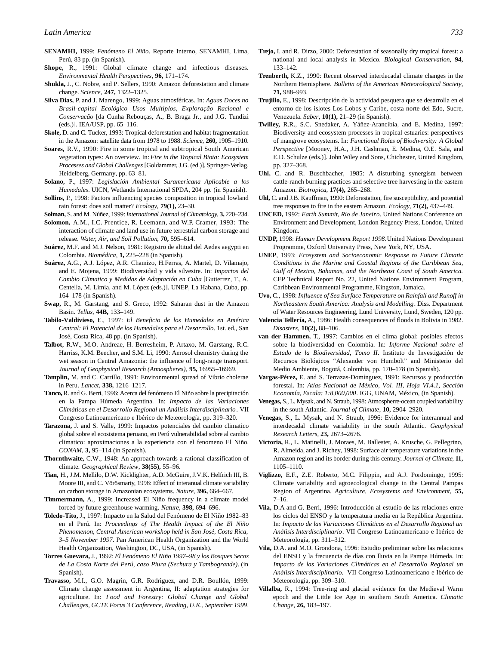- **SENAMHI,** 1999: *Fenómeno El Niño*. Reporte Interno, SENAMHI, Lima, Perú, 83 pp. (in Spanish).
- Shope, R., 1991: Global climate change and infectious diseases. *Environmental Health Perspectives*, **96,** 171–174.
- **Shukla,** J., C. Nobre, and P. Sellers, 1990: Amazon deforestation and climate change. *Science*, **247,** 1322–1325.
- **Silva Dias,** P. and J. Marengo, 1999: Aguas atmosféricas. In: *Aguas Doces no Brasil-capital Ecológico Usos Multiplos, Exploração Racional e Conservacão* [da Cunha Rebouças, A., B. Braga Jr., and J.G. Tundizi (eds.)]. IEA/USP, pp. 65–116.
- Skole, D. and C. Tucker, 1993: Tropical deforestation and habitat fragmentation in the Amazon: satellite data from 1978 to 1988. *Science*, **260**, 1905-1910.
- Soares, R.V., 1990: Fire in some tropical and subtropical South American vegetation types: An overview. In: *Fire in the Tropical Biota: Ecosystem Processes and Global Challenges* [Goldammer, J.G. (ed.)]. Springer-Verlag, Heidelberg, Germany, pp. 63–81.
- Solano, P., 1997: Legislación Ambiental Suramericana Aplicable a los *Humedales*. UICN, Wetlands International SPDA, 204 pp. (in Spanish).
- **Sollins,** P., 1998: Factors influencing species composition in tropical lowland rain forest: does soil matter? *Ecology*, **79(1),** 23–30.
- Solman, S. and M. Núñez, 1999: *International Journal of Climatology*, 3, 220-234.
- Solomon, A.M., I.C. Prentice, R. Leemann, and W.P. Cramer, 1993: The interaction of climate and land use in future terrestrial carbon storage and release. *Water, Air, and Soil Pollution*, **70,** 595–614.
- **Suárez,** M.F. and M.J. Nelson, 1981: Registro de altitud del Aedes aegypti en Colombia. *Biomédica*, **1,** 225–228 (in Spanish).
- **Suárez,** A.G., A.J. López, A.R. Chamizo, H.Ferras, A. Martel, D. Vilamajo, and E. Mojena, 1999: Biodiversidad y vida silvestre. In: *Impactos del Cambio Climatico y Medidas de Adaptación en Cuba* [Gutierrez, T., A. Centella, M. Limia, and M. López (eds.)]. UNEP, La Habana, Cuba, pp. 164–178 (in Spanish).
- **Swap,** R., M. Garstang, and S. Greco, 1992: Saharan dust in the Amazon Basin. *Tellus*, **44B,** 133–149.
- **Tabilo-Valdivieso,** E., 1997: *El Beneficio de los Humedales en América Central: El Potencial de los Humedales para el Desarrollo*. 1st. ed., San José, Costa Rica, 48 pp. (in Spanish).
- **Talbot,** R.W., M.O. Andreae, H. Berresheim, P. Artaxo, M. Garstang, R.C. Harriss, K.M. Beecher, and S.M. Li, 1990: Aerosol chemistry during the wet season in Central Amazonia: the influence of long-range transport. *Journal of Geophysical Research (Atmospheres)*, **95,** 16955–16969.
- **Tamplin,** M. and C. Carrillo, 1991: Environmental spread of Vibrio cholerae in Peru. *Lancet*, **338,** 1216–1217.
- **Tanco,** R. and G. Berri, 1996: Acerca del fenómeno El Niño sobre la precipitación en la Pampa Húmeda Argentina. In: *Impacto de las Variaciones Climáticas en el Desarrollo Regional un Análisis Interdisciplinario*. VII Congreso Latinoamericano e Ibérico de Meteorología, pp. 319–320.
- **Tarazona,** J. and S. Valle, 1999: Impactos potenciales del cambio climatico global sobre el ecosistema peruano, en Perú vulnerabilidad sobre al cambio climatico: aproximaciones a la experiencia con el fenomeno El Niño. *CONAM*, **3,** 95–114 (in Spanish).
- **Thornthwaite,** C.W., 1948: An approach towards a rational classification of climate. *Geographical Review*, **38(55),** 55–96.
- Tian, H., J.M. Mellilo, D.W. Kicklighter, A.D. McGuire, J.V.K. Helfrich III, B. Moore III, and C. Vörösmarty, 1998: Effect of interanual climate variability on carbon storage in Amazonian ecosystems. *Nature*, 396, 664-667.
- **Timmermann,** A., 1999: Increased El Niño frequency in a climate model forced by future greenhouse warming. *Nature*, **398,** 694–696.
- **Toledo-Tito,** J., 1997: Impacto en la Salud del Fenómeno de El Niño 1982–83 en el Perú. In: *Proceedings of The Health Impact of the El Niño Phenomenon, Central American workshop held in San José, Costa Rica, 3–5 November 1997*. Pan American Health Organization and the World Health Organization, Washington, DC, USA, (in Spanish).
- **Torres Guevara,** J., 1992: *El Fenómeno El Niño 1997–98 y los Bosques Secos de La Costa Norte del Perú, caso Piura (Sechura y Tambogrande)*. (in Spanish).
- **Travasso,** M.I., G.O. Magrin, G.R. Rodriguez, and D.R. Boullón, 1999: Climate change assessment in Argentina, II: adaptation strategies for agriculture. In: Food and Forestry: Global Change and Global *Challenges, GCTE Focus 3 Conference, Reading, U.K., September 1999*.
- **Trejo,** I. and R. Dirzo, 2000: Deforestation of seasonally dry tropical forest: a national and local analysis in Mexico. *Biological Conservation*, **94,** 133–142.
- **Trenberth,** K.Z., 1990: Recent observed interdecadal climate changes in the Northern Hemisphere. *Bulletin of the American Meteorological Society*, **71,** 988–993.
- **Trujillo,** E., 1998: Descripción de la actividad pesquera que se desarrolla en el entorno de los islotes Los Lobos y Caribe, costa norte del Edo, Sucre, Venezuela. *Saber*, **10(1),** 21–29 (in Spanish).
- **Twilley,** R.R., S.C. Snedaker, A. Yáñez-Arancibia, and E. Medina, 1997: Biodiversity and ecosystem processes in tropical estuaries: perspectives of mangrove ecosystems. In: *Functional Roles of Biodiversity: A Global Perspective* [Mooney, H.A., J.H. Cashman, E. Medina, O.E. Sala, and E.D. Schulze (eds.)]. John Wiley and Sons, Chichester, United Kingdom, pp. 327–368.
- Uhl, C. and R. Buschbacher, 1985: A disturbing synergism between cattle-ranch burning practices and selective tree harvesting in the eastern Amazon. *Biotropica*, **17(4),** 265–268.
- Uhl, C. and J.B. Kauffman, 1990: Deforestation, fire susceptibility, and potential tree responses to fire in the eastern Amazon. *Ecology*, **71(2)**, 437-449.
- **UNCED,** 1992: *Earth Summit, Rio de Janeiro*. United Nations Conference on Environment and Development, London Regency Press, London, United Kingdom.
- **UNDP,** 1998: *Human Development Report 1998.*United Nations Development Programme, Oxford University Press, New York, NY, USA.
- **UNEP**, 1993: *Ecosystem and Socioeconomic Response to Future Climatic Conditions in the Marine and Coastal Regions of the Caribbean Sea, Gulf of Mexico, Bahamas, and the Northeast Coast of South America.* CEP Technical Report No. 22, United Nations Environment Program, Caribbean Environmental Programme, Kingston, Jamaica.
- **Uvo,** C., 1998: *Influence of Sea Surface Temperature on Rainfall and Runoff in Northeastern South America: Analysis and Modelling*. Diss. Department of Water Resources Engineering, Lund University, Lund, Sweden, 120 pp.
- **Valencia Tellería,** A., 1986: Health consequences of floods in Bolivia in 1982. *Disasters*, **10(2),** 88–106.
- **van der Hammen,** T., 1997: Cambios en el clima global: posibles efectos sobre la biodiversidad en Colombia. In: *Informe Nacional sobre el Estado de la Biodiversidad, Tomo II*. Instituto de Investigación de Recursos Biológicos "Alexander von Humbolt" and Ministerio del Medio Ambiente, Bogotá, Colombia, pp. 170–178 (in Spanish).
- **Vargas-Pérez,** E. and S. Terrazas-Domínguez, 1991: Recursos y producción forestal. In: *Atlas Nacional de México, Vol. III, Hoja VI.4.1, Sección Economía, Escala: 1:8,000,000*. IGG, UNAM, México, (in Spanish).
- Venegas, S., L. Mysak, and N. Straub, 1998: Atmospherre-ocean coupled variability in the south Atlantic. *Journal of Climate*, **10,** 2904–2920.
- **Venegas,** S., L. Mysak, and N. Straub, 1996: Evidence for interannual and interdecadal climate variability in the south Atlantic. *Geophysical Research Letters*, **23,** 2673–2676.
- **Victoria,** R., L. Matinelli, J. Moraes, M. Ballester, A. Krusche, G. Pellegrino, R. Almeida, and J. Richey, 1998: Surface air temperature variations in the Amazon region and its border during this century. *Journal of Climate*, **11,** 1105–1110.
- **Viglizzo,** E.F., Z.E. Roberto, M.C. Filippin, and A.J. Pordomingo, 1995: Climate variability and agroecological change in the Central Pampas Region of Argentina*. Agriculture, Ecosystems and Environment*, **55,**  $7-16$ .
- **Vila,** D.A and G. Berri, 1996: Introducción al estudio de las relaciones entre los ciclos del ENSO y la temperatura media en la República Argentina. In: *Impacto de las Variaciones Climáticas en el Desarrollo Regional un Análisis Interdisciplinario*. VII Congreso Latinoamericano e Ibérico de Meteorología, pp. 311–312.
- **Vila,** D.A. and M.O. Grondona, 1996: Estudio preliminar sobre las relaciones del ENSO y la frecuencia de días con lluvia en la Pampa Húmeda. In: *Impacto de las Variaciones Climáticas en el Desarrollo Regional un Análisis Interdisciplinario*. VII Congreso Latinoamericano e Ibérico de Meteorología, pp. 309–310.
- **Villalba,** R., 1994: Tree-ring and glacial evidence for the Medieval Warm epoch and the Little Ice Age in southern South America. *Climatic Change*, **26,** 183–197.